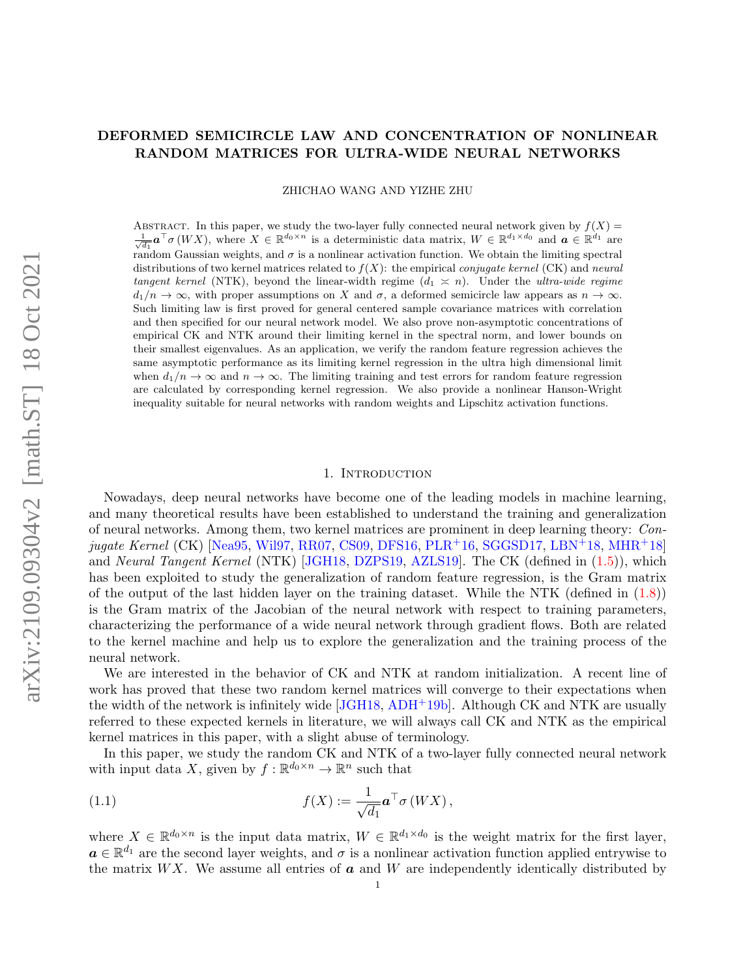# DEFORMED SEMICIRCLE LAW AND CONCENTRATION OF NONLINEAR RANDOM MATRICES FOR ULTRA-WIDE NEURAL NETWORKS

ZHICHAO WANG AND YIZHE ZHU

ABSTRACT. In this paper, we study the two-layer fully connected neural network given by  $f(X)$  $\frac{1}{\sqrt{d_1}}$ **a**<sup>T</sup>*o* (WX), where  $X \in \mathbb{R}^{d_0 \times n}$  is a deterministic data matrix,  $W \in \mathbb{R}^{d_1 \times d_0}$  and  $\boldsymbol{a} \in \mathbb{R}^{d_1}$  are random Gaussian weights, and  $\sigma$  is a nonlinear activation function. We obtain the limiting spectral distributions of two kernel matrices related to  $f(X)$ : the empirical *conjugate kernel* (CK) and *neural* tangent kernel (NTK), beyond the linear-width regime  $(d_1 \approx n)$ . Under the ultra-wide regime  $d_1/n \to \infty$ , with proper assumptions on X and  $\sigma$ , a deformed semicircle law appears as  $n \to \infty$ . Such limiting law is first proved for general centered sample covariance matrices with correlation and then specified for our neural network model. We also prove non-asymptotic concentrations of empirical CK and NTK around their limiting kernel in the spectral norm, and lower bounds on their smallest eigenvalues. As an application, we verify the random feature regression achieves the same asymptotic performance as its limiting kernel regression in the ultra high dimensional limit when  $d_1/n \to \infty$  and  $n \to \infty$ . The limiting training and test errors for random feature regression are calculated by corresponding kernel regression. We also provide a nonlinear Hanson-Wright inequality suitable for neural networks with random weights and Lipschitz activation functions.

### 1. Introduction

<span id="page-0-1"></span>Nowadays, deep neural networks have become one of the leading models in machine learning, and many theoretical results have been established to understand the training and generalization of neural networks. Among them, two kernel matrices are prominent in deep learning theory: Con- $jugate Kernel (CK) [Nea95, Wil97, RR07, CS09, DFS16, PLR<sup>+</sup>16, SGGSD17, LBN<sup>+</sup>18, MHR<sup>+</sup>18]$  $jugate Kernel (CK) [Nea95, Wil97, RR07, CS09, DFS16, PLR<sup>+</sup>16, SGGSD17, LBN<sup>+</sup>18, MHR<sup>+</sup>18]$  $jugate Kernel (CK) [Nea95, Wil97, RR07, CS09, DFS16, PLR<sup>+</sup>16, SGGSD17, LBN<sup>+</sup>18, MHR<sup>+</sup>18]$  $jugate Kernel (CK) [Nea95, Wil97, RR07, CS09, DFS16, PLR<sup>+</sup>16, SGGSD17, LBN<sup>+</sup>18, MHR<sup>+</sup>18]$  $jugate Kernel (CK) [Nea95, Wil97, RR07, CS09, DFS16, PLR<sup>+</sup>16, SGGSD17, LBN<sup>+</sup>18, MHR<sup>+</sup>18]$  $jugate Kernel (CK) [Nea95, Wil97, RR07, CS09, DFS16, PLR<sup>+</sup>16, SGGSD17, LBN<sup>+</sup>18, MHR<sup>+</sup>18]$  $jugate Kernel (CK) [Nea95, Wil97, RR07, CS09, DFS16, PLR<sup>+</sup>16, SGGSD17, LBN<sup>+</sup>18, MHR<sup>+</sup>18]$  $jugate Kernel (CK) [Nea95, Wil97, RR07, CS09, DFS16, PLR<sup>+</sup>16, SGGSD17, LBN<sup>+</sup>18, MHR<sup>+</sup>18]$  $jugate Kernel (CK) [Nea95, Wil97, RR07, CS09, DFS16, PLR<sup>+</sup>16, SGGSD17, LBN<sup>+</sup>18, MHR<sup>+</sup>18]$  $jugate Kernel (CK) [Nea95, Wil97, RR07, CS09, DFS16, PLR<sup>+</sup>16, SGGSD17, LBN<sup>+</sup>18, MHR<sup>+</sup>18]$  $jugate Kernel (CK) [Nea95, Wil97, RR07, CS09, DFS16, PLR<sup>+</sup>16, SGGSD17, LBN<sup>+</sup>18, MHR<sup>+</sup>18]$  $jugate Kernel (CK) [Nea95, Wil97, RR07, CS09, DFS16, PLR<sup>+</sup>16, SGGSD17, LBN<sup>+</sup>18, MHR<sup>+</sup>18]$  $jugate Kernel (CK) [Nea95, Wil97, RR07, CS09, DFS16, PLR<sup>+</sup>16, SGGSD17, LBN<sup>+</sup>18, MHR<sup>+</sup>18]$  $jugate Kernel (CK) [Nea95, Wil97, RR07, CS09, DFS16, PLR<sup>+</sup>16, SGGSD17, LBN<sup>+</sup>18, MHR<sup>+</sup>18]$  $jugate Kernel (CK) [Nea95, Wil97, RR07, CS09, DFS16, PLR<sup>+</sup>16, SGGSD17, LBN<sup>+</sup>18, MHR<sup>+</sup>18]$  $jugate Kernel (CK) [Nea95, Wil97, RR07, CS09, DFS16, PLR<sup>+</sup>16, SGGSD17, LBN<sup>+</sup>18, MHR<sup>+</sup>18]$  $jugate Kernel (CK) [Nea95, Wil97, RR07, CS09, DFS16, PLR<sup>+</sup>16, SGGSD17, LBN<sup>+</sup>18, MHR<sup>+</sup>18]$  $jugate Kernel (CK) [Nea95, Wil97, RR07, CS09, DFS16, PLR<sup>+</sup>16, SGGSD17, LBN<sup>+</sup>18, MHR<sup>+</sup>18]$  $jugate Kernel (CK) [Nea95, Wil97, RR07, CS09, DFS16, PLR<sup>+</sup>16, SGGSD17, LBN<sup>+</sup>18, MHR<sup>+</sup>18]$ and Neural Tangent Kernel (NTK) [\[JGH18,](#page-44-2) [DZPS19,](#page-43-2) [AZLS19\]](#page-43-3). The CK (defined in [\(1.5\)](#page-4-0)), which has been exploited to study the generalization of random feature regression, is the Gram matrix of the output of the last hidden layer on the training dataset. While the NTK (defined in  $(1.8)$ ) is the Gram matrix of the Jacobian of the neural network with respect to training parameters, characterizing the performance of a wide neural network through gradient flows. Both are related to the kernel machine and help us to explore the generalization and the training process of the neural network.

We are interested in the behavior of CK and NTK at random initialization. A recent line of work has proved that these two random kernel matrices will converge to their expectations when the width of the network is infinitely wide [\[JGH18,](#page-44-2) [ADH](#page-42-0)+19b]. Although CK and NTK are usually referred to these expected kernels in literature, we will always call CK and NTK as the empirical kernel matrices in this paper, with a slight abuse of terminology.

In this paper, we study the random CK and NTK of a two-layer fully connected neural network with input data X, given by  $f : \mathbb{R}^{d_0 \times n} \to \mathbb{R}^n$  such that

<span id="page-0-0"></span>(1.1) 
$$
f(X) := \frac{1}{\sqrt{d_1}} \mathbf{a}^\top \sigma(WX),
$$

where  $X \in \mathbb{R}^{d_0 \times n}$  is the input data matrix,  $W \in \mathbb{R}^{d_1 \times d_0}$  is the weight matrix for the first layer,  $a \in \mathbb{R}^{d_1}$  are the second layer weights, and  $\sigma$  is a nonlinear activation function applied entrywise to the matrix WX. We assume all entries of  $\boldsymbol{a}$  and W are independently identically distributed by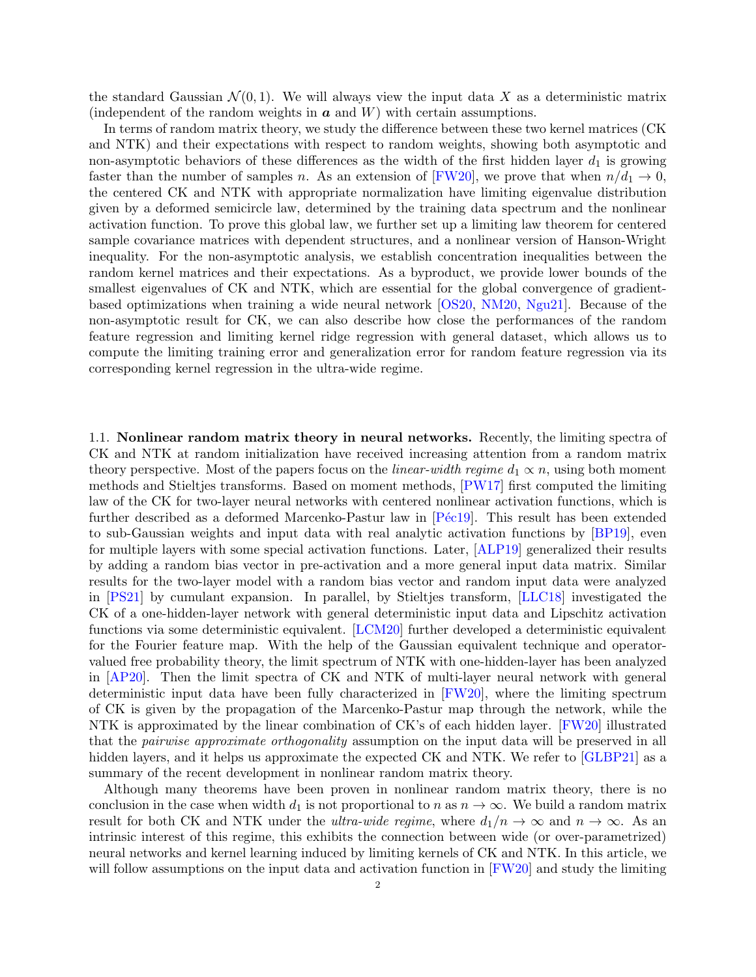the standard Gaussian  $\mathcal{N}(0, 1)$ . We will always view the input data X as a deterministic matrix (independent of the random weights in  $\boldsymbol{a}$  and  $W$ ) with certain assumptions.

In terms of random matrix theory, we study the difference between these two kernel matrices (CK and NTK) and their expectations with respect to random weights, showing both asymptotic and non-asymptotic behaviors of these differences as the width of the first hidden layer  $d_1$  is growing faster than the number of samples n. As an extension of [\[FW20\]](#page-43-4), we prove that when  $n/d_1 \rightarrow 0$ , the centered CK and NTK with appropriate normalization have limiting eigenvalue distribution given by a deformed semicircle law, determined by the training data spectrum and the nonlinear activation function. To prove this global law, we further set up a limiting law theorem for centered sample covariance matrices with dependent structures, and a nonlinear version of Hanson-Wright inequality. For the non-asymptotic analysis, we establish concentration inequalities between the random kernel matrices and their expectations. As a byproduct, we provide lower bounds of the smallest eigenvalues of CK and NTK, which are essential for the global convergence of gradientbased optimizations when training a wide neural network [\[OS20,](#page-45-5) [NM20,](#page-45-6) [Ngu21\]](#page-45-7). Because of the non-asymptotic result for CK, we can also describe how close the performances of the random feature regression and limiting kernel ridge regression with general dataset, which allows us to compute the limiting training error and generalization error for random feature regression via its corresponding kernel regression in the ultra-wide regime.

1.1. Nonlinear random matrix theory in neural networks. Recently, the limiting spectra of CK and NTK at random initialization have received increasing attention from a random matrix theory perspective. Most of the papers focus on the *linear-width regime*  $d_1 \propto n$ , using both moment methods and Stieltjes transforms. Based on moment methods, [\[PW17\]](#page-45-8) first computed the limiting law of the CK for two-layer neural networks with centered nonlinear activation functions, which is further described as a deformed Marcenko-Pastur law in  $P\acute{e}c19$ . This result has been extended to sub-Gaussian weights and input data with real analytic activation functions by [\[BP19\]](#page-43-5), even for multiple layers with some special activation functions. Later, [\[ALP19\]](#page-43-6) generalized their results by adding a random bias vector in pre-activation and a more general input data matrix. Similar results for the two-layer model with a random bias vector and random input data were analyzed in [\[PS21\]](#page-45-10) by cumulant expansion. In parallel, by Stieltjes transform, [\[LLC18\]](#page-44-3) investigated the CK of a one-hidden-layer network with general deterministic input data and Lipschitz activation functions via some deterministic equivalent. [\[LCM20\]](#page-44-4) further developed a deterministic equivalent for the Fourier feature map. With the help of the Gaussian equivalent technique and operatorvalued free probability theory, the limit spectrum of NTK with one-hidden-layer has been analyzed in [\[AP20\]](#page-43-7). Then the limit spectra of CK and NTK of multi-layer neural network with general deterministic input data have been fully characterized in [\[FW20\]](#page-43-4), where the limiting spectrum of CK is given by the propagation of the Marcenko-Pastur map through the network, while the NTK is approximated by the linear combination of CK's of each hidden layer. [\[FW20\]](#page-43-4) illustrated that the pairwise approximate orthogonality assumption on the input data will be preserved in all hidden layers, and it helps us approximate the expected CK and NTK. We refer to  $|GLBP21|$  as a summary of the recent development in nonlinear random matrix theory.

Although many theorems have been proven in nonlinear random matrix theory, there is no conclusion in the case when width  $d_1$  is not proportional to n as  $n \to \infty$ . We build a random matrix result for both CK and NTK under the *ultra-wide regime*, where  $d_1/n \to \infty$  and  $n \to \infty$ . As an intrinsic interest of this regime, this exhibits the connection between wide (or over-parametrized) neural networks and kernel learning induced by limiting kernels of CK and NTK. In this article, we will follow assumptions on the input data and activation function in [\[FW20\]](#page-43-4) and study the limiting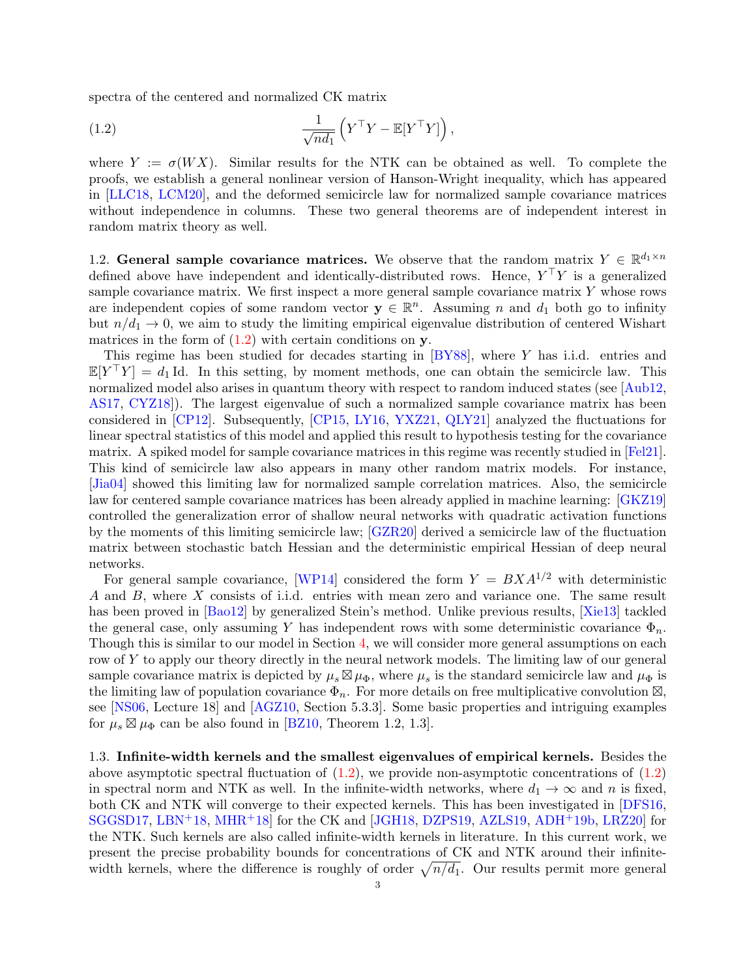spectra of the centered and normalized CK matrix

<span id="page-2-0"></span>(1.2) 
$$
\frac{1}{\sqrt{nd_1}} \left( Y^\top Y - \mathbb{E}[Y^\top Y] \right),
$$

where  $Y := \sigma(WX)$ . Similar results for the NTK can be obtained as well. To complete the proofs, we establish a general nonlinear version of Hanson-Wright inequality, which has appeared in [\[LLC18,](#page-44-3) [LCM20\]](#page-44-4), and the deformed semicircle law for normalized sample covariance matrices without independence in columns. These two general theorems are of independent interest in random matrix theory as well.

1.2. General sample covariance matrices. We observe that the random matrix  $Y \in \mathbb{R}^{d_1 \times n}$ defined above have independent and identically-distributed rows. Hence,  $Y^{\top}Y$  is a generalized sample covariance matrix. We first inspect a more general sample covariance matrix  $Y$  whose rows are independent copies of some random vector  $y \in \mathbb{R}^n$ . Assuming n and  $d_1$  both go to infinity but  $n/d_1 \rightarrow 0$ , we aim to study the limiting empirical eigenvalue distribution of centered Wishart matrices in the form of  $(1.2)$  with certain conditions on y.

This regime has been studied for decades starting in [\[BY88\]](#page-43-9), where Y has i.i.d. entries and  $\mathbb{E}[Y^{\top}Y] = d_1 \mathbb{I}$ d. In this setting, by moment methods, one can obtain the semicircle law. This normalized model also arises in quantum theory with respect to random induced states (see [\[Aub12,](#page-43-10) [AS17,](#page-43-11) [CYZ18\]](#page-43-12)). The largest eigenvalue of such a normalized sample covariance matrix has been considered in [\[CP12\]](#page-43-13). Subsequently, [\[CP15,](#page-43-14) [LY16,](#page-44-5) [YXZ21,](#page-45-11) [QLY21\]](#page-45-12) analyzed the fluctuations for linear spectral statistics of this model and applied this result to hypothesis testing for the covariance matrix. A spiked model for sample covariance matrices in this regime was recently studied in [\[Fel21\]](#page-43-15). This kind of semicircle law also appears in many other random matrix models. For instance, [\[Jia04\]](#page-44-6) showed this limiting law for normalized sample correlation matrices. Also, the semicircle law for centered sample covariance matrices has been already applied in machine learning: [\[GKZ19\]](#page-43-16) controlled the generalization error of shallow neural networks with quadratic activation functions by the moments of this limiting semicircle law; [\[GZR20\]](#page-44-7) derived a semicircle law of the fluctuation matrix between stochastic batch Hessian and the deterministic empirical Hessian of deep neural networks.

For general sample covariance, [\[WP14\]](#page-45-13) considered the form  $Y = BXA^{1/2}$  with deterministic A and B, where X consists of i.i.d. entries with mean zero and variance one. The same result has been proved in [\[Bao12\]](#page-43-17) by generalized Stein's method. Unlike previous results, [\[Xie13\]](#page-45-14) tackled the general case, only assuming Y has independent rows with some deterministic covariance  $\Phi_n$ . Though this is similar to our model in Section [4,](#page-16-0) we will consider more general assumptions on each row of Y to apply our theory directly in the neural network models. The limiting law of our general sample covariance matrix is depicted by  $\mu_s \boxtimes \mu_\Phi$ , where  $\mu_s$  is the standard semicircle law and  $\mu_\Phi$  is the limiting law of population covariance  $\Phi_n$ . For more details on free multiplicative convolution  $\boxtimes$ , see [\[NS06,](#page-45-15) Lecture 18] and [\[AGZ10,](#page-42-1) Section 5.3.3]. Some basic properties and intriguing examples for  $\mu_s \boxtimes \mu_\Phi$  can be also found in [\[BZ10,](#page-43-18) Theorem 1.2, 1.3].

1.3. Infinite-width kernels and the smallest eigenvalues of empirical kernels. Besides the above asymptotic spectral fluctuation of  $(1.2)$ , we provide non-asymptotic concentrations of  $(1.2)$ in spectral norm and NTK as well. In the infinite-width networks, where  $d_1 \rightarrow \infty$  and n is fixed, both CK and NTK will converge to their expected kernels. This has been investigated in [\[DFS16,](#page-43-1) [SGGSD17,](#page-45-4) [LBN](#page-44-0)+18, [MHR](#page-44-1)+18] for the CK and [\[JGH18,](#page-44-2) [DZPS19,](#page-43-2) [AZLS19,](#page-43-3) [ADH](#page-42-0)+19b, [LRZ20\]](#page-44-8) for the NTK. Such kernels are also called infinite-width kernels in literature. In this current work, we present the precise probability bounds for concentrations of CK and NTK around their infinitewidth kernels, where the difference is roughly of order  $\sqrt{n/d_1}$ . Our results permit more general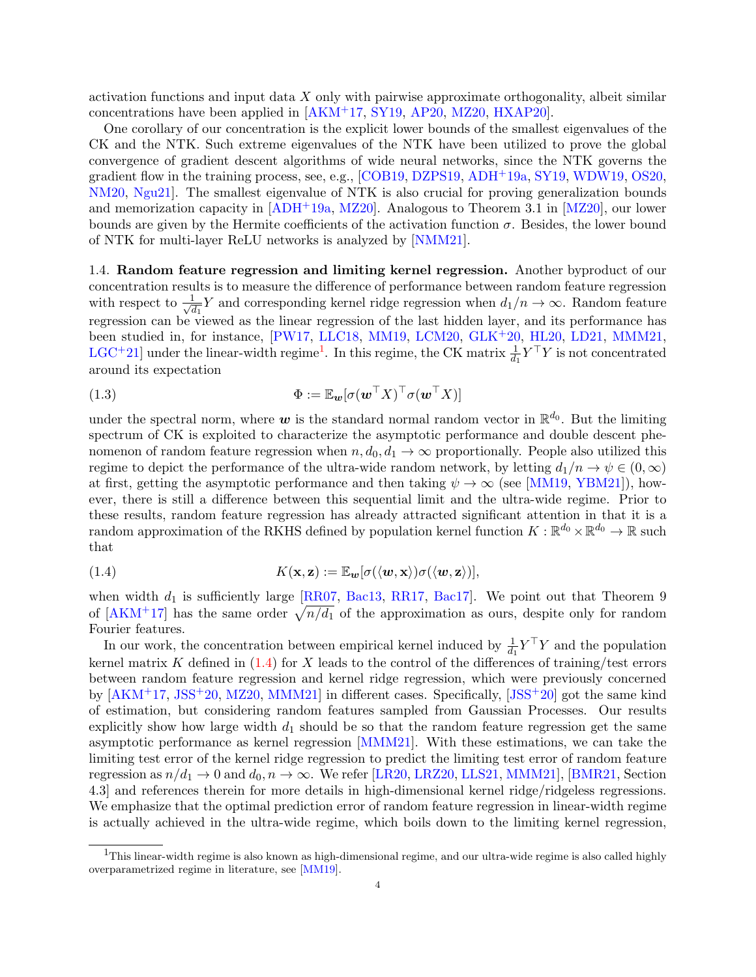activation functions and input data X only with pairwise approximate orthogonality, albeit similar concentrations have been applied in [\[AKM](#page-42-2)+17, [SY19,](#page-45-16) [AP20,](#page-43-7) [MZ20,](#page-44-9) [HXAP20\]](#page-44-10).

One corollary of our concentration is the explicit lower bounds of the smallest eigenvalues of the CK and the NTK. Such extreme eigenvalues of the NTK have been utilized to prove the global convergence of gradient descent algorithms of wide neural networks, since the NTK governs the gradient flow in the training process, see, e.g., [\[COB19,](#page-43-19) [DZPS19,](#page-43-2) [ADH](#page-42-3)+19a, [SY19,](#page-45-16) [WDW19,](#page-45-17) [OS20,](#page-45-5) [NM20,](#page-45-6) [Ngu21\]](#page-45-7). The smallest eigenvalue of NTK is also crucial for proving generalization bounds and memorization capacity in  $[ADH^+19a, MZ20]$  $[ADH^+19a, MZ20]$ . Analogous to Theorem 3.1 in  $[MZ20]$ , our lower bounds are given by the Hermite coefficients of the activation function  $\sigma$ . Besides, the lower bound of NTK for multi-layer ReLU networks is analyzed by [\[NMM21\]](#page-45-18).

1.4. Random feature regression and limiting kernel regression. Another byproduct of our concentration results is to measure the difference of performance between random feature regression with respect to  $\frac{1}{\sqrt{2}}$  $\frac{1}{d_1}Y$  and corresponding kernel ridge regression when  $d_1/n \to \infty$ . Random feature regression can be viewed as the linear regression of the last hidden layer, and its performance has been studied in, for instance, [\[PW17,](#page-45-8) [LLC18,](#page-44-3) [MM19,](#page-44-11) [LCM20,](#page-44-4) [GLK](#page-44-12)+20, [HL20,](#page-44-13) [LD21,](#page-44-14) [MMM21,](#page-44-15) [LGC](#page-44-16)<sup>+</sup>2[1](#page-3-0)] under the linear-width regime<sup>1</sup>. In this regime, the CK matrix  $\frac{1}{d_1} Y^{\top} Y$  is not concentrated around its expectation

<span id="page-3-2"></span>(1.3) 
$$
\Phi := \mathbb{E}_{\bm{w}}[\sigma(\bm{w}^\top X)^\top \sigma(\bm{w}^\top X)]
$$

under the spectral norm, where  $w$  is the standard normal random vector in  $\mathbb{R}^{d_0}$ . But the limiting spectrum of CK is exploited to characterize the asymptotic performance and double descent phenomenon of random feature regression when  $n, d_0, d_1 \rightarrow \infty$  proportionally. People also utilized this regime to depict the performance of the ultra-wide random network, by letting  $d_1/n \to \psi \in (0,\infty)$ at first, getting the asymptotic performance and then taking  $\psi \to \infty$  (see [\[MM19,](#page-44-11) [YBM21\]](#page-45-19)), however, there is still a difference between this sequential limit and the ultra-wide regime. Prior to these results, random feature regression has already attracted significant attention in that it is a random approximation of the RKHS defined by population kernel function  $K : \mathbb{R}^{d_0} \times \mathbb{R}^{d_0} \to \mathbb{R}$  such that

<span id="page-3-1"></span>(1.4) 
$$
K(\mathbf{x}, \mathbf{z}) := \mathbb{E}_{\mathbf{w}}[\sigma(\langle \mathbf{w}, \mathbf{x} \rangle) \sigma(\langle \mathbf{w}, \mathbf{z} \rangle)],
$$

when width  $d_1$  is sufficiently large [\[RR07,](#page-45-2) [Bac13,](#page-43-20) [RR17,](#page-45-20) [Bac17\]](#page-43-21). We point out that Theorem 9 of  $[AKM+17]$  has the same order  $\sqrt{n/d_1}$  of the approximation as ours, despite only for random Fourier features.

In our work, the concentration between empirical kernel induced by  $\frac{1}{d_1} Y^{\top} Y$  and the population kernel matrix K defined in  $(1.4)$  for X leads to the control of the differences of training/test errors between random feature regression and kernel ridge regression, which were previously concerned by [\[AKM](#page-42-2)+17, [JSS](#page-44-17)+20, [MZ20,](#page-44-9) [MMM21\]](#page-44-15) in different cases. Specifically, [\[JSS](#page-44-17)+20] got the same kind of estimation, but considering random features sampled from Gaussian Processes. Our results explicitly show how large width  $d_1$  should be so that the random feature regression get the same asymptotic performance as kernel regression [\[MMM21\]](#page-44-15). With these estimations, we can take the limiting test error of the kernel ridge regression to predict the limiting test error of random feature regression as  $n/d_1 \rightarrow 0$  and  $d_0, n \rightarrow \infty$ . We refer [\[LR20,](#page-44-18) [LRZ20,](#page-44-8) [LLS21,](#page-44-19) [MMM21\]](#page-44-15), [\[BMR21,](#page-43-22) Section 4.3] and references therein for more details in high-dimensional kernel ridge/ridgeless regressions. We emphasize that the optimal prediction error of random feature regression in linear-width regime is actually achieved in the ultra-wide regime, which boils down to the limiting kernel regression,

<span id="page-3-0"></span><sup>&</sup>lt;sup>1</sup>This linear-width regime is also known as high-dimensional regime, and our ultra-wide regime is also called highly overparametrized regime in literature, see [\[MM19\]](#page-44-11).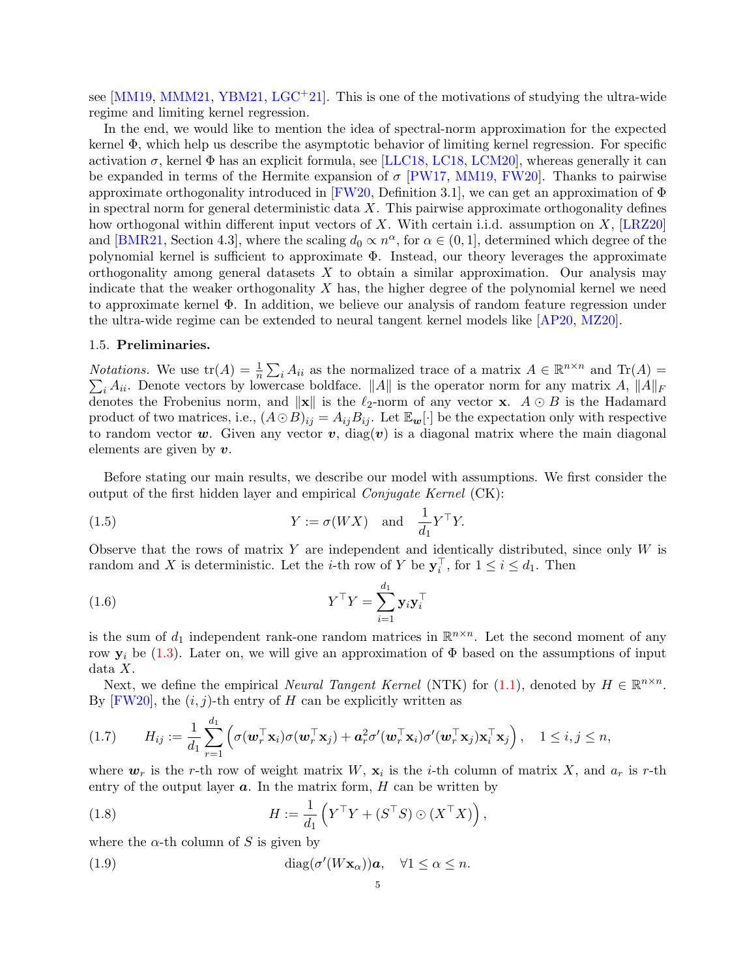see  $[MM19, MMM21, YBM21, LGC<sup>+</sup>21]$  $[MM19, MMM21, YBM21, LGC<sup>+</sup>21]$  $[MM19, MMM21, YBM21, LGC<sup>+</sup>21]$  $[MM19, MMM21, YBM21, LGC<sup>+</sup>21]$  $[MM19, MMM21, YBM21, LGC<sup>+</sup>21]$  $[MM19, MMM21, YBM21, LGC<sup>+</sup>21]$  $[MM19, MMM21, YBM21, LGC<sup>+</sup>21]$ . This is one of the motivations of studying the ultra-wide regime and limiting kernel regression.

In the end, we would like to mention the idea of spectral-norm approximation for the expected kernel Φ, which help us describe the asymptotic behavior of limiting kernel regression. For specific activation  $\sigma$ , kernel  $\Phi$  has an explicit formula, see [\[LLC18,](#page-44-3) [LC18,](#page-44-20) [LCM20\]](#page-44-4), whereas generally it can be expanded in terms of the Hermite expansion of  $\sigma$  [\[PW17,](#page-45-8) [MM19,](#page-44-11) [FW20\]](#page-43-4). Thanks to pairwise approximate orthogonality introduced in [\[FW20,](#page-43-4) Definition 3.1], we can get an approximation of  $\Phi$ in spectral norm for general deterministic data  $X$ . This pairwise approximate orthogonality defines how orthogonal within different input vectors of X. With certain i.i.d. assumption on  $X$ , [\[LRZ20\]](#page-44-8) and [\[BMR21,](#page-43-22) Section 4.3], where the scaling  $d_0 \propto n^{\alpha}$ , for  $\alpha \in (0, 1]$ , determined which degree of the polynomial kernel is sufficient to approximate Φ. Instead, our theory leverages the approximate orthogonality among general datasets  $X$  to obtain a similar approximation. Our analysis may indicate that the weaker orthogonality  $X$  has, the higher degree of the polynomial kernel we need to approximate kernel Φ. In addition, we believe our analysis of random feature regression under the ultra-wide regime can be extended to neural tangent kernel models like [\[AP20,](#page-43-7) [MZ20\]](#page-44-9).

# 1.5. Preliminaries.

*Notations.* We use  $\text{tr}(A) = \frac{1}{n} \sum_i A_{ii}$  as the normalized trace of a matrix  $A \in \mathbb{R}^{n \times n}$  and  $\text{Tr}(A) =$  $\sum_i A_{ii}$ . Denote vectors by lowercase boldface. ||A|| is the operator norm for any matrix A,  $||A||_F$ denotes the Frobenius norm, and  $\|\mathbf{x}\|$  is the  $\ell_2$ -norm of any vector x.  $A \odot B$  is the Hadamard product of two matrices, i.e.,  $(A \odot B)_{ij} = A_{ij}B_{ij}$ . Let  $\mathbb{E}_{w}[\cdot]$  be the expectation only with respective to random vector w. Given any vector v, diag(v) is a diagonal matrix where the main diagonal elements are given by  $v$ .

Before stating our main results, we describe our model with assumptions. We first consider the output of the first hidden layer and empirical Conjugate Kernel (CK):

<span id="page-4-0"></span>(1.5) 
$$
Y := \sigma(WX) \text{ and } \frac{1}{d_1} Y^{\top} Y.
$$

Observe that the rows of matrix  $Y$  are independent and identically distributed, since only  $W$  is random and X is deterministic. Let the *i*-th row of Y be  $y_i^{\top}$ , for  $1 \le i \le d_1$ . Then

$$
(1.6) \t Y^{\top} Y = \sum_{i=1}^{d_1} \mathbf{y}_i \mathbf{y}_i^{\top}
$$

is the sum of  $d_1$  independent rank-one random matrices in  $\mathbb{R}^{n \times n}$ . Let the second moment of any row  $y_i$  be [\(1.3\)](#page-3-2). Later on, we will give an approximation of  $\Phi$  based on the assumptions of input data X.

Next, we define the empirical *Neural Tangent Kernel* (NTK) for [\(1.1\)](#page-0-0), denoted by  $H \in \mathbb{R}^{n \times n}$ . By [\[FW20\]](#page-43-4), the  $(i, j)$ -th entry of H can be explicitly written as

<span id="page-4-3"></span>
$$
(1.7) \tH_{ij} := \frac{1}{d_1} \sum_{r=1}^{d_1} \left( \sigma(\mathbf{w}_r^{\top} \mathbf{x}_i) \sigma(\mathbf{w}_r^{\top} \mathbf{x}_j) + \mathbf{a}_r^2 \sigma'(\mathbf{w}_r^{\top} \mathbf{x}_i) \sigma'(\mathbf{w}_r^{\top} \mathbf{x}_j) \mathbf{x}_i^{\top} \mathbf{x}_j \right), \quad 1 \leq i, j \leq n,
$$

where  $w_r$  is the r-th row of weight matrix W,  $\mathbf{x}_i$  is the *i*-th column of matrix X, and  $a_r$  is r-th entry of the output layer  $a$ . In the matrix form,  $H$  can be written by

<span id="page-4-1"></span>(1.8) 
$$
H := \frac{1}{d_1} \left( Y^\top Y + (S^\top S) \odot (X^\top X) \right),
$$

where the  $\alpha$ -th column of S is given by

<span id="page-4-2"></span>(1.9) 
$$
\operatorname{diag}(\sigma'(W\mathbf{x}_{\alpha}))\mathbf{a}, \quad \forall 1 \leq \alpha \leq n.
$$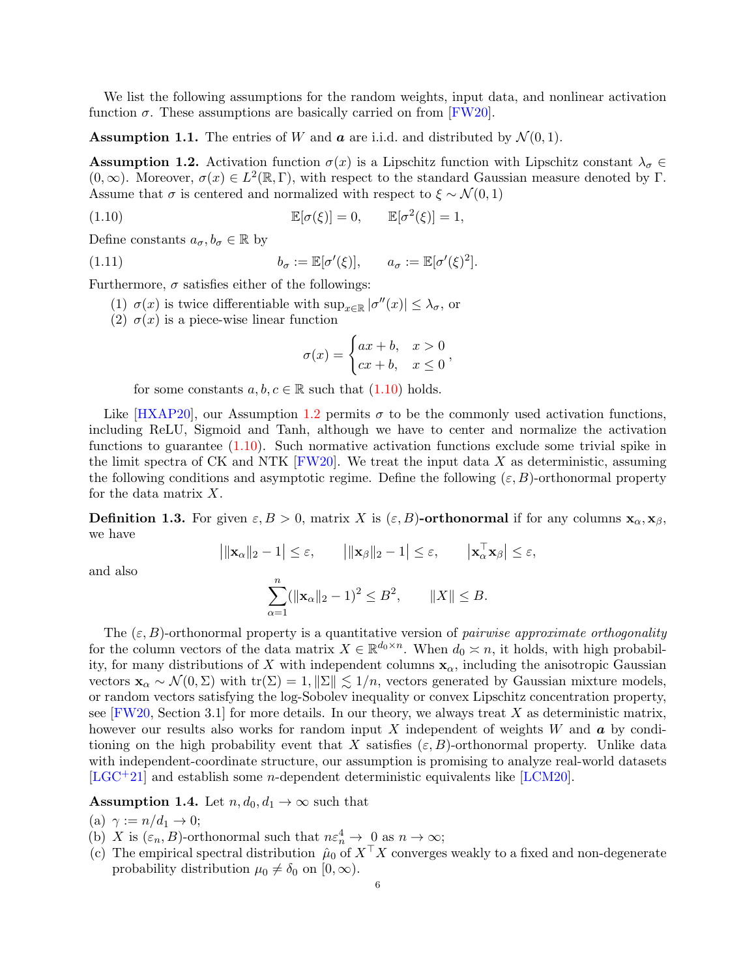We list the following assumptions for the random weights, input data, and nonlinear activation function  $\sigma$ . These assumptions are basically carried on from [\[FW20\]](#page-43-4).

<span id="page-5-2"></span>**Assumption 1.1.** The entries of W and  $\boldsymbol{a}$  are i.i.d. and distributed by  $\mathcal{N}(0, 1)$ .

<span id="page-5-1"></span>**Assumption 1.2.** Activation function  $\sigma(x)$  is a Lipschitz function with Lipschitz constant  $\lambda_{\sigma} \in$  $(0, \infty)$ . Moreover,  $\sigma(x) \in L^2(\mathbb{R}, \Gamma)$ , with respect to the standard Gaussian measure denoted by  $\Gamma$ . Assume that  $\sigma$  is centered and normalized with respect to  $\xi \sim \mathcal{N}(0, 1)$ 

<span id="page-5-0"></span>(1.10) 
$$
\mathbb{E}[\sigma(\xi)] = 0, \qquad \mathbb{E}[\sigma^2(\xi)] = 1,
$$

Define constants  $a_{\sigma}, b_{\sigma} \in \mathbb{R}$  by

<span id="page-5-4"></span>(1.11) 
$$
b_{\sigma} := \mathbb{E}[\sigma'(\xi)], \qquad a_{\sigma} := \mathbb{E}[\sigma'(\xi)^2].
$$

Furthermore,  $\sigma$  satisfies either of the followings:

- (1)  $\sigma(x)$  is twice differentiable with  $\sup_{x \in \mathbb{R}} |\sigma''(x)| \leq \lambda_{\sigma}$ , or
- (2)  $\sigma(x)$  is a piece-wise linear function

$$
\sigma(x) = \begin{cases} ax + b, & x > 0 \\ cx + b, & x \le 0 \end{cases}
$$

for some constants  $a, b, c \in \mathbb{R}$  such that  $(1.10)$  holds.

Like  $[HXAP20]$ , our Assumption [1.2](#page-5-1) permits  $\sigma$  to be the commonly used activation functions, including ReLU, Sigmoid and Tanh, although we have to center and normalize the activation functions to guarantee  $(1.10)$ . Such normative activation functions exclude some trivial spike in the limit spectra of CK and NTK [\[FW20\]](#page-43-4). We treat the input data X as deterministic, assuming the following conditions and asymptotic regime. Define the following  $(\varepsilon, B)$ -orthonormal property for the data matrix X.

**Definition 1.3.** For given  $\varepsilon, B > 0$ , matrix X is  $(\varepsilon, B)$ -orthonormal if for any columns  $\mathbf{x}_{\alpha}, \mathbf{x}_{\beta}$ , we have

$$
\left| \|\mathbf{x}_{\alpha}\|_{2} - 1 \right| \leq \varepsilon, \qquad \left| \|\mathbf{x}_{\beta}\|_{2} - 1 \right| \leq \varepsilon, \qquad \left|\mathbf{x}_{\alpha}^{\top} \mathbf{x}_{\beta} \right| \leq \varepsilon,
$$

and also

$$
\sum_{\alpha=1}^{n} (||\mathbf{x}_{\alpha}||_2 - 1)^2 \le B^2, \qquad ||X|| \le B.
$$

The  $(\varepsilon, B)$ -orthonormal property is a quantitative version of *pairwise approximate orthogonality* for the column vectors of the data matrix  $X \in \mathbb{R}^{d_0 \times n}$ . When  $d_0 \n\times n$ , it holds, with high probability, for many distributions of X with independent columns  $x_{\alpha}$ , including the anisotropic Gaussian vectors  $\mathbf{x}_{\alpha} \sim \mathcal{N}(0, \Sigma)$  with tr( $\Sigma$ ) = 1,  $\|\Sigma\| \lesssim 1/n$ , vectors generated by Gaussian mixture models, or random vectors satisfying the log-Sobolev inequality or convex Lipschitz concentration property, see  $[FW20, Section 3.1]$  for more details. In our theory, we always treat X as deterministic matrix, however our results also works for random input X independent of weights W and  $\boldsymbol{a}$  by conditioning on the high probability event that X satisfies  $(\varepsilon, B)$ -orthonormal property. Unlike data with independent-coordinate structure, our assumption is promising to analyze real-world datasets  $[LGC+21]$  $[LGC+21]$  and establish some *n*-dependent deterministic equivalents like [\[LCM20\]](#page-44-4).

<span id="page-5-3"></span>**Assumption 1.4.** Let  $n, d_0, d_1 \rightarrow \infty$  such that

(a)  $\gamma := n/d_1 \rightarrow 0;$ 

- (b) X is  $(\varepsilon_n, B)$ -orthonormal such that  $n \varepsilon_n^4 \to 0$  as  $n \to \infty$ ;
- (c) The empirical spectral distribution  $\hat{\mu}_0$  of  $X^{\top}X$  converges weakly to a fixed and non-degenerate probability distribution  $\mu_0 \neq \delta_0$  on  $[0, \infty)$ .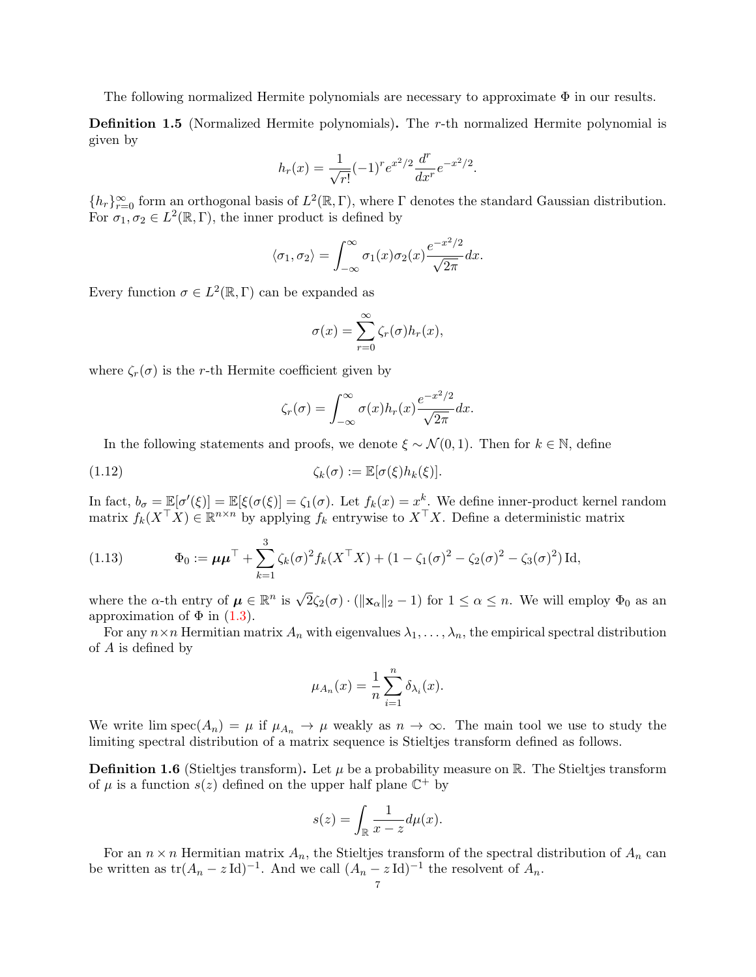The following normalized Hermite polynomials are necessary to approximate  $\Phi$  in our results.

<span id="page-6-1"></span>Definition 1.5 (Normalized Hermite polynomials). The r-th normalized Hermite polynomial is given by

$$
h_r(x) = \frac{1}{\sqrt{r!}} (-1)^r e^{x^2/2} \frac{d^r}{dx^r} e^{-x^2/2}.
$$

 ${h_r}_{r=0}^{\infty}$  form an orthogonal basis of  $L^2(\mathbb{R}, \Gamma)$ , where  $\Gamma$  denotes the standard Gaussian distribution. For  $\sigma_1, \sigma_2 \in L^2(\mathbb{R}, \Gamma)$ , the inner product is defined by

$$
\langle \sigma_1, \sigma_2 \rangle = \int_{-\infty}^{\infty} \sigma_1(x) \sigma_2(x) \frac{e^{-x^2/2}}{\sqrt{2\pi}} dx.
$$

Every function  $\sigma \in L^2(\mathbb{R}, \Gamma)$  can be expanded as

$$
\sigma(x) = \sum_{r=0}^{\infty} \zeta_r(\sigma) h_r(x),
$$

where  $\zeta_r(\sigma)$  is the r-th Hermite coefficient given by

$$
\zeta_r(\sigma) = \int_{-\infty}^{\infty} \sigma(x) h_r(x) \frac{e^{-x^2/2}}{\sqrt{2\pi}} dx.
$$

In the following statements and proofs, we denote  $\xi \sim \mathcal{N}(0, 1)$ . Then for  $k \in \mathbb{N}$ , define

(1.12) 
$$
\zeta_k(\sigma) := \mathbb{E}[\sigma(\xi)h_k(\xi)].
$$

In fact,  $b_{\sigma} = \mathbb{E}[\sigma'(\xi)] = \mathbb{E}[\xi(\sigma(\xi)] = \zeta_1(\sigma)$ . Let  $f_k(x) = x^k$ . We define inner-product kernel random matrix  $f_k(X^{\top}X) \in \mathbb{R}^{n \times n}$  by applying  $f_k$  entrywise to  $X^{\top}X$ . Define a deterministic matrix

<span id="page-6-0"></span>(1.13) 
$$
\Phi_0 := \mu \mu^\top + \sum_{k=1}^3 \zeta_k(\sigma)^2 f_k(X^\top X) + (1 - \zeta_1(\sigma)^2 - \zeta_2(\sigma)^2 - \zeta_3(\sigma)^2) \operatorname{Id},
$$

where the  $\alpha$ -th entry of  $\mu \in \mathbb{R}^n$  is  $\sqrt{2}\zeta_2(\sigma) \cdot (\|\mathbf{x}_\alpha\|_2 - 1)$  for  $1 \leq \alpha \leq n$ . We will employ  $\Phi_0$  as an approximation of  $\Phi$  in [\(1.3\)](#page-3-2).

For any  $n \times n$  Hermitian matrix  $A_n$  with eigenvalues  $\lambda_1, \ldots, \lambda_n$ , the empirical spectral distribution of A is defined by

$$
\mu_{A_n}(x) = \frac{1}{n} \sum_{i=1}^n \delta_{\lambda_i}(x).
$$

We write lim spec $(A_n) = \mu$  if  $\mu_{A_n} \to \mu$  weakly as  $n \to \infty$ . The main tool we use to study the limiting spectral distribution of a matrix sequence is Stieltjes transform defined as follows.

**Definition 1.6** (Stieltjes transform). Let  $\mu$  be a probability measure on R. The Stieltjes transform of  $\mu$  is a function  $s(z)$  defined on the upper half plane  $\mathbb{C}^+$  by

$$
s(z) = \int_{\mathbb{R}} \frac{1}{x - z} d\mu(x).
$$

For an  $n \times n$  Hermitian matrix  $A_n$ , the Stieltjes transform of the spectral distribution of  $A_n$  can be written as  $tr(A_n - z \text{Id})^{-1}$ . And we call  $(A_n - z \text{Id})^{-1}$  the resolvent of  $A_n$ .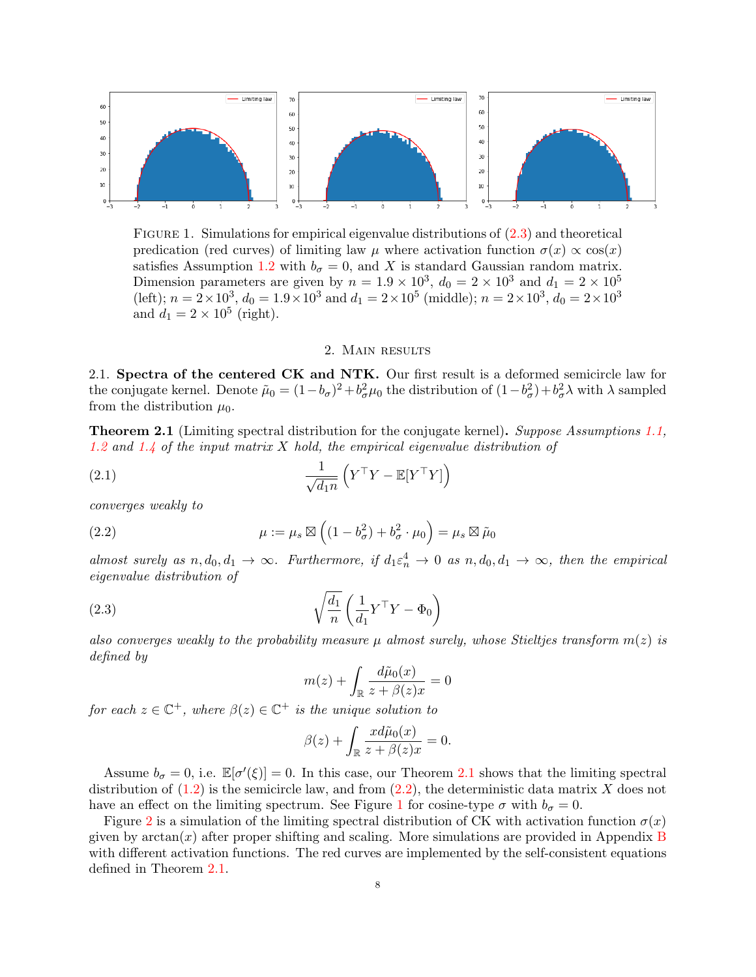

<span id="page-7-3"></span>Figure 1. Simulations for empirical eigenvalue distributions of [\(2.3\)](#page-7-0) and theoretical predication (red curves) of limiting law  $\mu$  where activation function  $\sigma(x) \propto \cos(x)$ satisfies Assumption [1.2](#page-5-1) with  $b_{\sigma} = 0$ , and X is standard Gaussian random matrix. Dimension parameters are given by  $n = 1.9 \times 10^3$ ,  $d_0 = 2 \times 10^3$  and  $d_1 = 2 \times 10^5$ (left);  $n = 2 \times 10^3$ ,  $d_0 = 1.9 \times 10^3$  and  $d_1 = 2 \times 10^5$  (middle);  $n = 2 \times 10^3$ ,  $d_0 = 2 \times 10^3$ and  $d_1 = 2 \times 10^5$  (right).

### <span id="page-7-4"></span>2. Main results

2.1. Spectra of the centered CK and NTK. Our first result is a deformed semicircle law for the conjugate kernel. Denote  $\tilde{\mu}_0 = (1 - b_{\sigma})^2 + b_{\sigma}^2 \mu_0$  the distribution of  $(1 - b_{\sigma}^2) + b_{\sigma}^2 \lambda$  with  $\lambda$  sampled from the distribution  $\mu_0$ .

<span id="page-7-1"></span>**Theorem 2.1** (Limiting spectral distribution for the conjugate kernel). Suppose Assumptions [1.1,](#page-5-2) [1.2](#page-5-1) and [1.4](#page-5-3) of the input matrix X hold, the empirical eigenvalue distribution of

(2.1) 
$$
\frac{1}{\sqrt{d_1 n}} \left( Y^\top Y - \mathbb{E}[Y^\top Y] \right)
$$

converges weakly to

<span id="page-7-2"></span>(2.2) 
$$
\mu := \mu_s \boxtimes \left( (1 - b_\sigma^2) + b_\sigma^2 \cdot \mu_0 \right) = \mu_s \boxtimes \tilde{\mu}_0
$$

almost surely as  $n, d_0, d_1 \to \infty$ . Furthermore, if  $d_1 \varepsilon_n^4 \to 0$  as  $n, d_0, d_1 \to \infty$ , then the empirical eigenvalue distribution of

(2.3) 
$$
\sqrt{\frac{d_1}{n}} \left( \frac{1}{d_1} Y^\top Y - \Phi_0 \right)
$$

also converges weakly to the probability measure  $\mu$  almost surely, whose Stieltjes transform  $m(z)$  is defined by

<span id="page-7-0"></span>
$$
m(z) + \int_{\mathbb{R}} \frac{d\tilde{\mu}_0(x)}{z + \beta(z)x} = 0
$$

for each  $z \in \mathbb{C}^+$ , where  $\beta(z) \in \mathbb{C}^+$  is the unique solution to

$$
\beta(z) + \int_{\mathbb{R}} \frac{x d\tilde{\mu}_0(x)}{z + \beta(z)x} = 0.
$$

Assume  $b_{\sigma} = 0$ , i.e.  $\mathbb{E}[\sigma'(\xi)] = 0$ . In this case, our Theorem [2.1](#page-7-1) shows that the limiting spectral distribution of  $(1.2)$  is the semicircle law, and from  $(2.2)$ , the deterministic data matrix X does not have an effect on the limiting spectrum. See Figure [1](#page-7-3) for cosine-type  $\sigma$  with  $b_{\sigma} = 0$ .

Figure [2](#page-8-0) is a simulation of the limiting spectral distribution of CK with activation function  $\sigma(x)$ given by  $arctan(x)$  after proper shifting and scaling. More simulations are provided in Appendix [B](#page-41-0) with different activation functions. The red curves are implemented by the self-consistent equations defined in Theorem [2.1.](#page-7-1)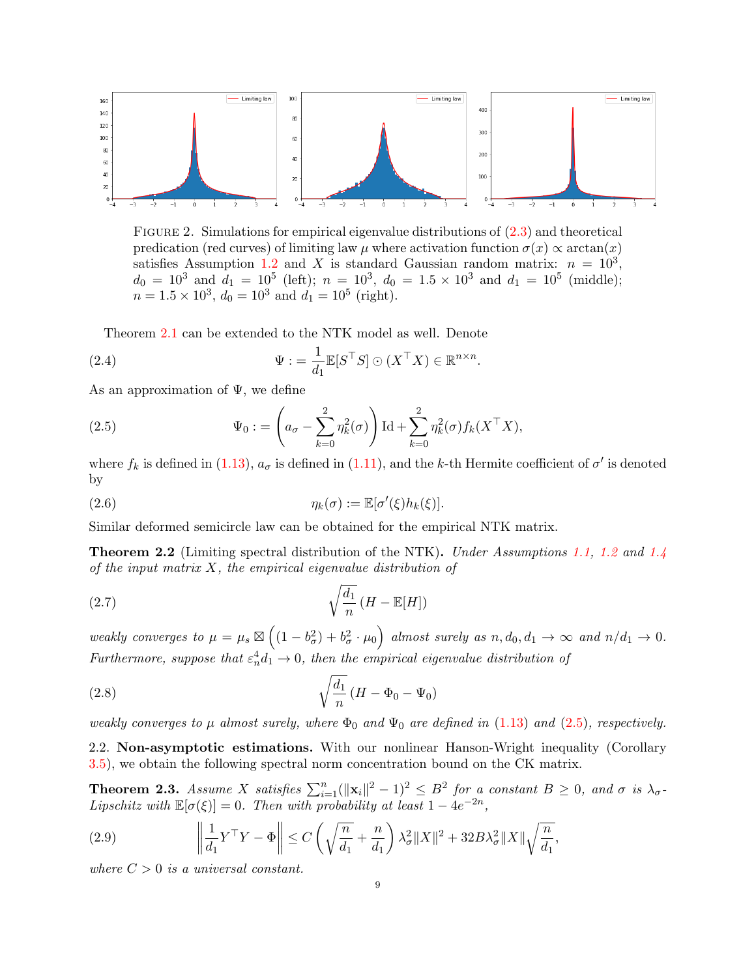

<span id="page-8-0"></span>FIGURE 2. Simulations for empirical eigenvalue distributions of  $(2.3)$  and theoretical predication (red curves) of limiting law  $\mu$  where activation function  $\sigma(x) \propto \arctan(x)$ satisfies Assumption [1.2](#page-5-1) and X is standard Gaussian random matrix:  $n = 10^3$ ,  $d_0 = 10^3$  and  $d_1 = 10^5$  (left);  $n = 10^3$ ,  $d_0 = 1.5 \times 10^3$  and  $d_1 = 10^5$  (middle);  $n = 1.5 \times 10^3$ ,  $d_0 = 10^3$  and  $d_1 = 10^5$  (right).

Theorem [2.1](#page-7-1) can be extended to the NTK model as well. Denote

<span id="page-8-5"></span>(2.4) 
$$
\Psi := \frac{1}{d_1} \mathbb{E}[S^\top S] \odot (X^\top X) \in \mathbb{R}^{n \times n}.
$$

As an approximation of  $\Psi$ , we define

<span id="page-8-1"></span>(2.5) 
$$
\Psi_0 := \left(a_\sigma - \sum_{k=0}^2 \eta_k^2(\sigma)\right) \mathrm{Id} + \sum_{k=0}^2 \eta_k^2(\sigma) f_k(X^\top X),
$$

where  $f_k$  is defined in [\(1.13\)](#page-6-0),  $a_{\sigma}$  is defined in [\(1.11\)](#page-5-4), and the k-th Hermite coefficient of  $\sigma'$  is denoted by

<span id="page-8-3"></span>(2.6) 
$$
\eta_k(\sigma) := \mathbb{E}[\sigma'(\xi)h_k(\xi)].
$$

Similar deformed semicircle law can be obtained for the empirical NTK matrix.

<span id="page-8-4"></span>**Theorem 2.2** (Limiting spectral distribution of the NTK). Under Assumptions [1.1,](#page-5-2) [1.2](#page-5-1) and [1.4](#page-5-3) of the input matrix  $X$ , the empirical eigenvalue distribution of

<span id="page-8-7"></span>
$$
\sqrt{\frac{d_1}{n}} \left( H - \mathbb{E}[H] \right)
$$

weakly converges to  $\mu = \mu_s \boxtimes \left( (1 - b_\sigma^2) + b_\sigma^2 \cdot \mu_0 \right)$  almost surely as  $n, d_0, d_1 \to \infty$  and  $n/d_1 \to 0$ . Furthermore, suppose that  $\varepsilon_n^4 d_1 \to 0$ , then the empirical eigenvalue distribution of

<span id="page-8-6"></span>
$$
\sqrt{\frac{d_1}{n}} \left( H - \Phi_0 - \Psi_0 \right)
$$

weakly converges to  $\mu$  almost surely, where  $\Phi_0$  and  $\Psi_0$  are defined in [\(1.13\)](#page-6-0) and [\(2.5\)](#page-8-1), respectively.

2.2. Non-asymptotic estimations. With our nonlinear Hanson-Wright inequality (Corollary [3.5\)](#page-15-0), we obtain the following spectral norm concentration bound on the CK matrix.

<span id="page-8-2"></span>**Theorem 2.3.** Assume X satisfies  $\sum_{i=1}^{n} (||\mathbf{x}_i||^2 - 1)^2 \leq B^2$  for a constant  $B \geq 0$ , and  $\sigma$  is  $\lambda_{\sigma}$ . Lipschitz with  $\mathbb{E}[\sigma(\xi)]=0$ . Then with probability at least  $1-4e^{-2n}$ ,

<span id="page-8-8"></span>(2.9) 
$$
\left\|\frac{1}{d_1}Y^{\top}Y - \Phi\right\| \leq C\left(\sqrt{\frac{n}{d_1}} + \frac{n}{d_1}\right)\lambda_{\sigma}^2\|X\|^2 + 32B\lambda_{\sigma}^2\|X\|\sqrt{\frac{n}{d_1}},
$$

where  $C > 0$  is a universal constant.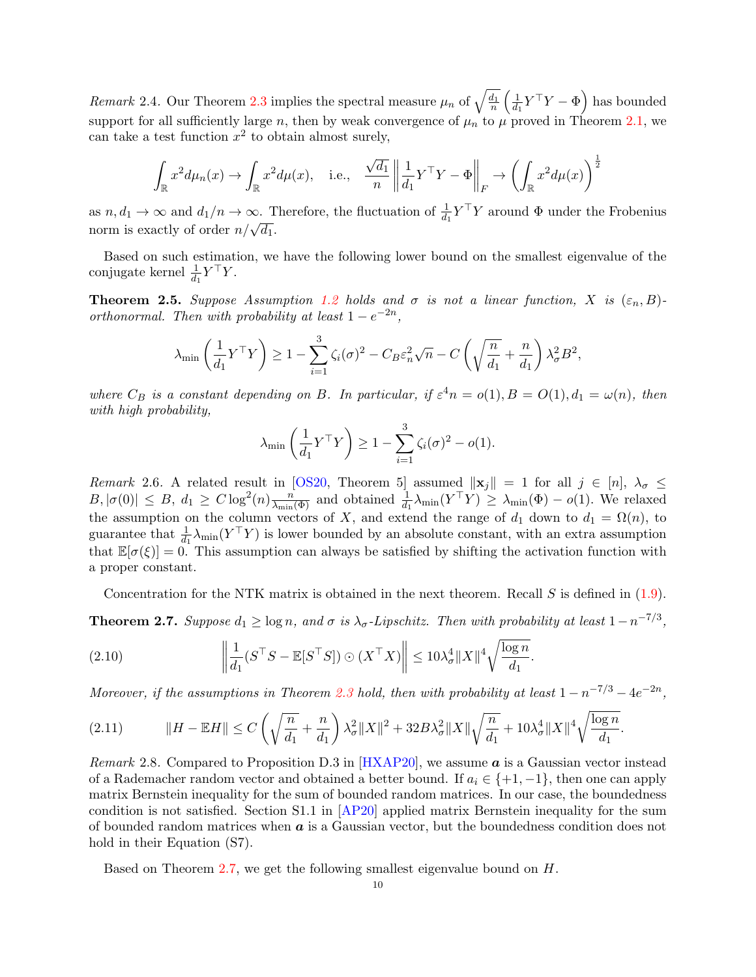Remark 2.4. Our Theorem [2.3](#page-8-2) implies the spectral measure  $\mu_n$  of  $\sqrt{\frac{d_1}{n}} \left( \frac{1}{d_1} \right)$  $\frac{1}{d_1} Y^{\top} Y - \Phi \right)$  has bounded support for all sufficiently large n, then by weak convergence of  $\mu_n$  to  $\mu$  proved in Theorem [2.1,](#page-7-1) we can take a test function  $x^2$  to obtain almost surely,

$$
\int_{\mathbb{R}} x^2 d\mu_n(x) \to \int_{\mathbb{R}} x^2 d\mu(x), \quad \text{i.e.,} \quad \frac{\sqrt{d_1}}{n} \left\| \frac{1}{d_1} Y^\top Y - \Phi \right\|_F \to \left( \int_{\mathbb{R}} x^2 d\mu(x) \right)^{\frac{1}{2}}
$$

as  $n, d_1 \to \infty$  and  $d_1/n \to \infty$ . Therefore, the fluctuation of  $\frac{1}{d_1} Y^{\top} Y$  around  $\Phi$  under the Frobenius  $\lim_{n \to \infty} n, u_1 \to \infty$  and  $u_1/n \to \infty$ . Then  $n/\sqrt{d_1}$ .

Based on such estimation, we have the following lower bound on the smallest eigenvalue of the conjugate kernel  $\frac{1}{d_1} Y^{\top} Y$ .

<span id="page-9-2"></span>**Theorem 2.5.** Suppose Assumption [1.2](#page-5-1) holds and  $\sigma$  is not a linear function, X is  $(\varepsilon_n, B)$ orthonormal. Then with probability at least  $1 - e^{-2n}$ ,

$$
\lambda_{\min}\left(\frac{1}{d_1}Y^{\top}Y\right) \ge 1 - \sum_{i=1}^{3} \zeta_i(\sigma)^2 - C_B \varepsilon_n^2 \sqrt{n} - C\left(\sqrt{\frac{n}{d_1}} + \frac{n}{d_1}\right) \lambda_{\sigma}^2 B^2,
$$

where  $C_B$  is a constant depending on B. In particular, if  $\varepsilon^4 n = o(1), B = O(1), d_1 = \omega(n)$ , then with high probability,

$$
\lambda_{\min}\left(\frac{1}{d_1}Y^{\top}Y\right) \ge 1 - \sum_{i=1}^{3} \zeta_i(\sigma)^2 - o(1).
$$

Remark 2.6. A related result in [\[OS20,](#page-45-5) Theorem 5] assumed  $||\mathbf{x}_j|| = 1$  for all  $j \in [n], \lambda_{\sigma} \leq$  $B, |\sigma(0)| \leq B, d_1 \geq C \log^2(n) \frac{n}{\lambda_{\min}(\Phi)}$  and obtained  $\frac{1}{d_1} \lambda_{\min}(Y^{\top}Y) \geq \lambda_{\min}(\Phi) - o(1)$ . We relaxed the assumption on the column vectors of X, and extend the range of  $d_1$  down to  $d_1 = \Omega(n)$ , to guarantee that  $\frac{1}{d_1}\lambda_{\min}(Y^{\top}Y)$  is lower bounded by an absolute constant, with an extra assumption that  $\mathbb{E}[\sigma(\xi)] = 0$ . This assumption can always be satisfied by shifting the activation function with a proper constant.

Concentration for the NTK matrix is obtained in the next theorem. Recall  $S$  is defined in  $(1.9)$ .

<span id="page-9-0"></span>**Theorem 2.7.** Suppose  $d_1 \geq \log n$ , and  $\sigma$  is  $\lambda_{\sigma}$ -Lipschitz. Then with probability at least  $1 - n^{-7/3}$ ,

<span id="page-9-1"></span>(2.10) 
$$
\left\| \frac{1}{d_1} (S^{\top} S - \mathbb{E}[S^{\top} S]) \odot (X^{\top} X) \right\| \leq 10 \lambda_{\sigma}^4 \|X\|^4 \sqrt{\frac{\log n}{d_1}}.
$$

Moreover, if the assumptions in Theorem [2.3](#page-8-2) hold, then with probability at least  $1 - n^{-7/3} - 4e^{-2n}$ ,

<span id="page-9-3"></span>
$$
(2.11) \t\t\t\t||H - \mathbb{E}H|| \le C\left(\sqrt{\frac{n}{d_1}} + \frac{n}{d_1}\right)\lambda_\sigma^2 \|X\|^2 + 32B\lambda_\sigma^2 \|X\| \sqrt{\frac{n}{d_1}} + 10\lambda_\sigma^4 \|X\|^4 \sqrt{\frac{\log n}{d_1}}.
$$

Remark 2.8. Compared to Proposition D.3 in  $[HXAP20]$ , we assume  $\boldsymbol{a}$  is a Gaussian vector instead of a Rademacher random vector and obtained a better bound. If  $a_i \in \{+1, -1\}$ , then one can apply matrix Bernstein inequality for the sum of bounded random matrices. In our case, the boundedness condition is not satisfied. Section S1.1 in [\[AP20\]](#page-43-7) applied matrix Bernstein inequality for the sum of bounded random matrices when  $\boldsymbol{a}$  is a Gaussian vector, but the boundedness condition does not hold in their Equation (S7).

Based on Theorem [2.7,](#page-9-0) we get the following smallest eigenvalue bound on H.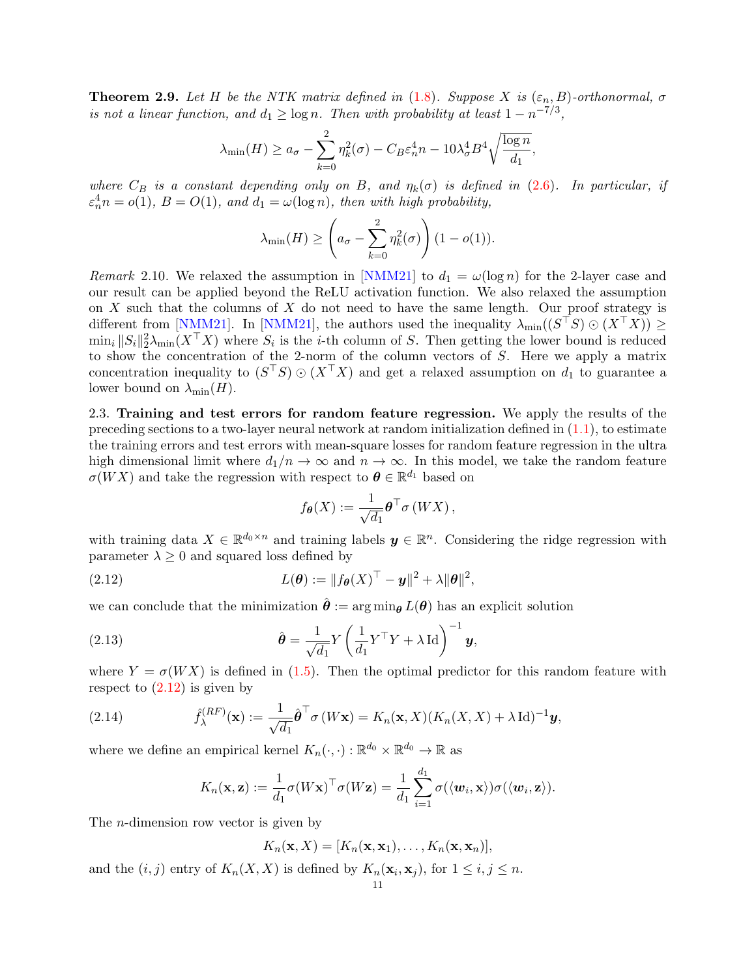<span id="page-10-1"></span>**Theorem 2.9.** Let H be the NTK matrix defined in [\(1.8\)](#page-4-1). Suppose X is  $(\varepsilon_n, B)$ -orthonormal,  $\sigma$ is not a linear function, and  $d_1 \ge \log n$ . Then with probability at least  $1 - n^{-7/3}$ ,

$$
\lambda_{\min}(H) \ge a_{\sigma} - \sum_{k=0}^{2} \eta_k^2(\sigma) - C_B \varepsilon_n^4 n - 10 \lambda_{\sigma}^4 B^4 \sqrt{\frac{\log n}{d_1}},
$$

where  $C_B$  is a constant depending only on B, and  $\eta_k(\sigma)$  is defined in [\(2.6\)](#page-8-3). In particular, if  $\varepsilon_n^4 n = o(1)$ ,  $B = O(1)$ , and  $d_1 = \omega(\log n)$ , then with high probability,

$$
\lambda_{\min}(H) \ge \left(a_{\sigma} - \sum_{k=0}^{2} \eta_k^2(\sigma)\right) (1 - o(1)).
$$

Remark 2.10. We relaxed the assumption in [\[NMM21\]](#page-45-18) to  $d_1 = \omega(\log n)$  for the 2-layer case and our result can be applied beyond the ReLU activation function. We also relaxed the assumption on  $X$  such that the columns of  $X$  do not need to have the same length. Our proof strategy is different from [\[NMM21\]](#page-45-18). In [NMM21], the authors used the inequality  $\lambda_{\min}((S^{\top}S) \odot (X^{\top}X)) \geq$  $\min_i \|S_i\|_2^2 \lambda_{\min}(X^{\top}X)$  where  $S_i$  is the *i*-th column of S. Then getting the lower bound is reduced to show the concentration of the 2-norm of the column vectors of S. Here we apply a matrix concentration inequality to  $(S^{\top}S) \odot (X^{\top}X)$  and get a relaxed assumption on  $d_1$  to guarantee a lower bound on  $\lambda_{\min}(H)$ .

2.3. Training and test errors for random feature regression. We apply the results of the preceding sections to a two-layer neural network at random initialization defined in  $(1.1)$ , to estimate the training errors and test errors with mean-square losses for random feature regression in the ultra high dimensional limit where  $d_1/n \to \infty$  and  $n \to \infty$ . In this model, we take the random feature  $\sigma(WX)$  and take the regression with respect to  $\boldsymbol{\theta} \in \mathbb{R}^{d_1}$  based on

$$
f_{\boldsymbol{\theta}}(X) := \frac{1}{\sqrt{d_1}} {\boldsymbol{\theta}}^\top \sigma(WX),
$$

with training data  $X \in \mathbb{R}^{d_0 \times n}$  and training labels  $y \in \mathbb{R}^n$ . Considering the ridge regression with parameter  $\lambda \geq 0$  and squared loss defined by

<span id="page-10-0"></span>(2.12) 
$$
L(\boldsymbol{\theta}) := ||f_{\boldsymbol{\theta}}(X)^{\top} - \boldsymbol{y}||^2 + \lambda ||\boldsymbol{\theta}||^2,
$$

we can conclude that the minimization  $\hat{\theta} := \arg \min_{\theta} L(\theta)$  has an explicit solution

(2.13) 
$$
\hat{\boldsymbol{\theta}} = \frac{1}{\sqrt{d_1}} Y \left( \frac{1}{d_1} Y^\top Y + \lambda \operatorname{Id} \right)^{-1} \mathbf{y},
$$

where  $Y = \sigma(WX)$  is defined in [\(1.5\)](#page-4-0). Then the optimal predictor for this random feature with respect to  $(2.12)$  is given by

(2.14) 
$$
\hat{f}_{\lambda}^{(RF)}(\mathbf{x}) := \frac{1}{\sqrt{d_1}} \hat{\boldsymbol{\theta}}^{\top} \sigma(W\mathbf{x}) = K_n(\mathbf{x}, X)(K_n(X, X) + \lambda \operatorname{Id})^{-1} \mathbf{y},
$$

where we define an empirical kernel  $K_n(\cdot, \cdot) : \mathbb{R}^{d_0} \times \mathbb{R}^{d_0} \to \mathbb{R}$  as

$$
K_n(\mathbf{x}, \mathbf{z}) := \frac{1}{d_1} \sigma(W\mathbf{x})^\top \sigma(W\mathbf{z}) = \frac{1}{d_1} \sum_{i=1}^{d_1} \sigma(\langle \mathbf{w}_i, \mathbf{x} \rangle) \sigma(\langle \mathbf{w}_i, \mathbf{z} \rangle).
$$

The n-dimension row vector is given by

$$
K_n(\mathbf{x}, X) = [K_n(\mathbf{x}, \mathbf{x}_1), \dots, K_n(\mathbf{x}, \mathbf{x}_n)],
$$

and the  $(i, j)$  entry of  $K_n(X, X)$  is defined by  $K_n(\mathbf{x}_i, \mathbf{x}_j)$ , for  $1 \leq i, j \leq n$ .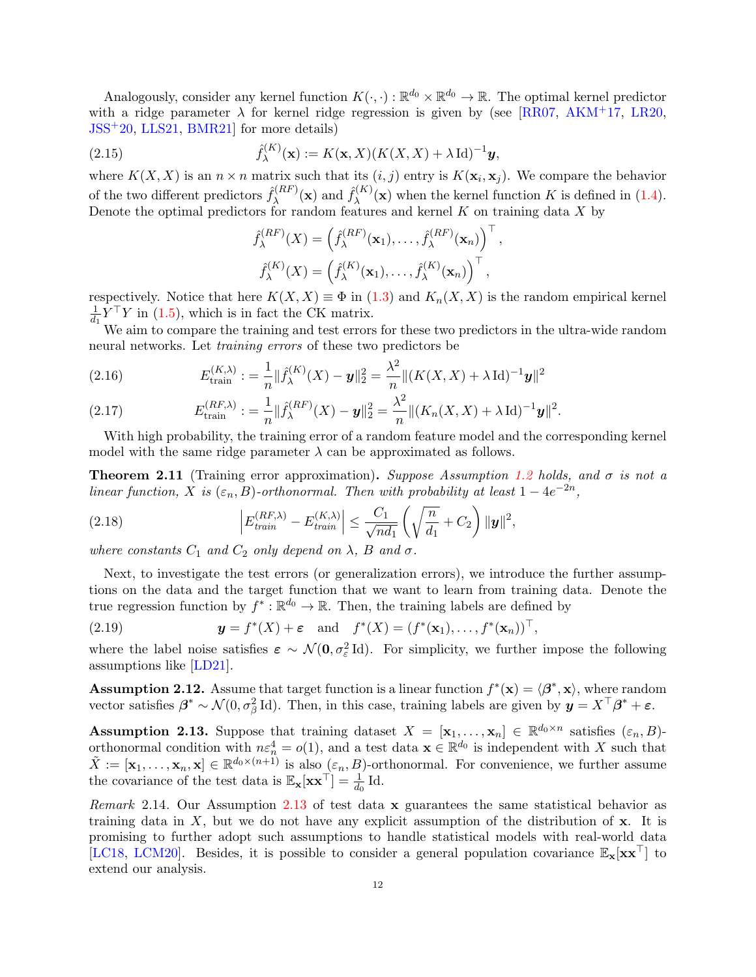Analogously, consider any kernel function  $K(\cdot, \cdot): \mathbb{R}^{d_0} \times \mathbb{R}^{d_0} \to \mathbb{R}$ . The optimal kernel predictor with a ridge parameter  $\lambda$  for kernel ridge regression is given by (see [\[RR07,](#page-45-2) [AKM](#page-42-2)<sup>+</sup>17, [LR20,](#page-44-18) [JSS](#page-44-17)+20, [LLS21,](#page-44-19) [BMR21\]](#page-43-22) for more details)

(2.15) 
$$
\hat{f}_{\lambda}^{(K)}(\mathbf{x}) := K(\mathbf{x}, X)(K(X, X) + \lambda \operatorname{Id})^{-1} \mathbf{y},
$$

where  $K(X, X)$  is an  $n \times n$  matrix such that its  $(i, j)$  entry is  $K(\mathbf{x}_i, \mathbf{x}_j)$ . We compare the behavior of the two different predictors  $\hat{f}_{\lambda}^{(RF)}$  $\hat{f}_{\lambda}^{(RF)}(\mathbf{x})$  and  $\hat{f}_{\lambda}^{(K)}$  $\lambda^{(K)}(\mathbf{x})$  when the kernel function K is defined in [\(1.4\)](#page-3-1). Denote the optimal predictors for random features and kernel  $K$  on training data  $X$  by

$$
\hat{f}_{\lambda}^{(RF)}(X) = \left(\hat{f}_{\lambda}^{(RF)}(\mathbf{x}_1), \dots, \hat{f}_{\lambda}^{(RF)}(\mathbf{x}_n)\right)^{\top},
$$

$$
\hat{f}_{\lambda}^{(K)}(X) = \left(\hat{f}_{\lambda}^{(K)}(\mathbf{x}_1), \dots, \hat{f}_{\lambda}^{(K)}(\mathbf{x}_n)\right)^{\top},
$$

respectively. Notice that here  $K(X, X) \equiv \Phi$  in [\(1.3\)](#page-3-2) and  $K_n(X, X)$  is the random empirical kernel 1  $\frac{1}{d_1} Y^{\top} Y$  in [\(1.5\)](#page-4-0), which is in fact the CK matrix.

We aim to compare the training and test errors for these two predictors in the ultra-wide random neural networks. Let training errors of these two predictors be

<span id="page-11-3"></span>(2.16) 
$$
E_{\text{train}}^{(K,\lambda)} := \frac{1}{n} \|\hat{f}_{\lambda}^{(K)}(X) - \mathbf{y}\|_2^2 = \frac{\lambda^2}{n} \|(K(X,X) + \lambda \operatorname{Id})^{-1} \mathbf{y}\|^2
$$

<span id="page-11-4"></span>(2.17) 
$$
E_{\text{train}}^{(RF,\lambda)} := \frac{1}{n} \|\hat{f}_{\lambda}^{(RF)}(X) - \mathbf{y}\|_2^2 = \frac{\lambda^2}{n} \|(K_n(X,X) + \lambda \operatorname{Id})^{-1}\mathbf{y}\|^2.
$$

With high probability, the training error of a random feature model and the corresponding kernel model with the same ridge parameter  $\lambda$  can be approximated as follows.

<span id="page-11-2"></span>**Theorem 2.11** (Training error approximation). Suppose Assumption [1.2](#page-5-1) holds, and  $\sigma$  is not a linear function, X is  $(\varepsilon_n, B)$ -orthonormal. Then with probability at least  $1 - 4e^{-2n}$ ,

<span id="page-11-5"></span>(2.18) 
$$
\left| E_{\text{train}}^{(RF,\lambda)} - E_{\text{train}}^{(K,\lambda)} \right| \leq \frac{C_1}{\sqrt{nd_1}} \left( \sqrt{\frac{n}{d_1}} + C_2 \right) ||\mathbf{y}||^2,
$$

where constants  $C_1$  and  $C_2$  only depend on  $\lambda$ ,  $B$  and  $\sigma$ .

Next, to investigate the test errors (or generalization errors), we introduce the further assumptions on the data and the target function that we want to learn from training data. Denote the true regression function by  $f^* : \mathbb{R}^{d_0} \to \mathbb{R}$ . Then, the training labels are defined by

(2.19) 
$$
\mathbf{y} = f^*(X) + \varepsilon \quad \text{and} \quad f^*(X) = (f^*(\mathbf{x}_1), \dots, f^*(\mathbf{x}_n))^\top,
$$

where the label noise satisfies  $\varepsilon \sim \mathcal{N}(0, \sigma_{\varepsilon}^2 \text{Id})$ . For simplicity, we further impose the following assumptions like [\[LD21\]](#page-44-14).

<span id="page-11-1"></span>**Assumption 2.12.** Assume that target function is a linear function  $f^*(\mathbf{x}) = \langle \beta^*, \mathbf{x} \rangle$ , where random vector satisfies  $\beta^* \sim \mathcal{N}(0, \sigma_\beta^2 \mathrm{Id})$ . Then, in this case, training labels are given by  $y = X^\top \beta^* + \varepsilon$ .

<span id="page-11-0"></span>**Assumption 2.13.** Suppose that training dataset  $X = [\mathbf{x}_1, \dots, \mathbf{x}_n] \in \mathbb{R}^{d_0 \times n}$  satisfies  $(\varepsilon_n, B)$ orthonormal condition with  $n\varepsilon_n^4 = o(1)$ , and a test data  $\mathbf{x} \in \mathbb{R}^{d_0}$  is independent with X such that  $\tilde{X} := [\mathbf{x}_1, \dots, \mathbf{x}_n, \mathbf{x}] \in \mathbb{R}^{d_0 \times (n+1)}$  is also  $(\varepsilon_n, B)$ -orthonormal. For convenience, we further assume the covariance of the test data is  $\mathbb{E}_{\mathbf{x}}[\mathbf{x}\mathbf{x}^{\top}] = \frac{1}{d_0} \operatorname{Id}$ .

Remark 2.14. Our Assumption [2.13](#page-11-0) of test data x guarantees the same statistical behavior as training data in  $X$ , but we do not have any explicit assumption of the distribution of  $x$ . It is promising to further adopt such assumptions to handle statistical models with real-world data [\[LC18,](#page-44-20) [LCM20\]](#page-44-4). Besides, it is possible to consider a general population covariance  $\mathbb{E}_{\mathbf{x}}[\mathbf{x}\mathbf{x}^{\top}]$  to extend our analysis.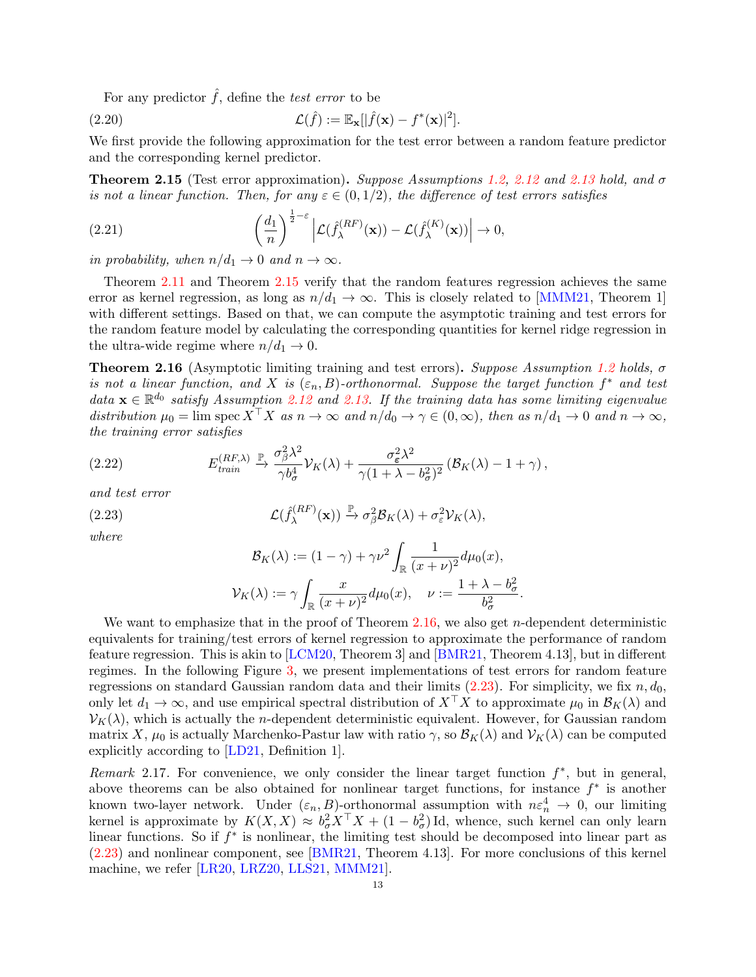For any predictor  $\hat{f}$ , define the test error to be

<span id="page-12-3"></span>(2.20) 
$$
\mathcal{L}(\hat{f}) := \mathbb{E}_{\mathbf{x}}[|\hat{f}(\mathbf{x}) - f^*(\mathbf{x})|^2].
$$

We first provide the following approximation for the test error between a random feature predictor and the corresponding kernel predictor.

<span id="page-12-0"></span>**Theorem 2.15** (Test error approximation). Suppose Assumptions [1.2,](#page-5-1) [2.12](#page-11-1) and [2.13](#page-11-0) hold, and  $\sigma$ is not a linear function. Then, for any  $\varepsilon \in (0,1/2)$ , the difference of test errors satisfies

<span id="page-12-4"></span>(2.21) 
$$
\left(\frac{d_1}{n}\right)^{\frac{1}{2}-\varepsilon}\left|\mathcal{L}(\hat{f}_{\lambda}^{(RF)}(\mathbf{x}))-\mathcal{L}(\hat{f}_{\lambda}^{(K)}(\mathbf{x}))\right|\to 0,
$$

in probability, when  $n/d_1 \rightarrow 0$  and  $n \rightarrow \infty$ .

Theorem [2.11](#page-11-2) and Theorem [2.15](#page-12-0) verify that the random features regression achieves the same error as kernel regression, as long as  $n/d_1 \rightarrow \infty$ . This is closely related to [\[MMM21,](#page-44-15) Theorem 1] with different settings. Based on that, we can compute the asymptotic training and test errors for the random feature model by calculating the corresponding quantities for kernel ridge regression in the ultra-wide regime where  $n/d_1 \rightarrow 0$ .

<span id="page-12-1"></span>**Theorem 2.16** (Asymptotic limiting training and test errors). Suppose Assumption [1.2](#page-5-1) holds,  $\sigma$ is not a linear function, and X is  $(\varepsilon_n, B)$ -orthonormal. Suppose the target function  $f^*$  and test data  $\mathbf{x} \in \mathbb{R}^{d_0}$  satisfy Assumption [2.12](#page-11-1) and [2.13.](#page-11-0) If the training data has some limiting eigenvalue distribution  $\mu_0 = \lim_{\delta \to 0} \operatorname{spec} X^{\dagger} X$  as  $n \to \infty$  and  $n/d_0 \to \gamma \in (0, \infty)$ , then as  $n/d_1 \to 0$  and  $n \to \infty$ , the training error satisfies

(2.22) 
$$
E_{\text{train}}^{(RF,\lambda)} \xrightarrow{\mathbb{P}} \frac{\sigma_{\beta}^2 \lambda^2}{\gamma b_{\sigma}^4} \mathcal{V}_K(\lambda) + \frac{\sigma_{\varepsilon}^2 \lambda^2}{\gamma (1 + \lambda - b_{\sigma}^2)^2} \left( \mathcal{B}_K(\lambda) - 1 + \gamma \right),
$$

and test error

(2.23) 
$$
\mathcal{L}(\hat{f}_{\lambda}^{(RF)}(\mathbf{x})) \xrightarrow{\mathbb{P}} \sigma_{\beta}^{2} \mathcal{B}_{K}(\lambda) + \sigma_{\varepsilon}^{2} \mathcal{V}_{K}(\lambda),
$$

where

<span id="page-12-2"></span>
$$
\mathcal{B}_K(\lambda) := (1 - \gamma) + \gamma \nu^2 \int_{\mathbb{R}} \frac{1}{(x + \nu)^2} d\mu_0(x),
$$
  

$$
\mathcal{V}_K(\lambda) := \gamma \int_{\mathbb{R}} \frac{x}{(x + \nu)^2} d\mu_0(x), \quad \nu := \frac{1 + \lambda - b_\sigma^2}{b_\sigma^2}.
$$

We want to emphasize that in the proof of Theorem [2.16,](#page-12-1) we also get  $n$ -dependent deterministic equivalents for training/test errors of kernel regression to approximate the performance of random feature regression. This is akin to [\[LCM20,](#page-44-4) Theorem 3] and [\[BMR21,](#page-43-22) Theorem 4.13], but in different regimes. In the following Figure [3,](#page-13-0) we present implementations of test errors for random feature regressions on standard Gaussian random data and their limits [\(2.23\)](#page-12-2). For simplicity, we fix  $n, d_0$ , only let  $d_1 \to \infty$ , and use empirical spectral distribution of  $X^{\top}X$  to approximate  $\mu_0$  in  $\mathcal{B}_K(\lambda)$  and  $\mathcal{V}_K(\lambda)$ , which is actually the *n*-dependent deterministic equivalent. However, for Gaussian random matrix X,  $\mu_0$  is actually Marchenko-Pastur law with ratio  $\gamma$ , so  $\mathcal{B}_K(\lambda)$  and  $\mathcal{V}_K(\lambda)$  can be computed explicitly according to [\[LD21,](#page-44-14) Definition 1].

Remark 2.17. For convenience, we only consider the linear target function  $f^*$ , but in general, above theorems can be also obtained for nonlinear target functions, for instance  $f^*$  is another known two-layer network. Under  $(\varepsilon_n, B)$ -orthonormal assumption with  $n \varepsilon_n^4 \to 0$ , our limiting kernel is approximate by  $K(X, X) \approx b_{\sigma}^2 X^{\top} X + (1 - b_{\sigma}^2) \text{Id}$ , whence, such kernel can only learn linear functions. So if  $f^*$  is nonlinear, the limiting test should be decomposed into linear part as [\(2.23\)](#page-12-2) and nonlinear component, see [\[BMR21,](#page-43-22) Theorem 4.13]. For more conclusions of this kernel machine, we refer [\[LR20,](#page-44-18) [LRZ20,](#page-44-8) [LLS21,](#page-44-19) [MMM21\]](#page-44-15).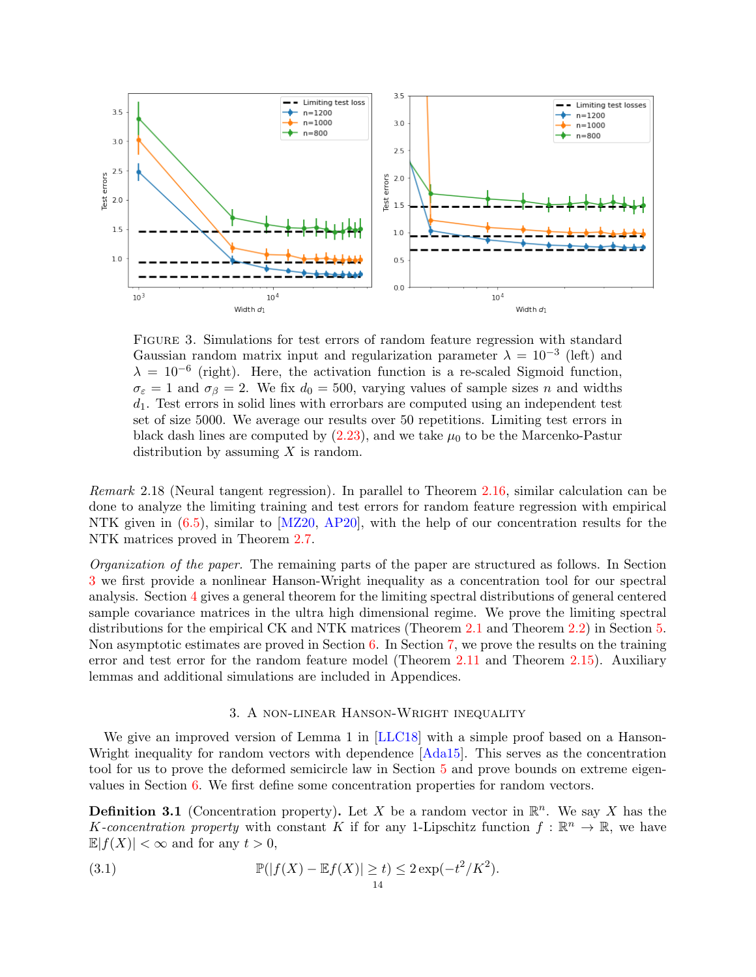

<span id="page-13-0"></span>Figure 3. Simulations for test errors of random feature regression with standard Gaussian random matrix input and regularization parameter  $\lambda = 10^{-3}$  (left) and  $\lambda = 10^{-6}$  (right). Here, the activation function is a re-scaled Sigmoid function,  $\sigma_{\varepsilon} = 1$  and  $\sigma_{\beta} = 2$ . We fix  $d_0 = 500$ , varying values of sample sizes n and widths  $d_1$ . Test errors in solid lines with errorbars are computed using an independent test set of size 5000. We average our results over 50 repetitions. Limiting test errors in black dash lines are computed by  $(2.23)$ , and we take  $\mu_0$  to be the Marcenko-Pastur distribution by assuming  $X$  is random.

Remark 2.18 (Neural tangent regression). In parallel to Theorem [2.16,](#page-12-1) similar calculation can be done to analyze the limiting training and test errors for random feature regression with empirical NTK given in  $(6.5)$ , similar to [\[MZ20,](#page-44-9) [AP20\]](#page-43-7), with the help of our concentration results for the NTK matrices proved in Theorem [2.7.](#page-9-0)

Organization of the paper. The remaining parts of the paper are structured as follows. In Section [3](#page-13-1) we first provide a nonlinear Hanson-Wright inequality as a concentration tool for our spectral analysis. Section [4](#page-16-0) gives a general theorem for the limiting spectral distributions of general centered sample covariance matrices in the ultra high dimensional regime. We prove the limiting spectral distributions for the empirical CK and NTK matrices (Theorem [2.1](#page-7-1) and Theorem [2.2\)](#page-8-4) in Section [5.](#page-23-0) Non asymptotic estimates are proved in Section [6.](#page-30-0) In Section [7,](#page-34-0) we prove the results on the training error and test error for the random feature model (Theorem [2.11](#page-11-2) and Theorem [2.15\)](#page-12-0). Auxiliary lemmas and additional simulations are included in Appendices.

# 3. A non-linear Hanson-Wright inequality

<span id="page-13-1"></span>We give an improved version of Lemma 1 in [\[LLC18\]](#page-44-3) with a simple proof based on a Hanson-Wright inequality for random vectors with dependence  $[Ada15]$ . This serves as the concentration tool for us to prove the deformed semicircle law in Section [5](#page-23-0) and prove bounds on extreme eigenvalues in Section [6.](#page-30-0) We first define some concentration properties for random vectors.

**Definition 3.1** (Concentration property). Let X be a random vector in  $\mathbb{R}^n$ . We say X has the K-concentration property with constant K if for any 1-Lipschitz function  $f : \mathbb{R}^n \to \mathbb{R}$ , we have  $\mathbb{E}|f(X)| < \infty$  and for any  $t > 0$ ,

<span id="page-13-2"></span>(3.1) 
$$
\mathbb{P}(|f(X) - \mathbb{E}f(X)| \ge t) \le 2 \exp(-t^2/K^2).
$$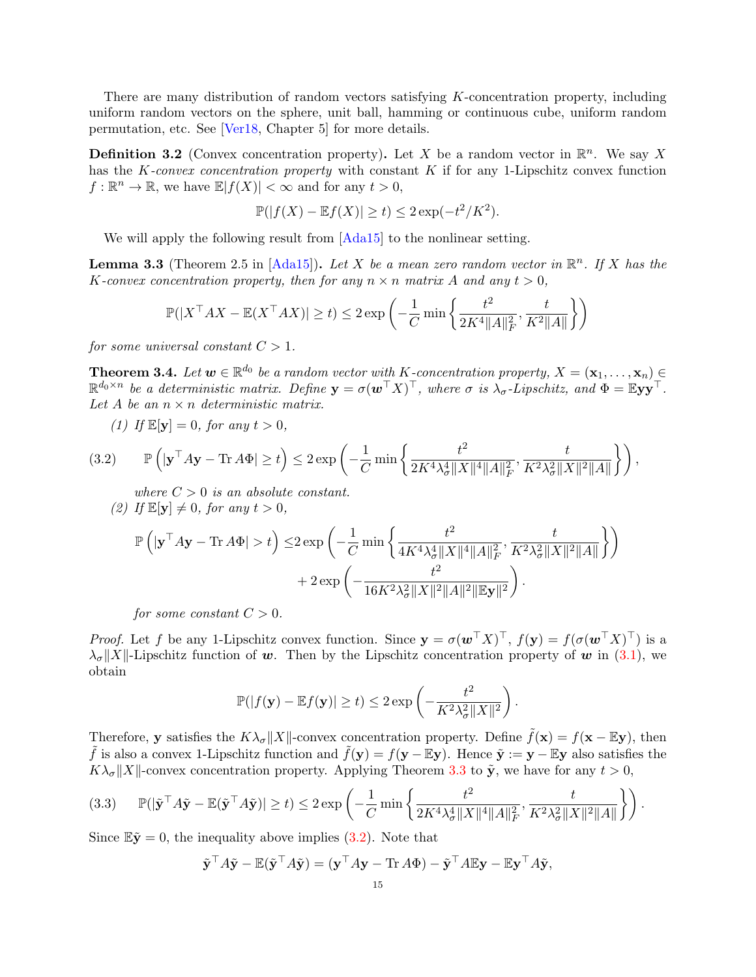There are many distribution of random vectors satisfying K-concentration property, including uniform random vectors on the sphere, unit ball, hamming or continuous cube, uniform random permutation, etc. See [\[Ver18,](#page-45-21) Chapter 5] for more details.

**Definition 3.2** (Convex concentration property). Let X be a random vector in  $\mathbb{R}^n$ . We say X has the K-convex concentration property with constant  $K$  if for any 1-Lipschitz convex function  $f: \mathbb{R}^n \to \mathbb{R}$ , we have  $\mathbb{E}|f(X)| < \infty$  and for any  $t > 0$ ,

$$
\mathbb{P}(|f(X) - \mathbb{E}f(X)| \ge t) \le 2\exp(-t^2/K^2).
$$

We will apply the following result from  $[Ada15]$  to the nonlinear setting.

<span id="page-14-0"></span>**Lemma 3.3** (Theorem 2.5 in  $[Ada15]$ ). Let X be a mean zero random vector in  $\mathbb{R}^n$ . If X has the K-convex concentration property, then for any  $n \times n$  matrix A and any  $t > 0$ ,

$$
\mathbb{P}(|X^{\top}AX-\mathbb{E}(X^{\top}AX)|\geq t)\leq 2\exp\left(-\frac{1}{C}\min\left\{\frac{t^2}{2K^4\|A\|_F^2},\frac{t}{K^2\|A\|}\right\}\right)
$$

for some universal constant  $C > 1$ .

**Theorem 3.4.** Let  $w \in \mathbb{R}^{d_0}$  be a random vector with K-concentration property,  $X = (\mathbf{x}_1, \dots, \mathbf{x}_n) \in$  $\mathbb{R}^{d_0 \times n}$  be a deterministic matrix. Define  $\mathbf{y} = \sigma(\boldsymbol{w}^\top X)^\top$ , where  $\sigma$  is  $\lambda_{\sigma}$ -Lipschitz, and  $\Phi = \mathbb{E} \mathbf{y} \mathbf{y}^\top$ . Let A be an  $n \times n$  deterministic matrix.

(1) If  $\mathbb{E}[\mathbf{y}] = 0$ , for any  $t > 0$ ,

<span id="page-14-1"></span>
$$
(3.2) \qquad \mathbb{P}\left(\left|\mathbf{y}^{\top} A \mathbf{y} - \text{Tr} \, A \Phi\right| \geq t\right) \leq 2 \exp\left(-\frac{1}{C} \min\left\{\frac{t^2}{2K^4 \lambda_{\sigma}^4 \|X\|^4 \|A\|_F^2}, \frac{t}{K^2 \lambda_{\sigma}^2 \|X\|^2 \|A\|}\right\}\right),
$$

where  $C > 0$  is an absolute constant. (2) If  $\mathbb{E}[\mathbf{y}] \neq 0$ , for any  $t > 0$ ,

$$
\begin{aligned} \mathbb{P}\left(|\mathbf{y}^\top A\mathbf{y}-\text{Tr}\,A\Phi|>t\right) \leq& 2\exp\left(-\frac{1}{C}\min\left\{\frac{t^2}{4K^4\lambda_\sigma^4\|X\|^4\|A\|_F^2},\frac{t}{K^2\lambda_\sigma^2\|X\|^2\|A\|}\right\}\right) \\ &+2\exp\left(-\frac{t^2}{16K^2\lambda_\sigma^2\|X\|^2\|A\|^2\|\mathbb{E}\mathbf{y}\|^2}\right). \end{aligned}
$$

for some constant  $C > 0$ .

*Proof.* Let f be any 1-Lipschitz convex function. Since  $y = \sigma(w^{\top}X)^{\top}$ ,  $f(y) = f(\sigma(w^{\top}X)^{\top})$  is a  $\lambda_{\sigma}||X||$ -Lipschitz function of w. Then by the Lipschitz concentration property of w in [\(3.1\)](#page-13-2), we obtain

$$
\mathbb{P}(|f(\mathbf{y}) - \mathbb{E}f(\mathbf{y})| \ge t) \le 2 \exp\left(-\frac{t^2}{K^2 \lambda_{\sigma}^2 ||X||^2}\right)
$$

.

Therefore, y satisfies the  $K\lambda_{\sigma}||X||$ -convex concentration property. Define  $\tilde{f}(\mathbf{x}) = f(\mathbf{x} - \mathbb{E}\mathbf{y})$ , then  $\tilde{f}$  is also a convex 1-Lipschitz function and  $\tilde{f}(\mathbf{y}) = f(\mathbf{y} - \mathbb{E}\mathbf{y})$ . Hence  $\tilde{\mathbf{y}} := \mathbf{y} - \mathbb{E}\mathbf{y}$  also satisfies the  $K\lambda_{\sigma}||X||$ -convex concentration property. Applying Theorem [3.3](#page-14-0) to  $\tilde{y}$ , we have for any  $t > 0$ ,

<span id="page-14-2"></span>
$$
(3.3) \qquad \mathbb{P}(|\tilde{\mathbf{y}}^{\top} A \tilde{\mathbf{y}} - \mathbb{E}(\tilde{\mathbf{y}}^{\top} A \tilde{\mathbf{y}})| \ge t) \le 2 \exp\left(-\frac{1}{C} \min\left\{\frac{t^2}{2K^4 \lambda_{\sigma}^4 \|X\|^4 \|A\|_F^2}, \frac{t}{K^2 \lambda_{\sigma}^2 \|X\|^2 \|A\|}\right\}\right).
$$

Since  $\mathbb{E} \tilde{\mathbf{y}} = 0$ , the inequality above implies [\(3.2\)](#page-14-1). Note that

$$
\tilde{\mathbf{y}}^{\top} A \tilde{\mathbf{y}} - \mathbb{E}(\tilde{\mathbf{y}}^{\top} A \tilde{\mathbf{y}}) = (\mathbf{y}^{\top} A \mathbf{y} - \text{Tr } A \Phi) - \tilde{\mathbf{y}}^{\top} A \mathbb{E} \mathbf{y} - \mathbb{E} \mathbf{y}^{\top} A \tilde{\mathbf{y}},
$$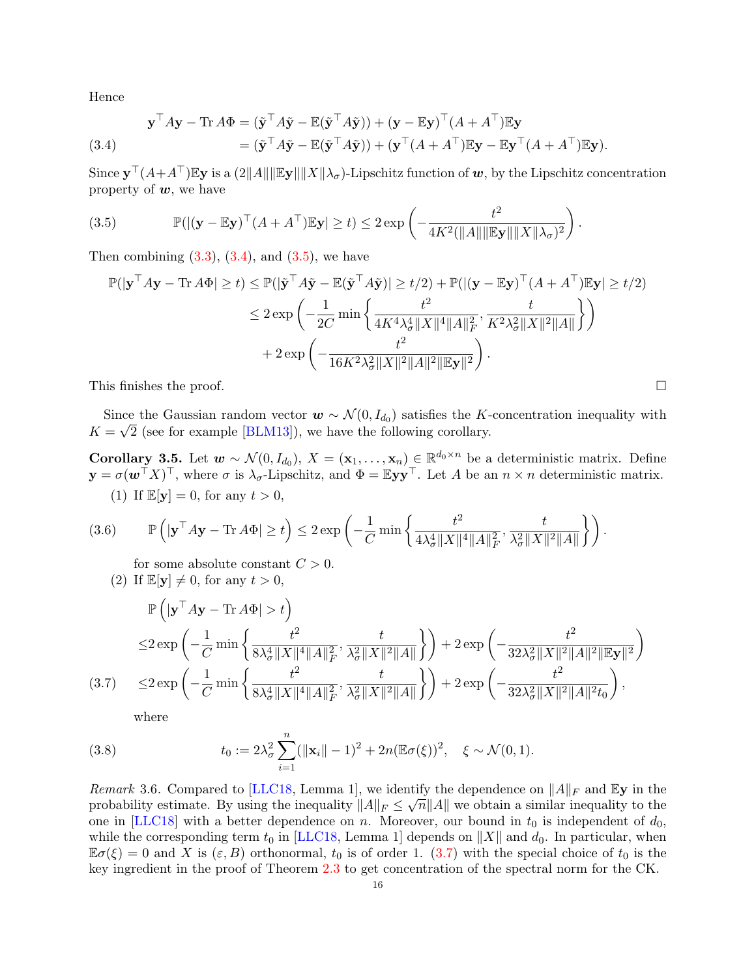Hence

<span id="page-15-1"></span>(3.4) 
$$
\mathbf{y}^{\top} A \mathbf{y} - \text{Tr} A \Phi = (\tilde{\mathbf{y}}^{\top} A \tilde{\mathbf{y}} - \mathbb{E}(\tilde{\mathbf{y}}^{\top} A \tilde{\mathbf{y}})) + (\mathbf{y} - \mathbb{E} \mathbf{y})^{\top} (A + A^{\top}) \mathbb{E} \mathbf{y} = (\tilde{\mathbf{y}}^{\top} A \tilde{\mathbf{y}} - \mathbb{E}(\tilde{\mathbf{y}}^{\top} A \tilde{\mathbf{y}})) + (\mathbf{y}^{\top} (A + A^{\top}) \mathbb{E} \mathbf{y} - \mathbb{E} \mathbf{y}^{\top} (A + A^{\top}) \mathbb{E} \mathbf{y}).
$$

Since  $\mathbf{y}^\top (A+A^\top)\mathbb{E} \mathbf{y}$  is a  $(2\|A\|\|\mathbb{E} \mathbf{y}\| \|X\| \lambda_\sigma)$ -Lipschitz function of  $\bm{w},$  by the Lipschitz concentration property of  $w$ , we have

<span id="page-15-2"></span>(3.5) 
$$
\mathbb{P}(|(\mathbf{y}-\mathbb{E}\mathbf{y})^{\top}(A+A^{\top})\mathbb{E}\mathbf{y}| \geq t) \leq 2 \exp\left(-\frac{t^2}{4K^2(\|A\|\|\mathbb{E}\mathbf{y}\|\|X\|\lambda_{\sigma})^2}\right).
$$

Then combining  $(3.3)$ ,  $(3.4)$ , and  $(3.5)$ , we have

$$
\mathbb{P}(|\mathbf{y}^{\top} A \mathbf{y} - \text{Tr} A \Phi| \ge t) \le \mathbb{P}(|\tilde{\mathbf{y}}^{\top} A \tilde{\mathbf{y}} - \mathbb{E}(\tilde{\mathbf{y}}^{\top} A \tilde{\mathbf{y}})| \ge t/2) + \mathbb{P}(|(\mathbf{y} - \mathbb{E} \mathbf{y})^{\top} (A + A^{\top}) \mathbb{E} \mathbf{y}| \ge t/2)
$$
  

$$
\le 2 \exp\left(-\frac{1}{2C} \min\left\{\frac{t^2}{4K^4 \lambda_{\sigma}^4 \|X\|^4 \|A\|_F^2}, \frac{t}{K^2 \lambda_{\sigma}^2 \|X\|^2 \|A\|}\right\}\right)
$$
  
+ 2 \exp\left(-\frac{t^2}{16K^2 \lambda\_{\sigma}^2 \|X\|^2 \|A\|^2 \| \mathbb{E} \mathbf{y}\|^2}\right).

This finishes the proof.  $\Box$ 

Since the Gaussian random vector  $\mathbf{w} \sim \mathcal{N}(0, I_{d_0})$  satisfies the K-concentration inequality with  $K = \sqrt{2}$  (see for example [\[BLM13\]](#page-43-23)), we have the following corollary.

<span id="page-15-0"></span>Corollary 3.5. Let  $w \sim \mathcal{N}(0, I_{d_0}), X = (\mathbf{x}_1, \dots, \mathbf{x}_n)$  ∈  $\mathbb{R}^{d_0 \times n}$  be a deterministic matrix. Define  $\mathbf{y} = \sigma(\boldsymbol{w}^{\top} X)^{\top}$ , where  $\sigma$  is  $\lambda_{\sigma}$ -Lipschitz, and  $\Phi = \mathbb{E} \mathbf{y} \mathbf{y}^{\top}$ . Let A be an  $n \times n$  deterministic matrix. (1) If  $\mathbb{E}[\mathbf{y}] = 0$ , for any  $t > 0$ ,

<span id="page-15-4"></span>
$$
(3.6) \qquad \mathbb{P}\left(\left|\mathbf{y}^{\top} A \mathbf{y} - \text{Tr} \, A \Phi\right| \geq t\right) \leq 2 \exp\left(-\frac{1}{C} \min\left\{\frac{t^2}{4\lambda_{\sigma}^4 \|X\|^4 \|A\|_F^2}, \frac{t}{\lambda_{\sigma}^2 \|X\|^2 \|A\|}\right\}\right).
$$

for some absolute constant  $C > 0$ .

(2) If  $\mathbb{E}[\mathbf{y}] \neq 0$ , for any  $t > 0$ ,

$$
\mathbb{P}\left(|\mathbf{y}^{\top}A\mathbf{y} - \text{Tr} A\Phi| > t\right)
$$
\n
$$
\leq 2 \exp\left(-\frac{1}{C} \min\left\{\frac{t^2}{8\lambda_{\sigma}^4 \|X\|^4 \|A\|_F^2}, \frac{t}{\lambda_{\sigma}^2 \|X\|^2 \|A\|}\right\}\right) + 2 \exp\left(-\frac{t^2}{32\lambda_{\sigma}^2 \|X\|^2 \|A\|^2 \|E\mathbf{y}\|^2}\right)
$$
\n
$$
(3.7) \leq 2 \exp\left(-\frac{1}{C} \min\left\{\frac{t^2}{8\lambda_{\sigma}^4 \|X\|^4 \|A\|_F^2}, \frac{t}{\lambda_{\sigma}^2 \|X\|^2 \|A\|}\right\}\right) + 2 \exp\left(-\frac{t^2}{32\lambda_{\sigma}^2 \|X\|^2 \|A\|^2 t_0}\right),
$$

<span id="page-15-3"></span>where

(3.8) 
$$
t_0 := 2\lambda_\sigma^2 \sum_{i=1}^n (||\mathbf{x}_i|| - 1)^2 + 2n(\mathbb{E}\sigma(\xi))^2, \quad \xi \sim \mathcal{N}(0, 1).
$$

Remark 3.6. Compared to [\[LLC18,](#page-44-3) Lemma 1], we identify the dependence on  $||A||_F$  and Ey in the probability estimate. By using the inequality  $||A||_F \le \sqrt{n} ||A||$  we obtain a similar inequality to the one in [\[LLC18\]](#page-44-3) with a better dependence on n. Moreover, our bound in  $t_0$  is independent of  $d_0$ , while the corresponding term  $t_0$  in [\[LLC18,](#page-44-3) Lemma 1] depends on ||X|| and  $d_0$ . In particular, when  $\mathbb{E}\sigma(\xi) = 0$  and X is  $(\varepsilon, B)$  orthonormal,  $t_0$  is of order 1. [\(3.7\)](#page-15-3) with the special choice of  $t_0$  is the key ingredient in the proof of Theorem [2.3](#page-8-2) to get concentration of the spectral norm for the CK.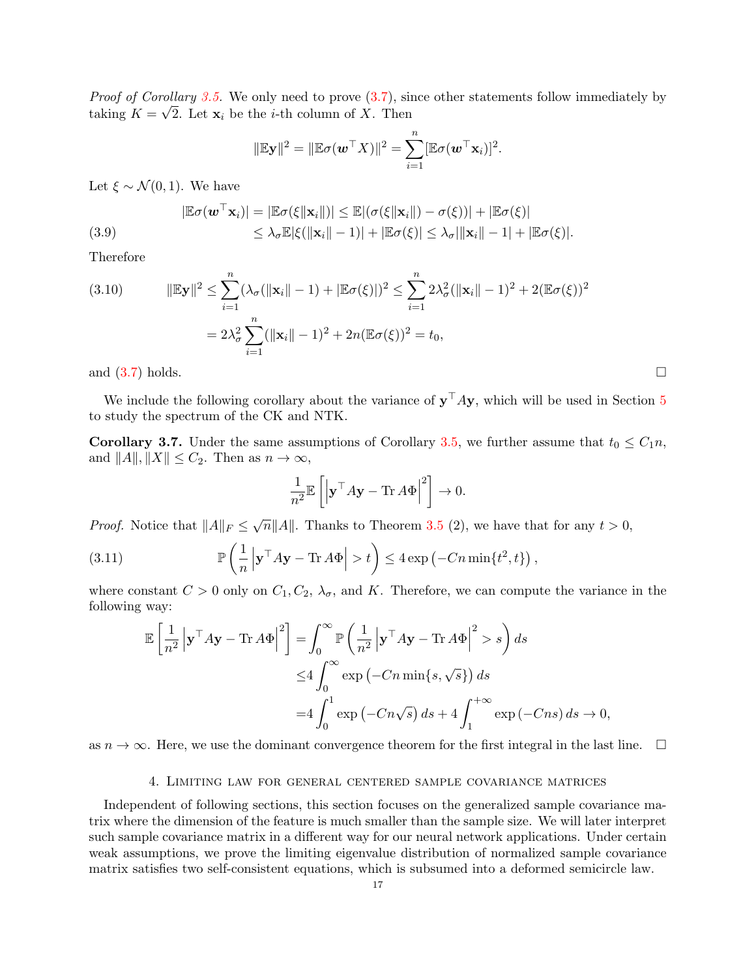*Proof of Corollary [3.5.](#page-15-0)* We only need to prove  $(3.7)$ , since other statements follow immediately by taking  $K = \sqrt{2}$ . Let  $\mathbf{x}_i$  be the *i*-th column of X. Then

$$
\|\mathbb{E}\mathbf{y}\|^2 = \|\mathbb{E}\sigma(\mathbf{w}^\top X)\|^2 = \sum_{i=1}^n [\mathbb{E}\sigma(\mathbf{w}^\top \mathbf{x}_i)]^2.
$$

Let  $\xi \sim \mathcal{N}(0, 1)$ . We have

(3.9) 
$$
|\mathbb{E}\sigma(\boldsymbol{w}^{\top}\mathbf{x}_{i})| = |\mathbb{E}\sigma(\xi||\mathbf{x}_{i}||)| \leq \mathbb{E}|(\sigma(\xi||\mathbf{x}_{i}||) - \sigma(\xi))| + |\mathbb{E}\sigma(\xi)|
$$

$$
\leq \lambda_{\sigma}\mathbb{E}|\xi(||\mathbf{x}_{i}|| - 1)| + |\mathbb{E}\sigma(\xi)| \leq \lambda_{\sigma}||\mathbf{x}_{i}|| - 1| + |\mathbb{E}\sigma(\xi)|.
$$

Therefore

<span id="page-16-2"></span>(3.10) 
$$
\|\mathbb{E} \mathbf{y}\|^2 \leq \sum_{i=1}^n (\lambda_\sigma (\|\mathbf{x}_i\| - 1) + |\mathbb{E} \sigma(\xi)|)^2 \leq \sum_{i=1}^n 2\lambda_\sigma^2 (\|\mathbf{x}_i\| - 1)^2 + 2(\mathbb{E} \sigma(\xi))^2
$$

$$
= 2\lambda_\sigma^2 \sum_{i=1}^n (\|\mathbf{x}_i\| - 1)^2 + 2n(\mathbb{E} \sigma(\xi))^2 = t_0,
$$

and  $(3.7)$  holds.

We include the following corollary about the variance of  $y<sup>T</sup> A y$ , which will be used in Section [5](#page-23-0) to study the spectrum of the CK and NTK.

<span id="page-16-1"></span>**Corollary 3.7.** Under the same assumptions of Corollary [3.5,](#page-15-0) we further assume that  $t_0 \leq C_1 n$ , and  $||A||, ||X|| \leq C_2$ . Then as  $n \to \infty$ ,

$$
\frac{1}{n^2}\mathbb{E}\left[\left|\mathbf{y}^{\top} A \mathbf{y}-\text{Tr}\, A\Phi\right|^2\right]\rightarrow 0.
$$

*Proof.* Notice that  $||A||_F \leq \sqrt{n}||A||$ . Thanks to Theorem [3.5](#page-15-0) (2), we have that for any  $t > 0$ ,

(3.11) 
$$
\mathbb{P}\left(\frac{1}{n}\left|\mathbf{y}^{\top} A \mathbf{y} - \text{Tr} A \Phi\right| > t\right) \leq 4 \exp\left(-Cn \min\{t^2, t\}\right),
$$

where constant  $C > 0$  only on  $C_1, C_2, \lambda_{\sigma}$ , and K. Therefore, we can compute the variance in the following way:

$$
\mathbb{E}\left[\frac{1}{n^2} \left| \mathbf{y}^\top A \mathbf{y} - \text{Tr} \, A \Phi \right|^2 \right] = \int_0^\infty \mathbb{P}\left(\frac{1}{n^2} \left| \mathbf{y}^\top A \mathbf{y} - \text{Tr} \, A \Phi \right|^2 > s\right) ds
$$
  
\n
$$
\leq 4 \int_0^\infty \exp\left(-Cn \min\{s, \sqrt{s}\}\right) ds
$$
  
\n
$$
= 4 \int_0^1 \exp\left(-Cn \sqrt{s}\right) ds + 4 \int_1^{+\infty} \exp\left(-Cns\right) ds \to 0,
$$

as  $n \to \infty$ . Here, we use the dominant convergence theorem for the first integral in the last line.  $\Box$ 

### 4. Limiting law for general centered sample covariance matrices

<span id="page-16-0"></span>Independent of following sections, this section focuses on the generalized sample covariance matrix where the dimension of the feature is much smaller than the sample size. We will later interpret such sample covariance matrix in a different way for our neural network applications. Under certain weak assumptions, we prove the limiting eigenvalue distribution of normalized sample covariance matrix satisfies two self-consistent equations, which is subsumed into a deformed semicircle law.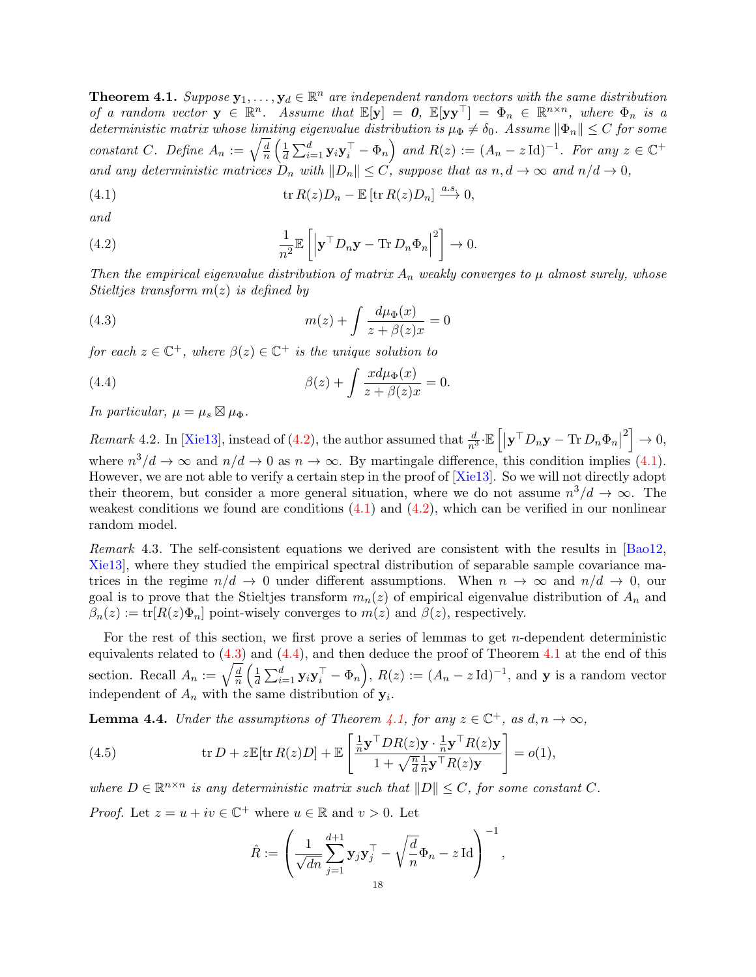<span id="page-17-4"></span>**Theorem 4.1.** Suppose  $\mathbf{y}_1, \ldots, \mathbf{y}_d \in \mathbb{R}^n$  are independent random vectors with the same distribution of a random vector  $y \in \mathbb{R}^n$ . Assume that  $\mathbb{E}[y] = 0$ ,  $\mathbb{E}[yy^{\top}] = \Phi_n \in \mathbb{R}^{n \times n}$ , where  $\Phi_n$  is a deterministic matrix whose limiting eigenvalue distribution is  $\mu_{\Phi} \neq \delta_0$ . Assume  $\|\Phi_n\| \leq C$  for some constant C. Define  $A_n := \sqrt{\frac{d}{n}}$  $\frac{d}{n}\left(\frac{1}{d}\right)$  $\frac{1}{d} \sum_{i=1}^{d} \mathbf{y}_{i} \mathbf{y}_{i}^{\top} - \Phi_{n} \bigg)$  and  $R(z) := (A_{n} - z \operatorname{Id})^{-1}$ . For any  $z \in \mathbb{C}^{+}$ and any deterministic matrices  $D_n$  with  $||D_n|| \leq C$ , suppose that as  $n, d \to \infty$  and  $n/d \to 0$ ,

<span id="page-17-1"></span>(4.1) 
$$
\operatorname{tr} R(z)D_n - \mathbb{E} [\operatorname{tr} R(z)D_n] \xrightarrow{a.s} 0,
$$

and

<span id="page-17-0"></span>(4.2) 
$$
\frac{1}{n^2} \mathbb{E}\left[\left|\mathbf{y}^\top D_n \mathbf{y} - \text{Tr} D_n \Phi_n\right|^2\right] \to 0.
$$

Then the empirical eigenvalue distribution of matrix  $A_n$  weakly converges to  $\mu$  almost surely, whose Stieltjes transform  $m(z)$  is defined by

<span id="page-17-2"></span>(4.3) 
$$
m(z) + \int \frac{d\mu_{\Phi}(x)}{z + \beta(z)x} = 0
$$

for each  $z \in \mathbb{C}^+$ , where  $\beta(z) \in \mathbb{C}^+$  is the unique solution to

<span id="page-17-3"></span>(4.4) 
$$
\beta(z) + \int \frac{x d\mu_{\Phi}(x)}{z + \beta(z)x} = 0.
$$

In particular,  $\mu = \mu_s \boxtimes \mu_{\Phi}$ .

Remark 4.2. In [\[Xie13\]](#page-45-14), instead of [\(4.2\)](#page-17-0), the author assumed that  $\frac{d}{n^3} \mathbb{E}\left[\left|\mathbf{y}^\top D_n \mathbf{y} - \text{Tr}\, D_n \Phi_n\right|\right]$  $2^2$   $\rightarrow$  0, where  $n^3/d \to \infty$  and  $n/d \to 0$  as  $n \to \infty$ . By martingale difference, this condition implies [\(4.1\)](#page-17-1). However, we are not able to verify a certain step in the proof of [\[Xie13\]](#page-45-14). So we will not directly adopt their theorem, but consider a more general situation, where we do not assume  $n^3/d \to \infty$ . The weakest conditions we found are conditions  $(4.1)$  and  $(4.2)$ , which can be verified in our nonlinear random model.

Remark 4.3. The self-consistent equations we derived are consistent with the results in [\[Bao12,](#page-43-17) [Xie13\]](#page-45-14), where they studied the empirical spectral distribution of separable sample covariance matrices in the regime  $n/d \to 0$  under different assumptions. When  $n \to \infty$  and  $n/d \to 0$ , our goal is to prove that the Stieltjes transform  $m_n(z)$  of empirical eigenvalue distribution of  $A_n$  and  $\beta_n(z) := \text{tr}[R(z)\Phi_n]$  point-wisely converges to  $m(z)$  and  $\beta(z)$ , respectively.

For the rest of this section, we first prove a series of lemmas to get n-dependent deterministic equivalents related to  $(4.3)$  and  $(4.4)$ , and then deduce the proof of Theorem [4.1](#page-17-4) at the end of this section. Recall  $A_n := \sqrt{\frac{d}{n}}$  $\frac{\overline{d}}{n}\left(\frac{1}{d}\right)$  $\frac{1}{d} \sum_{i=1}^{d} \mathbf{y}_{i} \mathbf{y}_{i}^{\top} - \Phi_{n} \Big), R(z) := (A_{n} - z \operatorname{Id})^{-1}, \text{ and } \mathbf{y} \text{ is a random vector}$ independent of  $A_n$  with the same distribution of  $y_i$ .

<span id="page-17-6"></span>**Lemma 4.4.** Under the assumptions of Theorem [4.1,](#page-17-4) for any  $z \in \mathbb{C}^+$ , as  $d, n \to \infty$ ,

(4.5) 
$$
\operatorname{tr} D + z \mathbb{E}[\operatorname{tr} R(z)D] + \mathbb{E}\left[\frac{\frac{1}{n}\mathbf{y}^\top D R(z)\mathbf{y} \cdot \frac{1}{n}\mathbf{y}^\top R(z)\mathbf{y}}{1 + \sqrt{\frac{n}{d}}\frac{1}{n}\mathbf{y}^\top R(z)\mathbf{y}}\right] = o(1),
$$

where  $D \in \mathbb{R}^{n \times n}$  is any deterministic matrix such that  $||D|| \leq C$ , for some constant C. *Proof.* Let  $z = u + iv \in \mathbb{C}^+$  where  $u \in \mathbb{R}$  and  $v > 0$ . Let

<span id="page-17-5"></span>
$$
\hat{R}:=\left(\frac{1}{\sqrt{dn}}\sum_{j=1}^{d+1}\mathbf{y}_j\mathbf{y}_j^\top-\sqrt{\frac{d}{n}}\Phi_n-z\operatorname{Id}\right)^{-1},
$$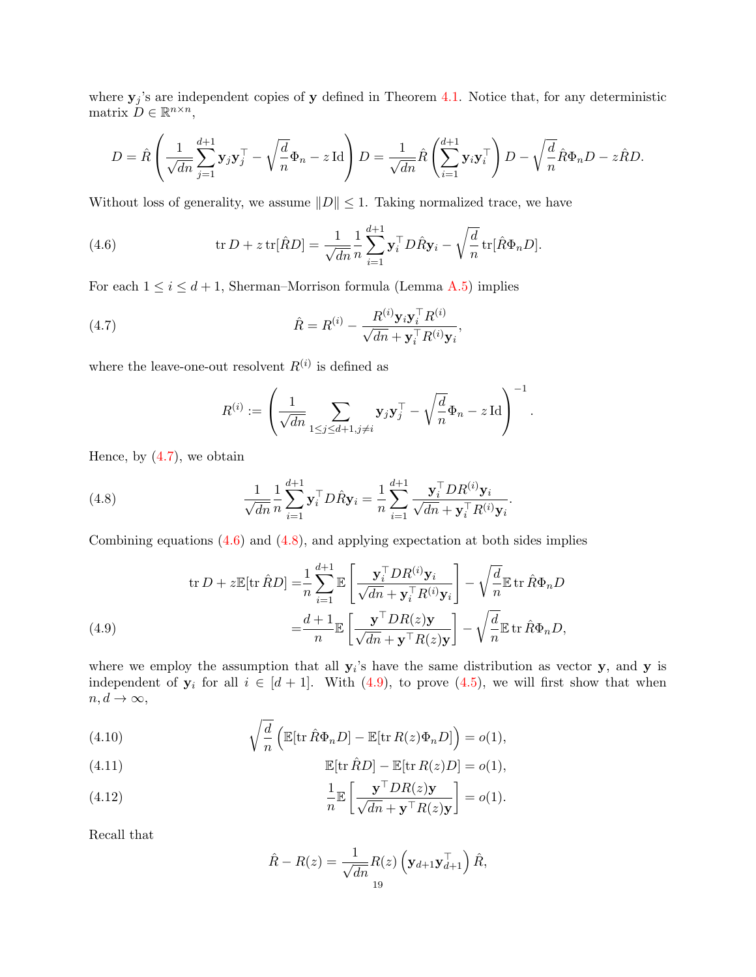where  $y_j$ 's are independent copies of y defined in Theorem [4.1.](#page-17-4) Notice that, for any deterministic matrix  $D \in \mathbb{R}^{n \times n}$ ,

$$
D = \hat{R}\left(\frac{1}{\sqrt{dn}}\sum_{j=1}^{d+1}\mathbf{y}_{j}\mathbf{y}_{j}^{\top} - \sqrt{\frac{d}{n}}\Phi_{n} - z\operatorname{Id}\right)D = \frac{1}{\sqrt{dn}}\hat{R}\left(\sum_{i=1}^{d+1}\mathbf{y}_{i}\mathbf{y}_{i}^{\top}\right)D - \sqrt{\frac{d}{n}}\hat{R}\Phi_{n}D - z\hat{R}D.
$$

Without loss of generality, we assume  $||D|| \leq 1$ . Taking normalized trace, we have

<span id="page-18-1"></span>(4.6) 
$$
\operatorname{tr} D + z \operatorname{tr} [\hat{R}D] = \frac{1}{\sqrt{dn}} \frac{1}{n} \sum_{i=1}^{d+1} \mathbf{y}_i^{\top} D \hat{R} \mathbf{y}_i - \sqrt{\frac{d}{n}} \operatorname{tr} [\hat{R} \Phi_n D].
$$

For each  $1 \leq i \leq d+1$ , Sherman–Morrison formula (Lemma [A.5\)](#page-41-1) implies

(4.7) 
$$
\hat{R} = R^{(i)} - \frac{R^{(i)} \mathbf{y}_i \mathbf{y}_i^\top R^{(i)}}{\sqrt{dn} + \mathbf{y}_i^\top R^{(i)} \mathbf{y}_i},
$$

where the leave-one-out resolvent  $R^{(i)}$  is defined as

<span id="page-18-2"></span><span id="page-18-0"></span>
$$
R^{(i)} := \left(\frac{1}{\sqrt{dn}} \sum_{1 \leq j \leq d+1, j \neq i} \mathbf{y}_j \mathbf{y}_j^\top - \sqrt{\frac{d}{n}} \Phi_n - z \operatorname{Id}\right)^{-1}.
$$

Hence, by  $(4.7)$ , we obtain

(4.8) 
$$
\frac{1}{\sqrt{dn}} \frac{1}{n} \sum_{i=1}^{d+1} \mathbf{y}_i^{\top} D \hat{R} \mathbf{y}_i = \frac{1}{n} \sum_{i=1}^{d+1} \frac{\mathbf{y}_i^{\top} D R^{(i)} \mathbf{y}_i}{\sqrt{dn} + \mathbf{y}_i^{\top} R^{(i)} \mathbf{y}_i}.
$$

Combining equations  $(4.6)$  and  $(4.8)$ , and applying expectation at both sides implies

(4.9) 
$$
\operatorname{tr} D + z \mathbb{E}[\operatorname{tr} \hat{R}D] = \frac{1}{n} \sum_{i=1}^{d+1} \mathbb{E} \left[ \frac{\mathbf{y}_i^{\top} D R^{(i)} \mathbf{y}_i}{\sqrt{dn} + \mathbf{y}_i^{\top} R^{(i)} \mathbf{y}_i} \right] - \sqrt{\frac{d}{n}} \mathbb{E} \operatorname{tr} \hat{R} \Phi_n D
$$

$$
= \frac{d+1}{n} \mathbb{E} \left[ \frac{\mathbf{y}^{\top} D R(z) \mathbf{y}}{\sqrt{dn} + \mathbf{y}^{\top} R(z) \mathbf{y}} \right] - \sqrt{\frac{d}{n}} \mathbb{E} \operatorname{tr} \hat{R} \Phi_n D,
$$

<span id="page-18-3"></span>where we employ the assumption that all  $y_i$ 's have the same distribution as vector y, and y is independent of  $y_i$  for all  $i \in [d+1]$ . With [\(4.9\)](#page-18-3), to prove [\(4.5\)](#page-17-5), we will first show that when  $n, d \rightarrow \infty$ ,

<span id="page-18-4"></span>(4.10) 
$$
\sqrt{\frac{d}{n}} \left( \mathbb{E}[\text{tr}\,\hat{R}\Phi_n D] - \mathbb{E}[\text{tr}\,R(z)\Phi_n D] \right) = o(1),
$$

<span id="page-18-5"></span>(4.11) 
$$
\mathbb{E}[\text{tr}\,\hat{R}D] - \mathbb{E}[\text{tr}\,R(z)D] = o(1),
$$

<span id="page-18-6"></span>(4.12) 
$$
\frac{1}{n} \mathbb{E} \left[ \frac{\mathbf{y}^{\top} DR(z)\mathbf{y}}{\sqrt{dn} + \mathbf{y}^{\top} R(z)\mathbf{y}} \right] = o(1).
$$

Recall that

$$
\hat{R} - R(z) = \frac{1}{\sqrt{dn}} R(z) \left( \mathbf{y}_{d+1} \mathbf{y}_{d+1}^{\top} \right) \hat{R},
$$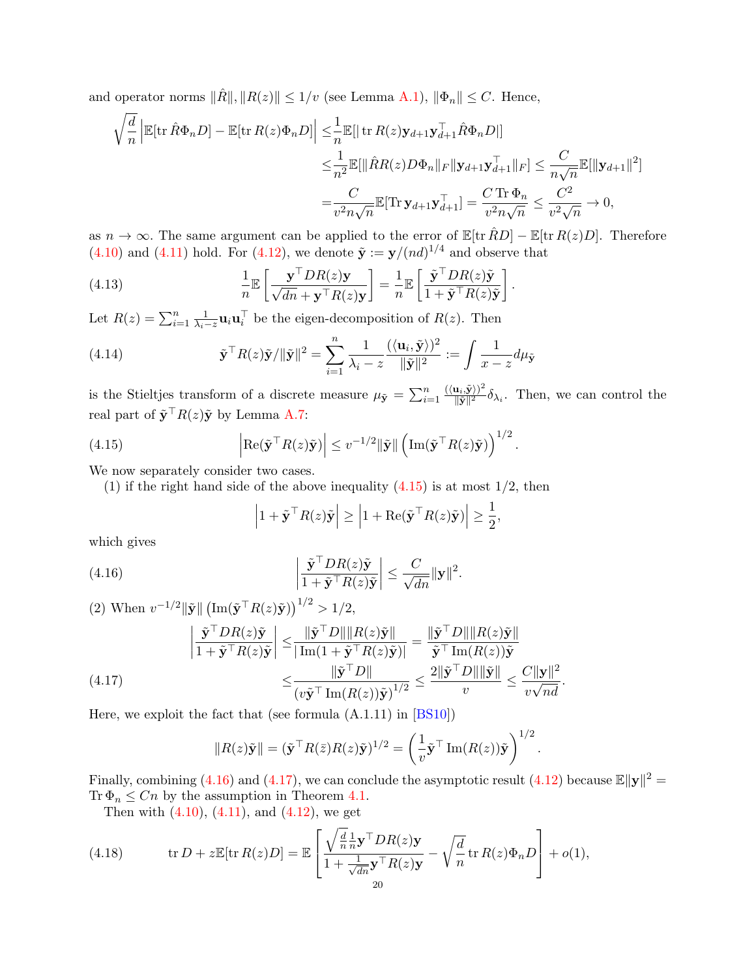and operator norms  $\|\hat{R}\|, \|R(z)\| \leq 1/v$  (see Lemma [A.1\)](#page-40-0),  $\|\Phi_n\| \leq C$ . Hence,

$$
\sqrt{\frac{d}{n}} \left| \mathbb{E}[\text{tr}\,\hat{R}\Phi_n D] - \mathbb{E}[\text{tr}\,R(z)\Phi_n D] \right| \leq \frac{1}{n} \mathbb{E}[\|\text{tr}\,R(z)\mathbf{y}_{d+1}\mathbf{y}_{d+1}^\top \hat{R}\Phi_n D] \n\leq \frac{1}{n^2} \mathbb{E}[\|\hat{R}R(z)D\Phi_n\|_F \|\mathbf{y}_{d+1}\mathbf{y}_{d+1}^\top\|_F] \leq \frac{C}{n\sqrt{n}} \mathbb{E}[\|\mathbf{y}_{d+1}\|^2] \n= \frac{C}{v^2 n\sqrt{n}} \mathbb{E}[\text{Tr}\,\mathbf{y}_{d+1}\mathbf{y}_{d+1}^\top] = \frac{C \text{Tr}\,\Phi_n}{v^2 n\sqrt{n}} \leq \frac{C^2}{v^2 \sqrt{n}} \to 0,
$$

as  $n \to \infty$ . The same argument can be applied to the error of  $\mathbb{E}[\text{tr}\,\hat{R}D] - \mathbb{E}[\text{tr}\,R(z)D]$ . Therefore  $(4.10)$  and  $(4.11)$  hold. For  $(4.12)$ , we denote  $\tilde{\mathbf{y}} := \mathbf{y}/(nd)^{1/4}$  and observe that

(4.13) 
$$
\frac{1}{n} \mathbb{E} \left[ \frac{\mathbf{y}^\top D R(z) \mathbf{y}}{\sqrt{dn} + \mathbf{y}^\top R(z) \mathbf{y}} \right] = \frac{1}{n} \mathbb{E} \left[ \frac{\tilde{\mathbf{y}}^\top D R(z) \tilde{\mathbf{y}}}{1 + \tilde{\mathbf{y}}^\top R(z) \tilde{\mathbf{y}}} \right].
$$

Let  $R(z) = \sum_{i=1}^{n} \frac{1}{\lambda_i - z} \mathbf{u}_i \mathbf{u}_i^{\top}$  be the eigen-decomposition of  $R(z)$ . Then

(4.14) 
$$
\tilde{\mathbf{y}}^{\top} R(z)\tilde{\mathbf{y}}/\|\tilde{\mathbf{y}}\|^2 = \sum_{i=1}^n \frac{1}{\lambda_i - z} \frac{(\langle \mathbf{u}_i, \tilde{\mathbf{y}} \rangle)^2}{\|\tilde{\mathbf{y}}\|^2} := \int \frac{1}{x - z} d\mu_{\tilde{\mathbf{y}}}
$$

is the Stieltjes transform of a discrete measure  $\mu_{\tilde{\mathbf{y}}} = \sum_{i=1}^n \frac{\langle \langle \mathbf{u}_i, \tilde{\mathbf{y}} \rangle \rangle^2}{\|\tilde{\mathbf{y}}\|^2}$  $(\mathbf{k}_i, \mathbf{y})^T \delta_{\lambda_i}$ . Then, we can control the real part of  $\tilde{\mathbf{y}}^\top R(z)\tilde{\mathbf{y}}$  by Lemma [A.7:](#page-41-2)

(4.15) 
$$
\left| \operatorname{Re}(\tilde{\mathbf{y}}^\top R(z)\tilde{\mathbf{y}}) \right| \leq v^{-1/2} \|\tilde{\mathbf{y}}\| \left( \operatorname{Im}(\tilde{\mathbf{y}}^\top R(z)\tilde{\mathbf{y}}) \right)^{1/2}.
$$

We now separately consider two cases.

(1) if the right hand side of the above inequality  $(4.15)$  is at most  $1/2$ , then

<span id="page-19-1"></span><span id="page-19-0"></span>
$$
\left|1+\tilde{\mathbf{y}}^{\top}R(z)\tilde{\mathbf{y}}\right| \geq \left|1+\text{Re}(\tilde{\mathbf{y}}^{\top}R(z)\tilde{\mathbf{y}})\right| \geq \frac{1}{2},
$$

which gives

(4.16) 
$$
\left|\frac{\tilde{\mathbf{y}}^{\top} D R(z) \tilde{\mathbf{y}}}{1 + \tilde{\mathbf{y}}^{\top} R(z) \tilde{\mathbf{y}}}\right| \leq \frac{C}{\sqrt{dn}} ||\mathbf{y}||^2.
$$

(2) When 
$$
v^{-1/2} \|\tilde{\mathbf{y}}\| \left( \operatorname{Im}(\tilde{\mathbf{y}}^\top R(z)\tilde{\mathbf{y}}) \right)^{1/2} > 1/2,
$$
  
\n
$$
\left| \frac{\tilde{\mathbf{y}}^\top D R(z)\tilde{\mathbf{y}}}{1 + \tilde{\mathbf{y}}^\top R(z)\tilde{\mathbf{y}}}\right| \leq \frac{\|\tilde{\mathbf{y}}^\top D\| \|R(z)\tilde{\mathbf{y}}\|}{|\operatorname{Im}(1 + \tilde{\mathbf{y}}^\top R(z)\tilde{\mathbf{y}})|} = \frac{\|\tilde{\mathbf{y}}^\top D\| \|R(z)\tilde{\mathbf{y}}\|}{\tilde{\mathbf{y}}^\top \operatorname{Im}(R(z))\tilde{\mathbf{y}}}
$$
\n(4.17)  
\n
$$
\leq \frac{\|\tilde{\mathbf{y}}^\top D\|}{(v\tilde{\mathbf{y}}^\top \operatorname{Im}(R(z))\tilde{\mathbf{y}})^{1/2}} \leq \frac{2\|\tilde{\mathbf{y}}^\top D\| \|\tilde{\mathbf{y}}\|}{v} \leq \frac{C\|\mathbf{y}\|^2}{v\sqrt{nd}}.
$$

<span id="page-19-2"></span>Here, we exploit the fact that (see formula (A.1.11) in [\[BS10\]](#page-43-24))

$$
||R(z)\tilde{\mathbf{y}}|| = (\tilde{\mathbf{y}}^\top R(\bar{z})R(z)\tilde{\mathbf{y}})^{1/2} = \left(\frac{1}{v}\tilde{\mathbf{y}}^\top \operatorname{Im}(R(z))\tilde{\mathbf{y}}\right)^{1/2}.
$$

Finally, combining [\(4.16\)](#page-19-1) and [\(4.17\)](#page-19-2), we can conclude the asymptotic result [\(4.12\)](#page-18-6) because  $\mathbb{E} \|\mathbf{y}\|^2 =$ Tr  $\Phi_n \leq Cn$  by the assumption in Theorem [4.1.](#page-17-4)

<span id="page-19-3"></span>Then with  $(4.10)$ ,  $(4.11)$ , and  $(4.12)$ , we get

(4.18) 
$$
\operatorname{tr} D + z \mathbb{E}[\operatorname{tr} R(z)D] = \mathbb{E} \left[ \frac{\sqrt{\frac{d}{n}} \frac{1}{n} \mathbf{y}^{\top} D R(z) \mathbf{y}}{1 + \frac{1}{\sqrt{dn}} \mathbf{y}^{\top} R(z) \mathbf{y}} - \sqrt{\frac{d}{n}} \operatorname{tr} R(z) \Phi_n D \right] + o(1),
$$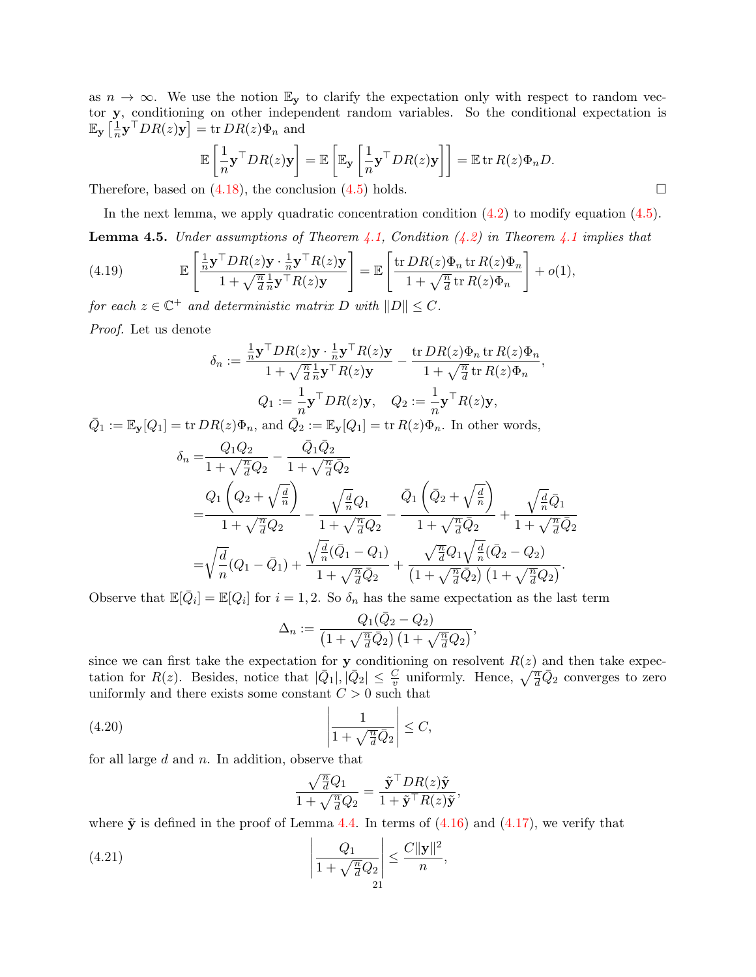as  $n \to \infty$ . We use the notion  $\mathbb{E}_{\mathbf{y}}$  to clarify the expectation only with respect to random vector y, conditioning on other independent random variables. So the conditional expectation is  $\mathbb{E}_{\mathbf{y}}\left[\frac{1}{n}\right]$  $\frac{1}{n}\mathbf{y}^\top DR(z)\mathbf{y}]=\operatorname{tr} DR(z)\Phi_n$  and

$$
\mathbb{E}\left[\frac{1}{n}\mathbf{y}^\top DR(z)\mathbf{y}\right] = \mathbb{E}\left[\mathbb{E}_{\mathbf{y}}\left[\frac{1}{n}\mathbf{y}^\top DR(z)\mathbf{y}\right]\right] = \mathbb{E}\operatorname{tr} R(z)\Phi_nD.
$$

Therefore, based on  $(4.18)$ , the conclusion  $(4.5)$  holds.

<span id="page-20-2"></span>In the next lemma, we apply quadratic concentration condition  $(4.2)$  to modify equation  $(4.5)$ . **Lemma 4.5.** Under assumptions of Theorem [4.1,](#page-17-4) Condition  $(4.2)$  in Theorem [4.1](#page-17-4) implies that

(4.19) 
$$
\mathbb{E}\left[\frac{\frac{1}{n}\mathbf{y}^\top D R(z)\mathbf{y} \cdot \frac{1}{n}\mathbf{y}^\top R(z)\mathbf{y}}{1 + \sqrt{\frac{n}{d}}\frac{1}{n}\mathbf{y}^\top R(z)\mathbf{y}}\right] = \mathbb{E}\left[\frac{\text{tr }DR(z)\Phi_n \text{ tr }R(z)\Phi_n}{1 + \sqrt{\frac{n}{d}}\text{tr }R(z)\Phi_n}\right] + o(1),
$$

for each  $z \in \mathbb{C}^+$  and deterministic matrix D with  $||D|| \leq C$ .

Proof. Let us denote

<span id="page-20-3"></span>
$$
\delta_n := \frac{\frac{1}{n}\mathbf{y}^\top DR(z)\mathbf{y}\cdot\frac{1}{n}\mathbf{y}^\top R(z)\mathbf{y}}{1+\sqrt{\frac{n}{d}}\frac{1}{n}\mathbf{y}^\top R(z)\mathbf{y}} - \frac{\operatorname{tr} DR(z)\Phi_n \operatorname{tr} R(z)\Phi_n}{1+\sqrt{\frac{n}{d}}\operatorname{tr} R(z)\Phi_n},
$$
  

$$
Q_1 := \frac{1}{n}\mathbf{y}^\top DR(z)\mathbf{y}, \quad Q_2 := \frac{1}{n}\mathbf{y}^\top R(z)\mathbf{y},
$$

 $\overline{Q}_1 := \mathbb{E}_{{\bf y}}[Q_1] = \text{tr} \, DR(z)\Phi_n$ , and  $\overline{Q}_2 := \mathbb{E}_{{\bf y}}[Q_1] = \text{tr} \, R(z)\Phi_n$ . In other words,

$$
\delta_n = \frac{Q_1 Q_2}{1 + \sqrt{\frac{n}{d}} Q_2} - \frac{\bar{Q}_1 \bar{Q}_2}{1 + \sqrt{\frac{n}{d}} \bar{Q}_2} \n= \frac{Q_1 \left( Q_2 + \sqrt{\frac{d}{n}} \right)}{1 + \sqrt{\frac{n}{d}} Q_2} - \frac{\sqrt{\frac{d}{n}} Q_1}{1 + \sqrt{\frac{n}{d}} Q_2} - \frac{\bar{Q}_1 \left( \bar{Q}_2 + \sqrt{\frac{d}{n}} \right)}{1 + \sqrt{\frac{n}{d}} \bar{Q}_2} + \frac{\sqrt{\frac{d}{n}} \bar{Q}_1}{1 + \sqrt{\frac{n}{d}} \bar{Q}_2} \n= \sqrt{\frac{d}{n}} (Q_1 - \bar{Q}_1) + \frac{\sqrt{\frac{d}{n}} (\bar{Q}_1 - Q_1)}{1 + \sqrt{\frac{n}{d}} \bar{Q}_2} + \frac{\sqrt{\frac{n}{d}} Q_1 \sqrt{\frac{d}{n}} (\bar{Q}_2 - Q_2)}{\left(1 + \sqrt{\frac{n}{d}} \bar{Q}_2 \right) \left(1 + \sqrt{\frac{n}{d}} Q_2 \right)}.
$$

Observe that  $\mathbb{E}[\bar{Q}_i] = \mathbb{E}[Q_i]$  for  $i = 1, 2$ . So  $\delta_n$  has the same expectation as the last term

$$
\Delta_n := \frac{Q_1(\overline{Q}_2 - Q_2)}{\left(1 + \sqrt{\frac{n}{d}}\overline{Q}_2\right)\left(1 + \sqrt{\frac{n}{d}}Q_2\right)},
$$

since we can first take the expectation for y conditioning on resolvent  $R(z)$  and then take expectation for  $R(z)$ . Besides, notice that  $|\bar{Q}_1|, |\bar{Q}_2| \leq \frac{C}{v}$  uniformly. Hence,  $\sqrt{\frac{n}{d}}\bar{Q}_2$  converges to zero uniformly and there exists some constant  $C > 0$  such that

(4.20) 
$$
\left|\frac{1}{1+\sqrt{\frac{n}{d}}\overline{Q}_2}\right| \leq C,
$$

for all large  $d$  and  $n$ . In addition, observe that

<span id="page-20-1"></span><span id="page-20-0"></span>
$$
\frac{\sqrt{\frac{n}{d}}Q_1}{1+\sqrt{\frac{n}{d}}Q_2} = \frac{\tilde{\mathbf{y}}^\top DR(z)\tilde{\mathbf{y}}}{1+\tilde{\mathbf{y}}^\top R(z)\tilde{\mathbf{y}}}
$$

,

where  $\tilde{y}$  is defined in the proof of Lemma [4.4.](#page-17-6) In terms of  $(4.16)$  and  $(4.17)$ , we verify that

(4.21) 
$$
\left| \frac{Q_1}{1 + \sqrt{\frac{n}{d}} Q_2} \right| \leq \frac{C ||\mathbf{y}||^2}{n},
$$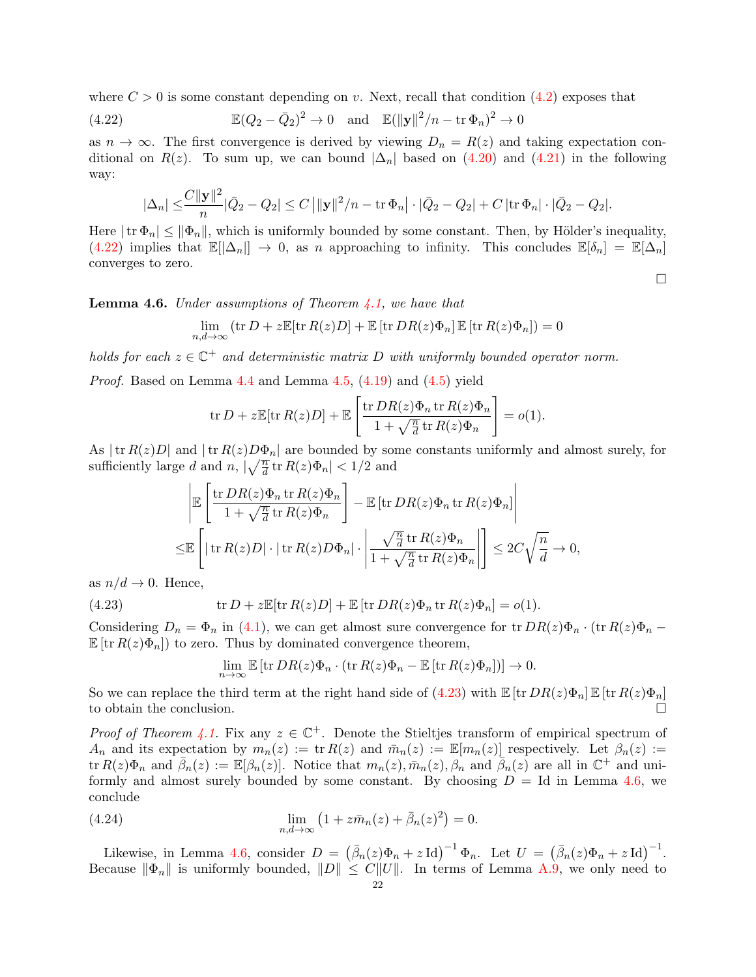where  $C > 0$  is some constant depending on v. Next, recall that condition [\(4.2\)](#page-17-0) exposes that

(4.22) 
$$
\mathbb{E}(Q_2 - \bar{Q}_2)^2 \to 0 \quad \text{and} \quad \mathbb{E}(\|\mathbf{y}\|^2/n - \text{tr}\,\Phi_n)^2 \to 0
$$

as  $n \to \infty$ . The first convergence is derived by viewing  $D_n = R(z)$  and taking expectation conditional on  $R(z)$ . To sum up, we can bound  $|\Delta_n|$  based on [\(4.20\)](#page-20-0) and [\(4.21\)](#page-20-1) in the following way:

<span id="page-21-0"></span>
$$
|\Delta_n| \leq \frac{C ||\mathbf{y}||^2}{n} |\bar{Q}_2 - Q_2| \leq C ||\mathbf{y}||^2/n - \text{tr}\,\Phi_n| \cdot |\bar{Q}_2 - Q_2| + C |\text{tr}\,\Phi_n| \cdot |\bar{Q}_2 - Q_2|.
$$

Here  $|\text{tr } \Phi_n| \leq \|\Phi_n\|$ , which is uniformly bounded by some constant. Then, by Hölder's inequality,  $(4.22)$  implies that  $\mathbb{E}[\Delta_n] \to 0$ , as n approaching to infinity. This concludes  $\mathbb{E}[\delta_n] = \mathbb{E}[\Delta_n]$ converges to zero.

<span id="page-21-2"></span>**Lemma 4.6.** Under assumptions of Theorem  $\angle 4.1$ , we have that

$$
\lim_{n,d \to \infty} (\operatorname{tr} D + z \mathbb{E}[\operatorname{tr} R(z)D] + \mathbb{E} [\operatorname{tr} DR(z)\Phi_n] \mathbb{E} [\operatorname{tr} R(z)\Phi_n]) = 0
$$

holds for each  $z \in \mathbb{C}^+$  and deterministic matrix D with uniformly bounded operator norm.

*Proof.* Based on Lemma  $4.4$  and Lemma  $4.5$ ,  $(4.19)$  and  $(4.5)$  yield

$$
\operatorname{tr} D + z \mathbb{E}[\operatorname{tr} R(z)D] + \mathbb{E}\left[\frac{\operatorname{tr} DR(z)\Phi_n \operatorname{tr} R(z)\Phi_n}{1 + \sqrt{\frac{n}{d}} \operatorname{tr} R(z)\Phi_n}\right] = o(1).
$$

As  $|\text{tr } R(z)D|$  and  $|\text{tr } R(z)D\Phi_n|$  are bounded by some constants uniformly and almost surely, for sufficiently large d and  $n, |\sqrt{\frac{n}{d}} \text{tr } R(z) \Phi_n| < 1/2$  and

$$
\left| \mathbb{E} \left[ \frac{\operatorname{tr} DR(z)\Phi_n \operatorname{tr} R(z)\Phi_n}{1 + \sqrt{\frac{n}{d}} \operatorname{tr} R(z)\Phi_n} \right] - \mathbb{E} \left[ \operatorname{tr} DR(z)\Phi_n \operatorname{tr} R(z)\Phi_n \right] \right|
$$
  

$$
\leq \mathbb{E} \left[ \left| \operatorname{tr} R(z)D \right| \cdot \left| \operatorname{tr} R(z)D\Phi_n \right| \cdot \left| \frac{\sqrt{\frac{n}{d}} \operatorname{tr} R(z)\Phi_n}{1 + \sqrt{\frac{n}{d}} \operatorname{tr} R(z)\Phi_n} \right| \right] \leq 2C\sqrt{\frac{n}{d}} \to 0,
$$

as  $n/d \rightarrow 0$ . Hence,

(4.23) 
$$
\operatorname{tr} D + z \mathbb{E}[\operatorname{tr} R(z)D] + \mathbb{E} [\operatorname{tr} DR(z)\Phi_n \operatorname{tr} R(z)\Phi_n] = o(1).
$$

Considering  $D_n = \Phi_n$  in [\(4.1\)](#page-17-1), we can get almost sure convergence for tr  $DR(z)\Phi_n \cdot (\text{tr } R(z)\Phi_n \mathbb{E}[\text{tr } R(z)\Phi_n]$  to zero. Thus by dominated convergence theorem,

<span id="page-21-3"></span><span id="page-21-1"></span>
$$
\lim_{n\to\infty}\mathbb{E}\left[\mathrm{tr}\, DR(z)\Phi_n\cdot (\mathrm{tr}\, R(z)\Phi_n-\mathbb{E}\left[\mathrm{tr}\, R(z)\Phi_n\right])\right]\to 0.
$$

So we can replace the third term at the right hand side of  $(4.23)$  with  $\mathbb{E} [\text{tr } DR(z)\Phi_n] \mathbb{E} [\text{tr } R(z)\Phi_n]$ to obtain the conclusion.

*Proof of Theorem [4.1.](#page-17-4)* Fix any  $z \in \mathbb{C}^+$ . Denote the Stieltjes transform of empirical spectrum of  $A_n$  and its expectation by  $m_n(z) := \text{tr } R(z)$  and  $\bar{m}_n(z) := \mathbb{E}[m_n(z)]$  respectively. Let  $\beta_n(z) :=$  ${\rm tr} R(z)\Phi_n$  and  $\bar{\beta}_n(z) := \mathbb{E}[\beta_n(z)]$ . Notice that  $m_n(z), \bar{m}_n(z), \beta_n$  and  $\bar{\beta}_n(z)$  are all in  $\mathbb{C}^+$  and uniformly and almost surely bounded by some constant. By choosing  $D = Id$  in Lemma [4.6,](#page-21-2) we conclude

(4.24) 
$$
\lim_{n,d \to \infty} (1 + z\bar{m}_n(z) + \bar{\beta}_n(z)^2) = 0.
$$

Likewise, in Lemma [4.6,](#page-21-2) consider  $D = (\bar{\beta}_n(z)\Phi_n + z \operatorname{Id})^{-1} \Phi_n$ . Let  $U = (\bar{\beta}_n(z)\Phi_n + z \operatorname{Id})^{-1}$ . Because  $\|\Phi_n\|$  is uniformly bounded,  $||D|| \leq C||U||$ . In terms of Lemma [A.9,](#page-41-3) we only need to

 $\Box$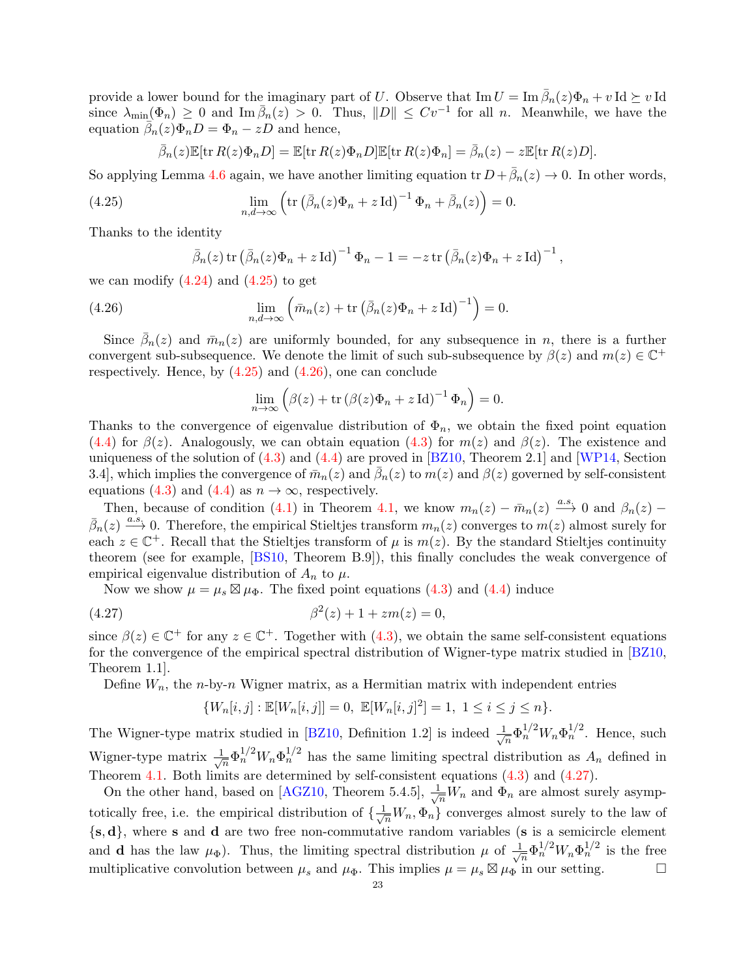provide a lower bound for the imaginary part of U. Observe that  $\text{Im } U = \text{Im } \overline{\beta}_n(z)\Phi_n + v \text{ Id } \succeq v \text{ Id }$ since  $\lambda_{\min}(\Phi_n) \geq 0$  and  $\text{Im } \overline{\beta}_n(z) > 0$ . Thus,  $||D|| \leq Cv^{-1}$  for all n. Meanwhile, we have the equation  $\bar{\beta}_n(z)\Phi_nD=\Phi_n-zD$  and hence,

$$
\bar{\beta}_n(z)\mathbb{E}[\text{tr}\,R(z)\Phi_n D] = \mathbb{E}[\text{tr}\,R(z)\Phi_n D]\mathbb{E}[\text{tr}\,R(z)\Phi_n] = \bar{\beta}_n(z) - z\mathbb{E}[\text{tr}\,R(z)D].
$$

So applying Lemma [4.6](#page-21-2) again, we have another limiting equation tr  $D + \bar{\beta}_n(z) \to 0$ . In other words,

(4.25) 
$$
\lim_{n,d\to\infty} \left( \text{tr} \left( \bar{\beta}_n(z) \Phi_n + z \operatorname{Id} \right)^{-1} \Phi_n + \bar{\beta}_n(z) \right) = 0.
$$

Thanks to the identity

<span id="page-22-1"></span><span id="page-22-0"></span>
$$
\bar{\beta}_n(z) \operatorname{tr} \left( \bar{\beta}_n(z) \Phi_n + z \operatorname{Id} \right)^{-1} \Phi_n - 1 = -z \operatorname{tr} \left( \bar{\beta}_n(z) \Phi_n + z \operatorname{Id} \right)^{-1},
$$

we can modify  $(4.24)$  and  $(4.25)$  to get

(4.26) 
$$
\lim_{n,d \to \infty} \left( \bar{m}_n(z) + \text{tr} \left( \bar{\beta}_n(z) \Phi_n + z \operatorname{Id} \right)^{-1} \right) = 0.
$$

Since  $\bar{\beta}_n(z)$  and  $\bar{m}_n(z)$  are uniformly bounded, for any subsequence in n, there is a further convergent sub-subsequence. We denote the limit of such sub-subsequence by  $\beta(z)$  and  $m(z) \in \mathbb{C}^+$ respectively. Hence, by  $(4.25)$  and  $(4.26)$ , one can conclude

$$
\lim_{n \to \infty} \left( \beta(z) + \text{tr} \left( \beta(z) \Phi_n + z \operatorname{Id} \right)^{-1} \Phi_n \right) = 0.
$$

Thanks to the convergence of eigenvalue distribution of  $\Phi_n$ , we obtain the fixed point equation [\(4.4\)](#page-17-3) for  $\beta(z)$ . Analogously, we can obtain equation [\(4.3\)](#page-17-2) for  $m(z)$  and  $\beta(z)$ . The existence and uniqueness of the solution of  $(4.3)$  and  $(4.4)$  are proved in [\[BZ10,](#page-43-18) Theorem 2.1] and [\[WP14,](#page-45-13) Section 3.4], which implies the convergence of  $\bar{m}_n(z)$  and  $\bar{\beta}_n(z)$  to  $m(z)$  and  $\beta(z)$  governed by self-consistent equations [\(4.3\)](#page-17-2) and [\(4.4\)](#page-17-3) as  $n \to \infty$ , respectively.

Then, because of condition [\(4.1\)](#page-17-1) in Theorem [4.1,](#page-17-4) we know  $m_n(z) - \bar{m}_n(z) \stackrel{a.s.}{\longrightarrow} 0$  and  $\beta_n(z)$  $\bar{\beta}_n(z) \stackrel{a.s.}{\longrightarrow} 0$ . Therefore, the empirical Stieltjes transform  $m_n(z)$  converges to  $m(z)$  almost surely for each  $z \in \mathbb{C}^+$ . Recall that the Stieltjes transform of  $\mu$  is  $m(z)$ . By the standard Stieltjes continuity theorem (see for example, [\[BS10,](#page-43-24) Theorem B.9]), this finally concludes the weak convergence of empirical eigenvalue distribution of  $A_n$  to  $\mu$ .

Now we show  $\mu = \mu_s \boxtimes \mu_{\Phi}$ . The fixed point equations [\(4.3\)](#page-17-2) and [\(4.4\)](#page-17-3) induce

(4.27) 
$$
\beta^2(z) + 1 + zm(z) = 0,
$$

since  $\beta(z) \in \mathbb{C}^+$  for any  $z \in \mathbb{C}^+$ . Together with [\(4.3\)](#page-17-2), we obtain the same self-consistent equations for the convergence of the empirical spectral distribution of Wigner-type matrix studied in [\[BZ10,](#page-43-18) Theorem 1.1].

Define  $W_n$ , the *n*-by-*n* Wigner matrix, as a Hermitian matrix with independent entries

<span id="page-22-2"></span>
$$
\{W_n[i,j]:\mathbb{E}[W_n[i,j]]=0,\ \mathbb{E}[W_n[i,j]^2]=1,\ 1\leq i\leq j\leq n\}.
$$

The Wigner-type matrix studied in [\[BZ10,](#page-43-18) Definition 1.2] is indeed  $\frac{1}{\sqrt{2}}$  $\frac{1}{n} \Phi_n^{1/2} W_n \Phi_n^{1/2}$ . Hence, such Wigner-type matrix  $\frac{1}{4}$  $\frac{1}{n} \Phi_n^{1/2} W_n \Phi_n^{1/2}$  has the same limiting spectral distribution as  $A_n$  defined in Theorem [4.1.](#page-17-4) Both limits are determined by self-consistent equations [\(4.3\)](#page-17-2) and [\(4.27\)](#page-22-2).

On the other hand, based on [\[AGZ10,](#page-42-1) Theorem 5.4.5],  $\frac{1}{\sqrt{n}}W_n$  and  $\Phi_n$  are almost surely asymptotically free, i.e. the empirical distribution of  $\{\frac{1}{\sqrt{n}}W_n, \Phi_n\}$  converges almost surely to the law of  ${s, d}$ , where s and d are two free non-commutative random variables (s is a semicircle element and **d** has the law  $\mu_{\Phi}$ ). Thus, the limiting spectral distribution  $\mu$  of  $\frac{1}{\sqrt{\lambda}}$  $-\frac{1}{n}\Phi_n^{1/2}W_n\Phi_n^{1/2}$  is the free multiplicative convolution between  $\mu_s$  and  $\mu_{\Phi}$ . This implies  $\mu = \mu_s \boxtimes \mu_{\Phi}$  in our setting.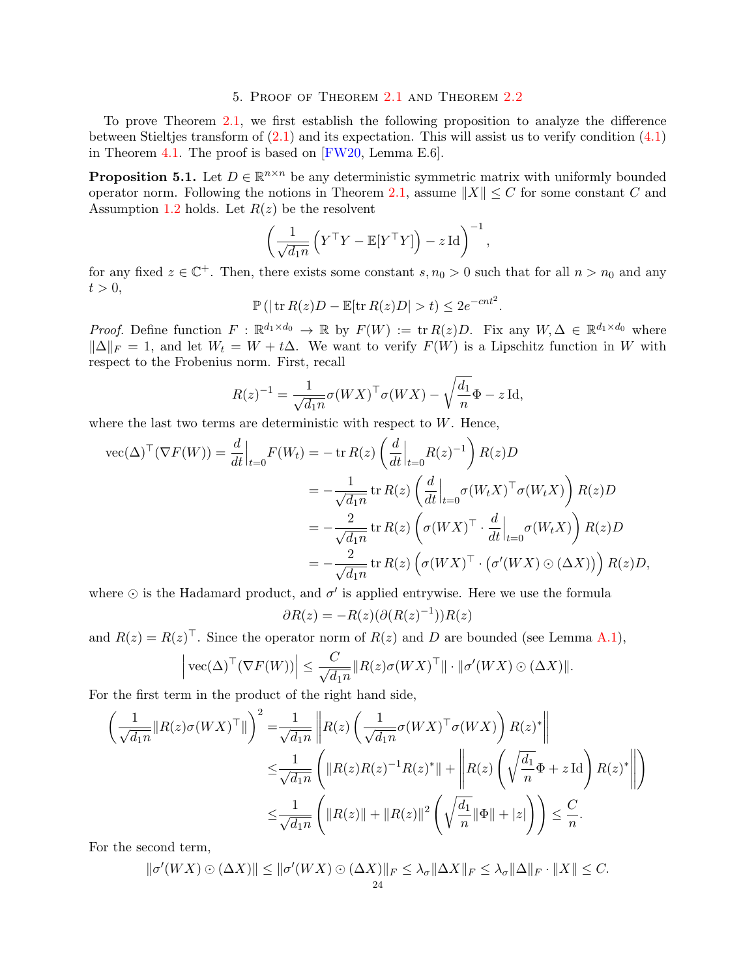### 5. Proof of Theorem [2.1](#page-7-1) and Theorem [2.2](#page-8-4)

<span id="page-23-0"></span>To prove Theorem [2.1,](#page-7-1) we first establish the following proposition to analyze the difference between Stieltjes transform of [\(2.1\)](#page-7-4) and its expectation. This will assist us to verify condition [\(4.1\)](#page-17-1) in Theorem [4.1.](#page-17-4) The proof is based on [\[FW20,](#page-43-4) Lemma E.6].

<span id="page-23-1"></span>**Proposition 5.1.** Let  $D \in \mathbb{R}^{n \times n}$  be any deterministic symmetric matrix with uniformly bounded operator norm. Following the notions in Theorem [2.1,](#page-7-1) assume  $||X|| \leq C$  for some constant C and Assumption [1.2](#page-5-1) holds. Let  $R(z)$  be the resolvent

$$
\left(\frac{1}{\sqrt{d_1 n}}\left(Y^{\top}Y - \mathbb{E}[Y^{\top}Y]\right) - z \operatorname{Id}\right)^{-1},
$$

for any fixed  $z \in \mathbb{C}^+$ . Then, there exists some constant  $s, n_0 > 0$  such that for all  $n > n_0$  and any  $t > 0$ ,

$$
\mathbb{P}\left(|\operatorname{tr} R(z)D - \mathbb{E}[\operatorname{tr} R(z)D| > t\right) \leq 2e^{-cnt^2}.
$$

*Proof.* Define function  $F : \mathbb{R}^{d_1 \times d_0} \to \mathbb{R}$  by  $F(W) := \text{tr } R(z)D$ . Fix any  $W, \Delta \in \mathbb{R}^{d_1 \times d_0}$  where  $\|\Delta\|_F = 1$ , and let  $W_t = W + t\Delta$ . We want to verify  $F(\hat{W})$  is a Lipschitz function in W with respect to the Frobenius norm. First, recall

$$
R(z)^{-1} = \frac{1}{\sqrt{d_1 n}} \sigma(WX)^\top \sigma(WX) - \sqrt{\frac{d_1}{n}} \Phi - z \operatorname{Id},
$$

where the last two terms are deterministic with respect to  $W$ . Hence,

$$
\begin{split} \text{vec}(\Delta)^{\top}(\nabla F(W)) &= \frac{d}{dt}\Big|_{t=0} F(W_t) = -\operatorname{tr} R(z) \left(\frac{d}{dt}\Big|_{t=0} R(z)^{-1}\right) R(z)D \\ &= -\frac{1}{\sqrt{d_{1}n}} \operatorname{tr} R(z) \left(\frac{d}{dt}\Big|_{t=0} \sigma(W_t X)^{\top} \sigma(W_t X)\right) R(z)D \\ &= -\frac{2}{\sqrt{d_{1}n}} \operatorname{tr} R(z) \left(\sigma(W X)^{\top} \cdot \frac{d}{dt}\Big|_{t=0} \sigma(W_t X)\right) R(z)D \\ &= -\frac{2}{\sqrt{d_{1}n}} \operatorname{tr} R(z) \left(\sigma(W X)^{\top} \cdot \left(\sigma'(WX) \odot (\Delta X)\right)\right) R(z)D, \end{split}
$$

where  $\odot$  is the Hadamard product, and  $\sigma'$  is applied entrywise. Here we use the formula

$$
\partial R(z) = -R(z)(\partial (R(z)^{-1}))R(z)
$$

and  $R(z) = R(z)^\top$ . Since the operator norm of  $R(z)$  and D are bounded (see Lemma [A.1\)](#page-40-0),

$$
\left| \text{vec}(\Delta)^{\top} (\nabla F(W)) \right| \leq \frac{C}{\sqrt{d_1 n}} \| R(z) \sigma(WX)^{\top} \| \cdot \| \sigma'(WX) \odot (\Delta X) \|.
$$

For the first term in the product of the right hand side,

$$
\left(\frac{1}{\sqrt{d_1 n}} \|R(z)\sigma(WX)^{\top}\|\right)^2 = \frac{1}{\sqrt{d_1 n}} \left\|R(z) \left(\frac{1}{\sqrt{d_1 n}} \sigma(WX)^{\top} \sigma(WX)\right) R(z)^{*}\right\|
$$
  

$$
\leq \frac{1}{\sqrt{d_1 n}} \left(\|R(z)R(z)^{-1}R(z)^{*}\| + \left\|R(z) \left(\sqrt{\frac{d_1}{n}} \Phi + z \operatorname{Id}\right) R(z)^{*}\right\|\right)
$$
  

$$
\leq \frac{1}{\sqrt{d_1 n}} \left(\|R(z)\| + \|R(z)\|^2 \left(\sqrt{\frac{d_1}{n}} \|\Phi\| + |z|\right)\right) \leq \frac{C}{n}.
$$

For the second term,

$$
\|\sigma'(WX)\odot(\Delta X)\| \le \|\sigma'(WX)\odot(\Delta X)\|_F \le \lambda_{\sigma}\|\Delta X\|_F \le \lambda_{\sigma}\|\Delta\|_F \cdot \|X\| \le C.
$$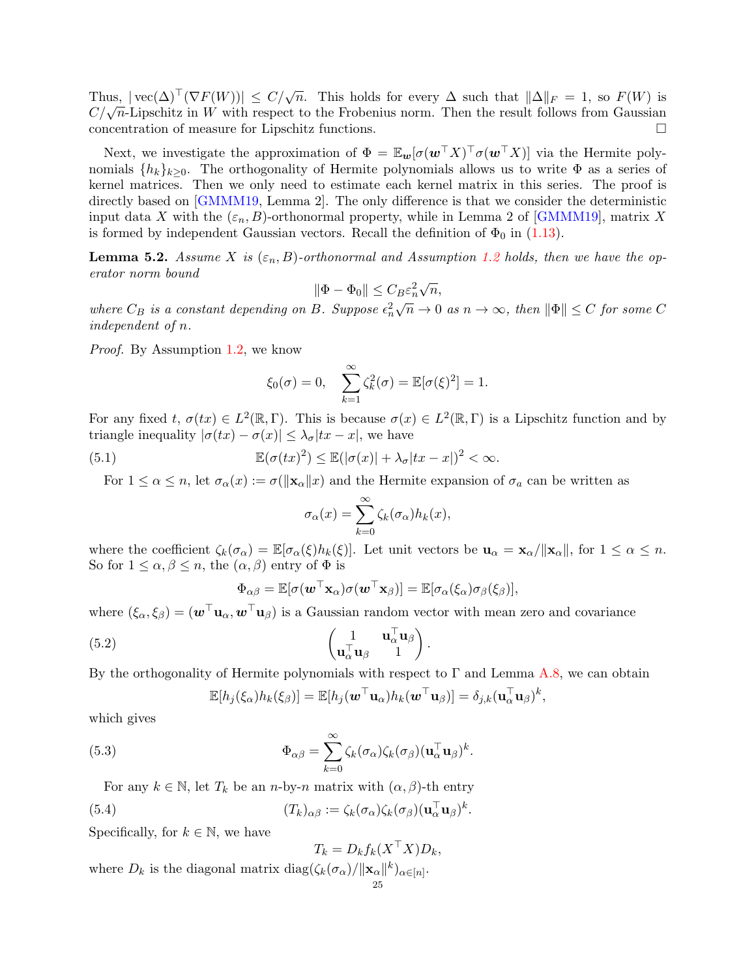Thus,  $|\text{vec}(\Delta)^{\top}(\nabla F(W))| \leq C/\sqrt{n}$ . This holds for every  $\Delta$  such that  $\|\Delta\|_F = 1$ , so  $F(W)$  is Thus,  $|\text{vec}(\Delta)| \leq C/\sqrt{n}$ . This holds for every  $\Delta$  such that  $||\Delta||_F = 1$ , so  $F(W)$  is  $C/\sqrt{n}$ -Lipschitz in W with respect to the Frobenius norm. Then the result follows from Gaussian concentration of measure for Lipschitz functions.

Next, we investigate the approximation of  $\Phi = \mathbb{E}_{w} [\sigma(w^{\top}X)^{\top} \sigma(w^{\top}X)]$  via the Hermite polynomials  $\{h_k\}_{k>0}$ . The orthogonality of Hermite polynomials allows us to write  $\Phi$  as a series of kernel matrices. Then we only need to estimate each kernel matrix in this series. The proof is directly based on [\[GMMM19,](#page-44-21) Lemma 2]. The only difference is that we consider the deterministic input data X with the  $(\varepsilon_n, B)$ -orthonormal property, while in Lemma 2 of [\[GMMM19\]](#page-44-21), matrix X is formed by independent Gaussian vectors. Recall the definition of  $\Phi_0$  in [\(1.13\)](#page-6-0).

<span id="page-24-1"></span>**Lemma 5.2.** Assume X is  $(\varepsilon_n, B)$ -orthonormal and Assumption [1.2](#page-5-1) holds, then we have the operator norm bound √

$$
\|\Phi - \Phi_0\| \le C_B \varepsilon_n^2 \sqrt{n},
$$

where  $C_B$  is a constant depending on B. Suppose  $\epsilon_n^2$  $\sqrt{n} \to 0$  as  $n \to \infty$ , then  $\|\Phi\| \leq C$  for some C independent of n.

Proof. By Assumption [1.2,](#page-5-1) we know

$$
\xi_0(\sigma) = 0
$$
,  $\sum_{k=1}^{\infty} \zeta_k^2(\sigma) = \mathbb{E}[\sigma(\xi)^2] = 1$ .

For any fixed  $t, \sigma(tx) \in L^2(\mathbb{R}, \Gamma)$ . This is because  $\sigma(x) \in L^2(\mathbb{R}, \Gamma)$  is a Lipschitz function and by triangle inequality  $|\sigma(tx) - \sigma(x)| \leq \lambda_{\sigma} |tx - x|$ , we have

(5.1) 
$$
\mathbb{E}(\sigma(tx)^2) \leq \mathbb{E}(|\sigma(x)| + \lambda_{\sigma}|tx - x|)^2 < \infty.
$$

For  $1 \leq \alpha \leq n$ , let  $\sigma_{\alpha}(x) := \sigma(\|\mathbf{x}_{\alpha}\|x)$  and the Hermite expansion of  $\sigma_a$  can be written as

$$
\sigma_{\alpha}(x) = \sum_{k=0}^{\infty} \zeta_k(\sigma_{\alpha}) h_k(x),
$$

where the coefficient  $\zeta_k(\sigma_\alpha) = \mathbb{E}[\sigma_\alpha(\xi)h_k(\xi)].$  Let unit vectors be  $\mathbf{u}_\alpha = \mathbf{x}_\alpha/\|\mathbf{x}_\alpha\|$ , for  $1 \leq \alpha \leq n$ . So for  $1 \leq \alpha, \beta \leq n$ , the  $(\alpha, \beta)$  entry of  $\Phi$  is

<span id="page-24-2"></span>
$$
\Phi_{\alpha\beta} = \mathbb{E}[\sigma(\boldsymbol{w}^\top\mathbf{x}_\alpha)\sigma(\boldsymbol{w}^\top\mathbf{x}_\beta)] = \mathbb{E}[\sigma_\alpha(\xi_\alpha)\sigma_\beta(\xi_\beta)],
$$

where  $(\xi_{\alpha}, \xi_{\beta}) = (\mathbf{w}^{\top} \mathbf{u}_{\alpha}, \mathbf{w}^{\top} \mathbf{u}_{\beta})$  is a Gaussian random vector with mean zero and covariance

(5.2) 
$$
\begin{pmatrix} 1 & \mathbf{u}_{\alpha}^{\top} \mathbf{u}_{\beta} \\ \mathbf{u}_{\alpha}^{\top} \mathbf{u}_{\beta} & 1 \end{pmatrix}.
$$

By the orthogonality of Hermite polynomials with respect to  $\Gamma$  and Lemma [A.8,](#page-41-4) we can obtain

<span id="page-24-3"></span>
$$
\mathbb{E}[h_j(\xi_{\alpha})h_k(\xi_{\beta})] = \mathbb{E}[h_j(\boldsymbol{w}^{\top}\mathbf{u}_{\alpha})h_k(\boldsymbol{w}^{\top}\mathbf{u}_{\beta})] = \delta_{j,k}(\mathbf{u}_{\alpha}^{\top}\mathbf{u}_{\beta})^k,
$$

which gives

(5.3) 
$$
\Phi_{\alpha\beta} = \sum_{k=0}^{\infty} \zeta_k(\sigma_{\alpha}) \zeta_k(\sigma_{\beta}) (\mathbf{u}_{\alpha}^{\top} \mathbf{u}_{\beta})^k.
$$

For any  $k \in \mathbb{N}$ , let  $T_k$  be an *n*-by-*n* matrix with  $(\alpha, \beta)$ -th entry

<span id="page-24-0"></span>(5.4) 
$$
(T_k)_{\alpha\beta} := \zeta_k(\sigma_\alpha)\zeta_k(\sigma_\beta)(\mathbf{u}_\alpha^\top \mathbf{u}_\beta)^k.
$$

Specifically, for  $k \in \mathbb{N}$ , we have

$$
T_k = D_k f_k(X^\top X) D_k,
$$

where  $D_k$  is the diagonal matrix  $\text{diag}(\zeta_k(\sigma_\alpha)/\|\mathbf{x}_\alpha\|^k)_{\alpha\in[n]}$ .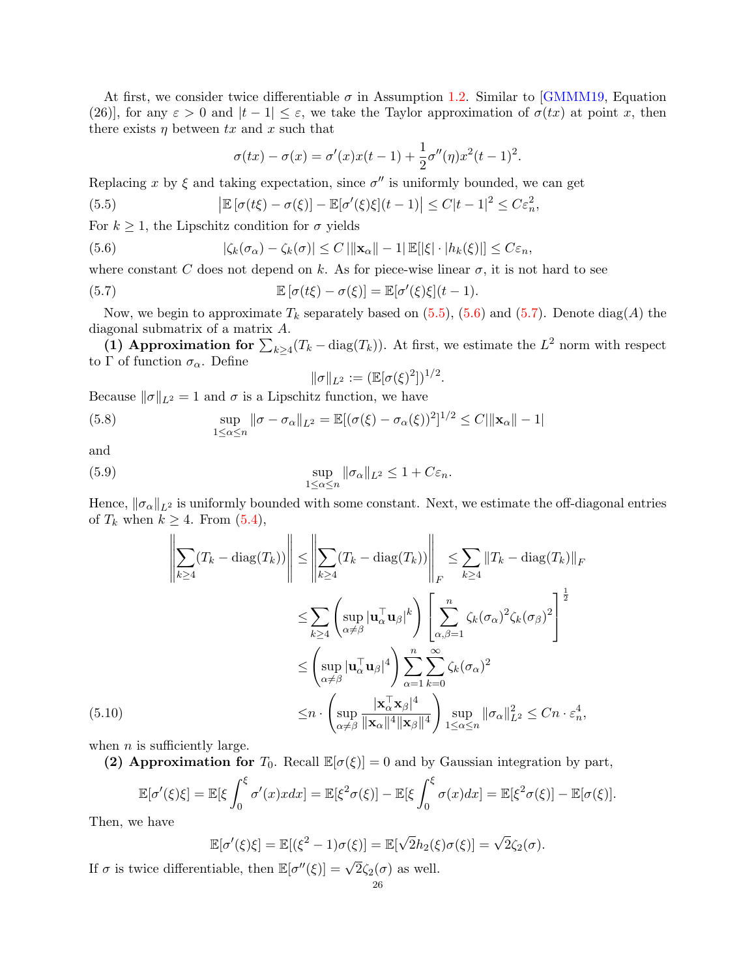At first, we consider twice differentiable  $\sigma$  in Assumption [1.2.](#page-5-1) Similar to [\[GMMM19,](#page-44-21) Equation (26)], for any  $\varepsilon > 0$  and  $|t-1| \leq \varepsilon$ , we take the Taylor approximation of  $\sigma(tx)$  at point x, then there exists  $\eta$  between tx and x such that

<span id="page-25-0"></span>
$$
\sigma(tx) - \sigma(x) = \sigma'(x)x(t-1) + \frac{1}{2}\sigma''(\eta)x^{2}(t-1)^{2}.
$$

Replacing x by  $\xi$  and taking expectation, since  $\sigma''$  is uniformly bounded, we can get

(5.5) 
$$
\left|\mathbb{E}\left[\sigma(t\xi)-\sigma(\xi)\right]-\mathbb{E}[\sigma'(\xi)\xi](t-1)\right|\leq C|t-1|^2\leq C\varepsilon_n^2,
$$

For  $k \geq 1$ , the Lipschitz condition for  $\sigma$  yields

<span id="page-25-1"></span>(5.6) 
$$
|\zeta_k(\sigma_\alpha) - \zeta_k(\sigma)| \leq C ||\mathbf{x}_\alpha|| - 1| \mathbb{E}[|\xi| \cdot |h_k(\xi)|] \leq C \varepsilon_n,
$$

where constant C does not depend on k. As for piece-wise linear  $\sigma$ , it is not hard to see

(5.7) 
$$
\mathbb{E}\left[\sigma(t\xi)-\sigma(\xi)\right]=\mathbb{E}[\sigma'(\xi)\xi](t-1).
$$

Now, we begin to approximate  $T_k$  separately based on [\(5.5\)](#page-25-0), [\(5.6\)](#page-25-1) and [\(5.7\)](#page-25-2). Denote diag(A) the diagonal submatrix of a matrix A.

(1) Approximation for  $\sum_{k\geq 4}(T_k-\text{diag}(T_k))$ . At first, we estimate the  $L^2$  norm with respect to Γ of function  $\sigma_{\alpha}$ . Define

<span id="page-25-4"></span><span id="page-25-3"></span><span id="page-25-2"></span>
$$
\|\sigma\|_{L^2} := (\mathbb{E}[\sigma(\xi)^2])^{1/2}.
$$

Because  $\|\sigma\|_{L^2} = 1$  and  $\sigma$  is a Lipschitz function, we have

(5.8) 
$$
\sup_{1 \leq \alpha \leq n} \|\sigma - \sigma_{\alpha}\|_{L^{2}} = \mathbb{E}[(\sigma(\xi) - \sigma_{\alpha}(\xi))^{2}]^{1/2} \leq C|\|\mathbf{x}_{\alpha}\| - 1|
$$

and

(5.9) 
$$
\sup_{1 \leq \alpha \leq n} \|\sigma_{\alpha}\|_{L^{2}} \leq 1 + C\varepsilon_{n}.
$$

Hence,  $\|\sigma_{\alpha}\|_{L^2}$  is uniformly bounded with some constant. Next, we estimate the off-diagonal entries of  $T_k$  when  $k \geq 4$ . From  $(5.4)$ ,

$$
\left\| \sum_{k\geq 4} (T_k - \text{diag}(T_k)) \right\| \leq \left\| \sum_{k\geq 4} (T_k - \text{diag}(T_k)) \right\|_F \leq \sum_{k\geq 4} \|T_k - \text{diag}(T_k)\|_F
$$
  

$$
\leq \sum_{k\geq 4} \left( \sup_{\alpha \neq \beta} |\mathbf{u}_{\alpha}^\top \mathbf{u}_{\beta}|^k \right) \left[ \sum_{\alpha,\beta=1}^n \zeta_k (\sigma_\alpha)^2 \zeta_k (\sigma_\beta)^2 \right]^{\frac{1}{2}}
$$
  

$$
\leq \left( \sup_{\alpha \neq \beta} |\mathbf{u}_{\alpha}^\top \mathbf{u}_{\beta}|^4 \right) \sum_{\alpha=1}^n \sum_{k=0}^\infty \zeta_k (\sigma_\alpha)^2
$$
  

$$
\leq n \cdot \left( \sup_{\alpha \neq \beta} \frac{|\mathbf{x}_{\alpha}^\top \mathbf{x}_{\beta}|^4}{\|\mathbf{x}_{\alpha}\|^4 \|\mathbf{x}_{\beta}\|^4} \right) \sup_{1 \leq \alpha \leq n} \|\sigma_\alpha\|_{L^2}^2 \leq Cn \cdot \varepsilon_n^4,
$$

<span id="page-25-5"></span>when  $n$  is sufficiently large.

(2) Approximation for  $T_0$ . Recall  $\mathbb{E}[\sigma(\xi)]=0$  and by Gaussian integration by part,

$$
\mathbb{E}[\sigma'(\xi)\xi] = \mathbb{E}[\xi \int_0^{\xi} \sigma'(x) x dx] = \mathbb{E}[\xi^2 \sigma(\xi)] - \mathbb{E}[\xi \int_0^{\xi} \sigma(x) dx] = \mathbb{E}[\xi^2 \sigma(\xi)] - \mathbb{E}[\sigma(\xi)].
$$

Then, we have

$$
\mathbb{E}[\sigma'(\xi)\xi] = \mathbb{E}[(\xi^2 - 1)\sigma(\xi)] = \mathbb{E}[\sqrt{2}h_2(\xi)\sigma(\xi)] = \sqrt{2}\zeta_2(\sigma).
$$

If  $\sigma$  is twice differentiable, then  $\mathbb{E}[\sigma''(\xi)] = \sqrt{2}\zeta_2(\sigma)$  as well.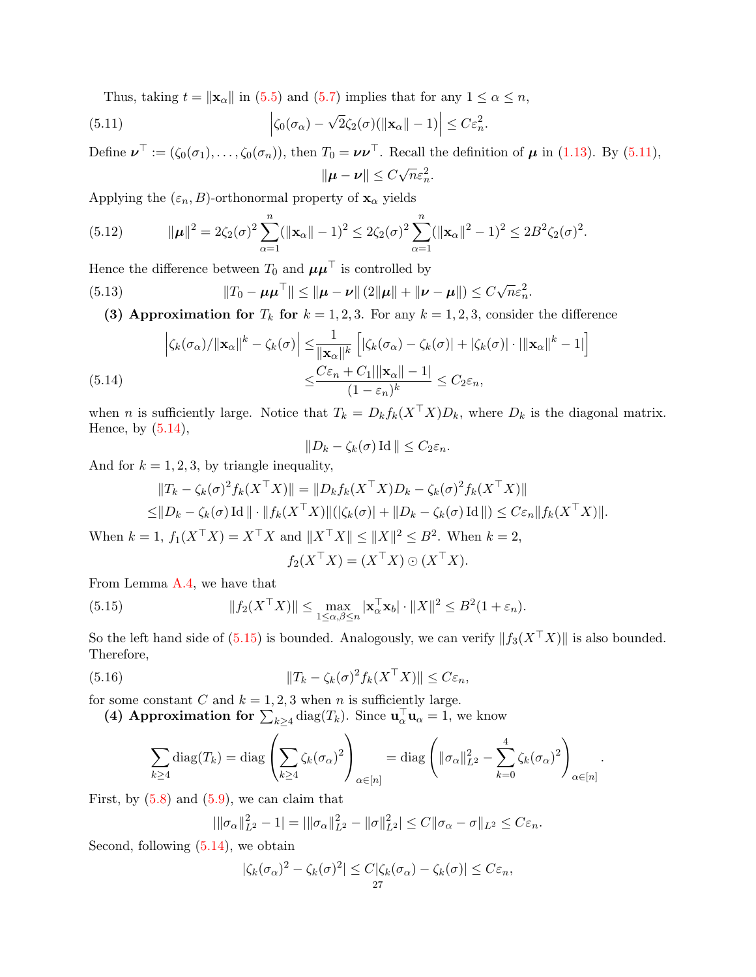<span id="page-26-0"></span>Thus, taking  $t = ||\mathbf{x}_{\alpha}||$  in [\(5.5\)](#page-25-0) and [\(5.7\)](#page-25-2) implies that for any  $1 \leq \alpha \leq n$ ,

(5.11) 
$$
\left|\zeta_0(\sigma_\alpha)-\sqrt{2}\zeta_2(\sigma)(\|\mathbf{x}_\alpha\|-1)\right|\leq C\varepsilon_n^2.
$$

Define  $\nu^{\top} := (\zeta_0(\sigma_1), \ldots, \zeta_0(\sigma_n))$ , then  $T_0 = \nu \nu^{\top}$ . Recall the definition of  $\mu$  in [\(1.13\)](#page-6-0). By [\(5.11\)](#page-26-0),  $\|\boldsymbol{\mu} - \boldsymbol{\nu}\| \leq C$  $\sqrt{n}\varepsilon_n^2$ .

Applying the  $(\varepsilon_n, B)$ -orthonormal property of  $\mathbf{x}_{\alpha}$  yields

<span id="page-26-5"></span>(5.12) 
$$
\|\boldsymbol{\mu}\|^2 = 2\zeta_2(\sigma)^2 \sum_{\alpha=1}^n (\|\mathbf{x}_{\alpha}\| - 1)^2 \le 2\zeta_2(\sigma)^2 \sum_{\alpha=1}^n (\|\mathbf{x}_{\alpha}\|^2 - 1)^2 \le 2B^2 \zeta_2(\sigma)^2.
$$

Hence the difference between  $T_0$  and  $\mu \mu^{\top}$  is controlled by

(5.13) 
$$
||T_0 - \mu \mu^\top|| \le ||\mu - \nu|| (2||\mu|| + ||\nu - \mu||) \le C\sqrt{n}\varepsilon_n^2.
$$

<span id="page-26-3"></span>(3) Approximation for  $T_k$  for  $k = 1, 2, 3$ . For any  $k = 1, 2, 3$ , consider the difference

<span id="page-26-1"></span>
$$
\left| \zeta_k(\sigma_\alpha) / \| \mathbf{x}_\alpha \|^k - \zeta_k(\sigma) \right| \leq \frac{1}{\|\mathbf{x}_\alpha\|^k} \left[ |\zeta_k(\sigma_\alpha) - \zeta_k(\sigma)| + |\zeta_k(\sigma)| \cdot ||\mathbf{x}_\alpha\|^k - 1| \right]
$$
  

$$
\leq \frac{C\varepsilon_n + C_1 ||\mathbf{x}_\alpha|| - 1|}{(1 - \varepsilon_n)^k} \leq C_2 \varepsilon_n,
$$

when *n* is sufficiently large. Notice that  $T_k = D_k f_k(X^{\top} X)D_k$ , where  $D_k$  is the diagonal matrix. Hence, by  $(5.14)$ ,

$$
||D_k - \zeta_k(\sigma) \operatorname{Id}|| \leq C_2 \varepsilon_n.
$$

And for  $k = 1, 2, 3$ , by triangle inequality,

$$
||T_k - \zeta_k(\sigma)^2 f_k(X^\top X)|| = ||D_k f_k(X^\top X)D_k - \zeta_k(\sigma)^2 f_k(X^\top X)||
$$
  
\n
$$
\leq ||D_k - \zeta_k(\sigma) \operatorname{Id}|| \cdot ||f_k(X^\top X)|| (|\zeta_k(\sigma)| + ||D_k - \zeta_k(\sigma) \operatorname{Id}||) \leq C \varepsilon_n ||f_k(X^\top X)||.
$$

When  $k = 1$ ,  $f_1(X^{\top}X) = X^{\top}X$  and  $||X^{\top}X|| \le ||X||^2 \le B^2$ . When  $k = 2$ ,

<span id="page-26-4"></span><span id="page-26-2"></span>
$$
f_2(X^{\top}X) = (X^{\top}X) \odot (X^{\top}X).
$$

From Lemma [A.4,](#page-41-5) we have that

(5.15) 
$$
||f_2(X^\top X)|| \leq \max_{1 \leq \alpha, \beta \leq n} |\mathbf{x}_{\alpha}^\top \mathbf{x}_b| \cdot ||X||^2 \leq B^2(1+\varepsilon_n).
$$

So the left hand side of [\(5.15\)](#page-26-2) is bounded. Analogously, we can verify  $||f_3(X^{\top}X)||$  is also bounded. Therefore,

(5.16) 
$$
||T_k - \zeta_k(\sigma)^2 f_k(X^\top X)|| \leq C\varepsilon_n,
$$

for some constant C and  $k = 1, 2, 3$  when n is sufficiently large.

(4) Approximation for  $\sum_{k\geq 4} \text{diag}(T_k)$ . Since  $\mathbf{u}_{\alpha}^{\top} \mathbf{u}_{\alpha} = 1$ , we know

$$
\sum_{k\geq 4} \text{diag}(T_k) = \text{diag}\left(\sum_{k\geq 4} \zeta_k(\sigma_\alpha)^2\right)_{\alpha\in[n]} = \text{diag}\left(\|\sigma_\alpha\|_{L^2}^2 - \sum_{k=0}^4 \zeta_k(\sigma_\alpha)^2\right)_{\alpha\in[n]}.
$$

First, by  $(5.8)$  and  $(5.9)$ , we can claim that

$$
\|\sigma_{\alpha}\|_{L^2}^2 - 1\| = \|\sigma_{\alpha}\|_{L^2}^2 - \|\sigma\|_{L^2}^2\| \le C \|\sigma_{\alpha} - \sigma\|_{L^2} \le C\varepsilon_n.
$$

Second, following  $(5.14)$ , we obtain

$$
|\zeta_k(\sigma_\alpha)^2 - \zeta_k(\sigma)^2| \leq C|\zeta_k(\sigma_\alpha) - \zeta_k(\sigma)| \leq C\varepsilon_n,
$$
  
27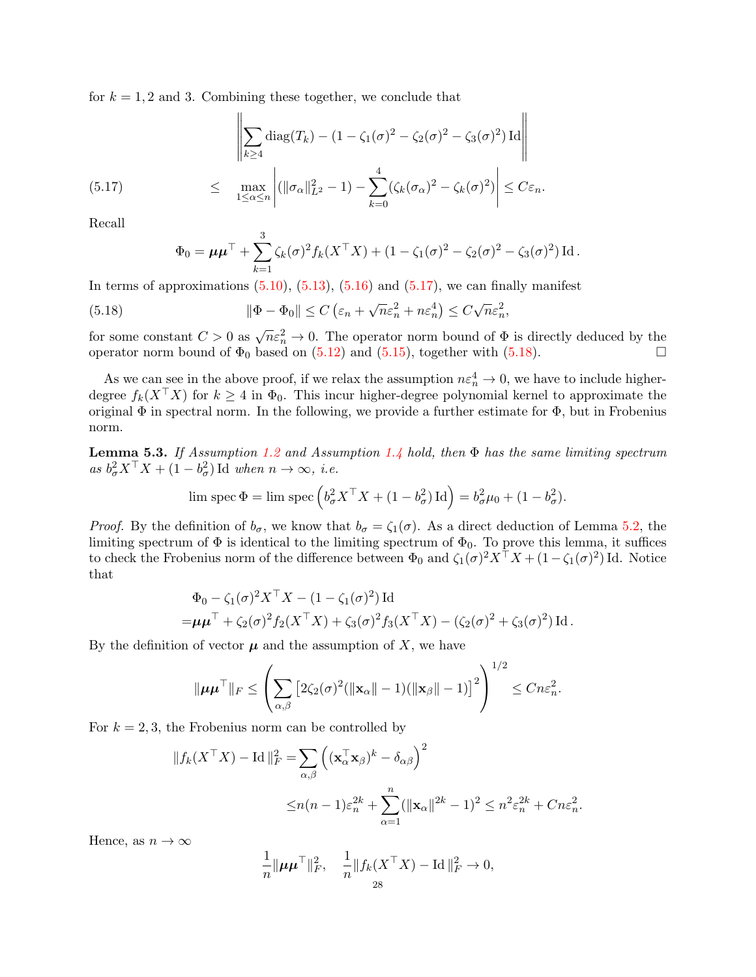for  $k = 1, 2$  and 3. Combining these together, we conclude that

ă.

$$
\left\|\sum_{k\geq 4} \text{diag}(T_k) - (1 - \zeta_1(\sigma)^2 - \zeta_2(\sigma)^2 - \zeta_3(\sigma)^2) \operatorname{Id}\right\|
$$

 $\overline{11}$ 

<span id="page-27-0"></span>(5.17) 
$$
\leq \max_{1 \leq \alpha \leq n} \left| (\|\sigma_{\alpha}\|_{L^2}^2 - 1) - \sum_{k=0}^4 (\zeta_k(\sigma_{\alpha})^2 - \zeta_k(\sigma)^2) \right| \leq C\varepsilon_n.
$$

Recall

$$
\Phi_0 = \mu \mu^{\top} + \sum_{k=1}^3 \zeta_k(\sigma)^2 f_k(X^{\top} X) + (1 - \zeta_1(\sigma)^2 - \zeta_2(\sigma)^2 - \zeta_3(\sigma)^2) \operatorname{Id}.
$$

In terms of approximations  $(5.10)$ ,  $(5.13)$ ,  $(5.16)$  and  $(5.17)$ , we can finally manifest

<span id="page-27-1"></span>(5.18) 
$$
\|\Phi - \Phi_0\| \le C \left(\varepsilon_n + \sqrt{n}\varepsilon_n^2 + n\varepsilon_n^4\right) \le C\sqrt{n}\varepsilon_n^2,
$$

for some constant  $C > 0$  as  $\sqrt{n} \epsilon_n^2 \to 0$ . The operator norm bound of  $\Phi$  is directly deduced by the operator norm bound of  $\Phi_0$  based on [\(5.12\)](#page-26-5) and [\(5.15\)](#page-26-2), together with [\(5.18\)](#page-27-1).

As we can see in the above proof, if we relax the assumption  $n \varepsilon_n^4 \to 0$ , we have to include higherdegree  $f_k(X^{\top}X)$  for  $k \geq 4$  in  $\Phi_0$ . This incur higher-degree polynomial kernel to approximate the original  $\Phi$  in spectral norm. In the following, we provide a further estimate for  $\Phi$ , but in Frobenius norm.

<span id="page-27-2"></span>**Lemma 5.3.** If Assumption [1.2](#page-5-1) and Assumption [1.4](#page-5-3) hold, then  $\Phi$  has the same limiting spectrum as  $b_{\sigma}^2 X^{\top} X + (1 - b_{\sigma}^2) \text{Id}$  when  $n \to \infty$ , *i.e.* 

$$
\lim \operatorname{spec} \Phi = \lim \operatorname{spec} \left( b_{\sigma}^{2} X^{\top} X + (1 - b_{\sigma}^{2}) \operatorname{Id} \right) = b_{\sigma}^{2} \mu_{0} + (1 - b_{\sigma}^{2}).
$$

*Proof.* By the definition of  $b_{\sigma}$ , we know that  $b_{\sigma} = \zeta_1(\sigma)$ . As a direct deduction of Lemma [5.2,](#page-24-1) the limiting spectrum of  $\Phi$  is identical to the limiting spectrum of  $\Phi_0$ . To prove this lemma, it suffices to check the Frobenius norm of the difference between  $\Phi_0$  and  $\zeta_1(\sigma)^2 X^{\top} X + (1 - \zeta_1(\sigma)^2)$  Id. Notice that

$$
\Phi_0 - \zeta_1(\sigma)^2 X^\top X - (1 - \zeta_1(\sigma)^2) \operatorname{Id} \n= \mu \mu^\top + \zeta_2(\sigma)^2 f_2(X^\top X) + \zeta_3(\sigma)^2 f_3(X^\top X) - (\zeta_2(\sigma)^2 + \zeta_3(\sigma)^2) \operatorname{Id}.
$$

By the definition of vector  $\mu$  and the assumption of X, we have

$$
\|\boldsymbol{\mu}\boldsymbol{\mu}^{\top}\|_{F} \leq \left(\sum_{\alpha,\beta} \left[2\zeta_{2}(\sigma)^{2}(\|\mathbf{x}_{\alpha}\|-1)(\|\mathbf{x}_{\beta}\|-1)\right]^{2}\right)^{1/2} \leq Cn\varepsilon_{n}^{2}.
$$

For  $k = 2, 3$ , the Frobenius norm can be controlled by

$$
||f_k(X^\top X) - \text{Id}||_F^2 = \sum_{\alpha,\beta} \left( (\mathbf{x}_{\alpha}^\top \mathbf{x}_{\beta})^k - \delta_{\alpha\beta} \right)^2
$$
  

$$
\leq n(n-1)\varepsilon_n^{2k} + \sum_{\alpha=1}^n (||\mathbf{x}_{\alpha}||^{2k} - 1)^2 \leq n^2 \varepsilon_n^{2k} + Cn\varepsilon_n^2.
$$

Hence, as  $n \to \infty$ 

$$
\frac{1}{n} \|\mu\mu^{\top}\|_{F}^{2}, \quad \frac{1}{n} \|f_{k}(X^{\top}X) - \text{Id}\|_{F}^{2} \to 0,
$$
  
<sub>28</sub>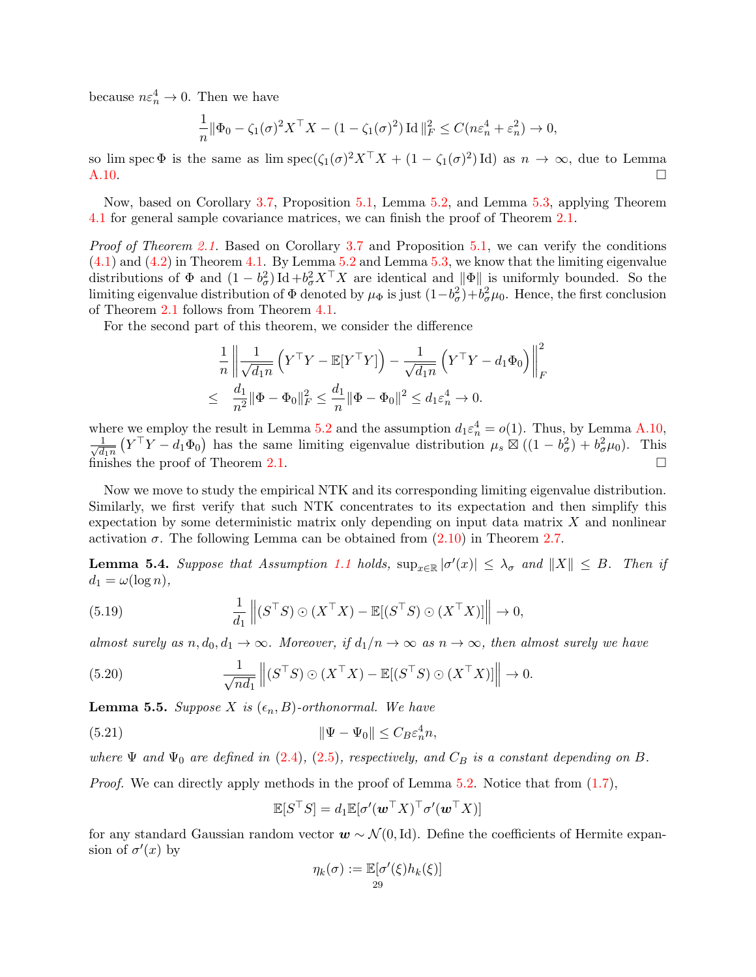because  $n \varepsilon_n^4 \to 0$ . Then we have

$$
\frac{1}{n} \|\Phi_0 - \zeta_1(\sigma)^2 X^\top X - (1 - \zeta_1(\sigma)^2) \operatorname{Id}\|_F^2 \le C(n\varepsilon_n^4 + \varepsilon_n^2) \to 0,
$$

so lim spec  $\Phi$  is the same as lim spec $(\zeta_1(\sigma)^2 X^{\top} X + (1 - \zeta_1(\sigma)^2) \text{Id})$  as  $n \to \infty$ , due to Lemma [A.10.](#page-41-6) □

Now, based on Corollary [3.7,](#page-16-1) Proposition [5.1,](#page-23-1) Lemma [5.2,](#page-24-1) and Lemma [5.3,](#page-27-2) applying Theorem [4.1](#page-17-4) for general sample covariance matrices, we can finish the proof of Theorem [2.1.](#page-7-1)

Proof of Theorem [2.1.](#page-7-1) Based on Corollary [3.7](#page-16-1) and Proposition [5.1,](#page-23-1) we can verify the conditions [\(4.1\)](#page-17-1) and [\(4.2\)](#page-17-0) in Theorem [4.1.](#page-17-4) By Lemma [5.2](#page-24-1) and Lemma [5.3,](#page-27-2) we know that the limiting eigenvalue distributions of  $\Phi$  and  $(1-b_{\sigma}^2) \text{Id} + b_{\sigma}^2 X^{\top} X$  are identical and  $\|\Phi\|$  is uniformly bounded. So the limiting eigenvalue distribution of  $\Phi$  denoted by  $\mu_{\Phi}$  is just  $(1-b_{\sigma}^2)+b_{\sigma}^2\mu_0$ . Hence, the first conclusion of Theorem [2.1](#page-7-1) follows from Theorem [4.1.](#page-17-4)

For the second part of this theorem, we consider the difference

$$
\frac{1}{n} \left\| \frac{1}{\sqrt{d_1 n}} \left( Y^\top Y - \mathbb{E}[Y^\top Y] \right) - \frac{1}{\sqrt{d_1 n}} \left( Y^\top Y - d_1 \Phi_0 \right) \right\|_F^2
$$
  

$$
\leq \frac{d_1}{n^2} \|\Phi - \Phi_0\|_F^2 \leq \frac{d_1}{n} \|\Phi - \Phi_0\|^2 \leq d_1 \varepsilon_n^4 \to 0.
$$

where we employ the result in Lemma [5.2](#page-24-1) and the assumption  $d_1 \epsilon_n^4 = o(1)$ . Thus, by Lemma [A.10,](#page-41-6)  $\frac{1}{\sqrt{1}}$  $\frac{1}{d_1 n} (Y^{\top}Y - d_1 \Phi_0)$  has the same limiting eigenvalue distribution  $\mu_s \boxtimes ((1 - b_\sigma^2) + b_\sigma^2 \mu_0)$ . This finishes the proof of Theorem [2.1.](#page-7-1)  $\Box$ 

Now we move to study the empirical NTK and its corresponding limiting eigenvalue distribution. Similarly, we first verify that such NTK concentrates to its expectation and then simplify this expectation by some deterministic matrix only depending on input data matrix  $X$  and nonlinear activation  $\sigma$ . The following Lemma can be obtained from  $(2.10)$  in Theorem [2.7.](#page-9-0)

<span id="page-28-2"></span>**Lemma 5.4.** Suppose that Assumption [1.1](#page-5-2) holds,  $\sup_{x \in \mathbb{R}} |\sigma'(x)| \leq \lambda_{\sigma}$  and  $||X|| \leq B$ . Then if  $d_1 = \omega(\log n),$ 

(5.19) 
$$
\frac{1}{d_1} \left\| (S^{\top}S) \odot (X^{\top}X) - \mathbb{E}[(S^{\top}S) \odot (X^{\top}X)] \right\| \to 0,
$$

almost surely as  $n, d_0, d_1 \to \infty$ . Moreover, if  $d_1/n \to \infty$  as  $n \to \infty$ , then almost surely we have

<span id="page-28-0"></span>(5.20) 
$$
\frac{1}{\sqrt{nd_1}} \left\| (S^{\top}S) \odot (X^{\top}X) - \mathbb{E}[(S^{\top}S) \odot (X^{\top}X)] \right\| \to 0.
$$

<span id="page-28-1"></span>**Lemma 5.5.** Suppose X is  $(\epsilon_n, B)$ -orthonormal. We have

(5.21) 
$$
\|\Psi - \Psi_0\| \le C_B \varepsilon_n^4 n,
$$

where  $\Psi$  and  $\Psi_0$  are defined in [\(2.4\)](#page-8-5), [\(2.5\)](#page-8-1), respectively, and  $C_B$  is a constant depending on B.

*Proof.* We can directly apply methods in the proof of Lemma  $5.2$ . Notice that from  $(1.7)$ ,

$$
\mathbb{E}[S^\top S] = d_1 \mathbb{E}[\sigma'(\boldsymbol{w}^\top X)^\top \sigma'(\boldsymbol{w}^\top X)]
$$

for any standard Gaussian random vector  $\mathbf{w} \sim \mathcal{N}(0, \text{Id})$ . Define the coefficients of Hermite expansion of  $\sigma'(x)$  by

$$
\eta_k(\sigma) := \mathbb{E}[\sigma'(\xi)h_k(\xi)]
$$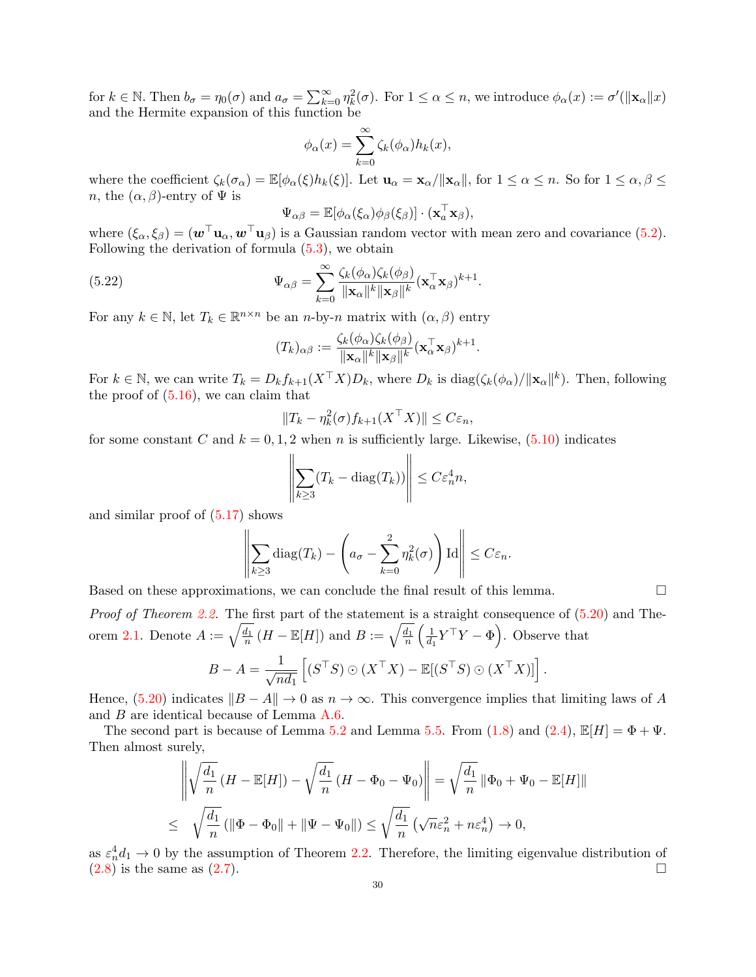for  $k \in \mathbb{N}$ . Then  $b_{\sigma} = \eta_0(\sigma)$  and  $a_{\sigma} = \sum_{k=0}^{\infty} \eta_k^2(\sigma)$ . For  $1 \leq \alpha \leq n$ , we introduce  $\phi_{\alpha}(x) := \sigma'(\|\mathbf{x}_{\alpha}\|x)$ and the Hermite expansion of this function be

$$
\phi_{\alpha}(x) = \sum_{k=0}^{\infty} \zeta_k(\phi_{\alpha}) h_k(x),
$$

where the coefficient  $\zeta_k(\sigma_\alpha) = \mathbb{E}[\phi_\alpha(\xi)h_k(\xi)].$  Let  $\mathbf{u}_\alpha = \mathbf{x}_\alpha/\|\mathbf{x}_\alpha\|$ , for  $1 \leq \alpha \leq n$ . So for  $1 \leq \alpha, \beta \leq n$ n, the  $(\alpha, \beta)$ -entry of  $\Psi$  is

$$
\Psi_{\alpha\beta} = \mathbb{E}[\phi_{\alpha}(\xi_{\alpha})\phi_{\beta}(\xi_{\beta})] \cdot (\mathbf{x}_{\alpha}^{\top}\mathbf{x}_{\beta}),
$$

where  $(\xi_{\alpha}, \xi_{\beta}) = (\mathbf{w}^{\top} \mathbf{u}_{\alpha}, \mathbf{w}^{\top} \mathbf{u}_{\beta})$  is a Gaussian random vector with mean zero and covariance [\(5.2\)](#page-24-2). Following the derivation of formula [\(5.3\)](#page-24-3), we obtain

(5.22) 
$$
\Psi_{\alpha\beta} = \sum_{k=0}^{\infty} \frac{\zeta_k(\phi_{\alpha})\zeta_k(\phi_{\beta})}{\|\mathbf{x}_{\alpha}\|^k \|\mathbf{x}_{\beta}\|^k} (\mathbf{x}_{\alpha}^{\top}\mathbf{x}_{\beta})^{k+1}.
$$

For any  $k \in \mathbb{N}$ , let  $T_k \in \mathbb{R}^{n \times n}$  be an *n*-by-*n* matrix with  $(\alpha, \beta)$  entry

$$
(T_k)_{\alpha\beta} := \frac{\zeta_k(\phi_\alpha)\zeta_k(\phi_\beta)}{\|\mathbf{x}_\alpha\|^k \|\mathbf{x}_\beta\|^k} (\mathbf{x}_\alpha^\top \mathbf{x}_\beta)^{k+1}.
$$

For  $k \in \mathbb{N}$ , we can write  $T_k = D_k f_{k+1}(X^{\top} X) D_k$ , where  $D_k$  is  $\text{diag}(\zeta_k(\phi_\alpha)/\|\mathbf{x}_\alpha\|^k)$ . Then, following the proof of [\(5.16\)](#page-26-4), we can claim that

$$
||T_k - \eta_k^2(\sigma) f_{k+1}(X^\top X)|| \le C\varepsilon_n,
$$

for some constant C and  $k = 0, 1, 2$  when n is sufficiently large. Likewise,  $(5.10)$  indicates

$$
\left\| \sum_{k \ge 3} (T_k - \text{diag}(T_k)) \right\| \le C \varepsilon_n^4 n,
$$

and similar proof of  $(5.17)$  shows

$$
\left\| \sum_{k\geq 3} \text{diag}(T_k) - \left(a_{\sigma} - \sum_{k=0}^2 \eta_k^2(\sigma)\right) \text{Id} \right\| \leq C \varepsilon_n.
$$

Based on these approximations, we can conclude the final result of this lemma.

Proof of Theorem [2.2.](#page-8-4) The first part of the statement is a straight consequence of  $(5.20)$  and The-orem [2.1.](#page-7-1) Denote  $A := \sqrt{\frac{d_1}{n}} (H - \mathbb{E}[H])$  and  $B := \sqrt{\frac{d_1}{n}} (\frac{1}{d_1})$  $\frac{1}{d_1} Y^{\top} Y - \Phi$ . Observe that  $B-A=\frac{1}{\sqrt{2}}$  $n d_1$  $\left[ (S^{\top}S) \odot (X^{\top}X) - \mathbb{E}[(S^{\top}S) \odot (X^{\top}X)] \right].$ 

Hence, [\(5.20\)](#page-28-0) indicates  $||B - A|| \to 0$  as  $n \to \infty$ . This convergence implies that limiting laws of A and B are identical because of Lemma [A.6.](#page-41-7)

The second part is because of Lemma [5.2](#page-24-1) and Lemma [5.5.](#page-28-1) From  $(1.8)$  and  $(2.4)$ ,  $\mathbb{E}[H] = \Phi + \Psi$ . Then almost surely,

$$
\left\| \sqrt{\frac{d_1}{n}} \left( H - \mathbb{E}[H] \right) - \sqrt{\frac{d_1}{n}} \left( H - \Phi_0 - \Psi_0 \right) \right\| = \sqrt{\frac{d_1}{n}} \left\| \Phi_0 + \Psi_0 - \mathbb{E}[H] \right\|
$$
  

$$
\leq \sqrt{\frac{d_1}{n}} \left( \left\| \Phi - \Phi_0 \right\| + \left\| \Psi - \Psi_0 \right\| \right) \leq \sqrt{\frac{d_1}{n}} \left( \sqrt{n} \varepsilon_n^2 + n \varepsilon_n^4 \right) \to 0,
$$

as  $\varepsilon_n^4 d_1 \to 0$  by the assumption of Theorem [2.2.](#page-8-4) Therefore, the limiting eigenvalue distribution of  $(2.8)$  is the same as  $(2.7)$ .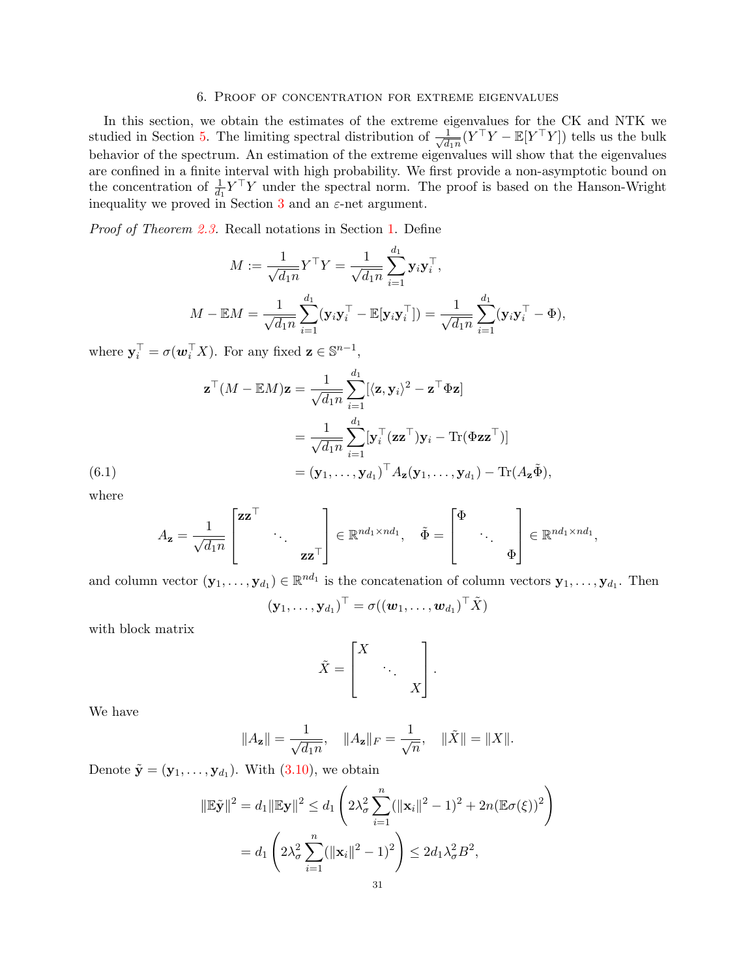### 6. Proof of concentration for extreme eigenvalues

<span id="page-30-0"></span>In this section, we obtain the estimates of the extreme eigenvalues for the CK and NTK we studied in Section [5.](#page-23-0) The limiting spectral distribution of  $\frac{1}{\sqrt{d}}$  $\frac{1}{d_1 n} (Y^{\top} Y - \mathbb{E}[Y^{\top} Y])$  tells us the bulk behavior of the spectrum. An estimation of the extreme eigenvalues will show that the eigenvalues are confined in a finite interval with high probability. We first provide a non-asymptotic bound on the concentration of  $\frac{1}{d_1} Y^{\top} Y$  under the spectral norm. The proof is based on the Hanson-Wright inequality we proved in Section [3](#page-13-1) and an  $\varepsilon$ -net argument.

Proof of Theorem [2.3.](#page-8-2) Recall notations in Section [1.](#page-0-1) Define

$$
M := \frac{1}{\sqrt{d_1 n}} Y^{\top} Y = \frac{1}{\sqrt{d_1 n}} \sum_{i=1}^{d_1} \mathbf{y}_i \mathbf{y}_i^{\top},
$$
  

$$
M - \mathbb{E}M = \frac{1}{\sqrt{d_1 n}} \sum_{i=1}^{d_1} (\mathbf{y}_i \mathbf{y}_i^{\top} - \mathbb{E}[\mathbf{y}_i \mathbf{y}_i^{\top}]) = \frac{1}{\sqrt{d_1 n}} \sum_{i=1}^{d_1} (\mathbf{y}_i \mathbf{y}_i^{\top} - \Phi),
$$

where  $\mathbf{y}_i^{\top} = \sigma(\mathbf{w}_i^{\top} X)$ . For any fixed  $\mathbf{z} \in \mathbb{S}^{n-1}$ ,

$$
\mathbf{z}^{\top}(M - \mathbb{E}M)\mathbf{z} = \frac{1}{\sqrt{d_1 n}} \sum_{i=1}^{d_1} [\langle \mathbf{z}, \mathbf{y}_i \rangle^2 - \mathbf{z}^{\top} \Phi \mathbf{z}]
$$
  

$$
= \frac{1}{\sqrt{d_1 n}} \sum_{i=1}^{d_1} [\mathbf{y}_i^{\top} (\mathbf{z} \mathbf{z}^{\top}) \mathbf{y}_i - \text{Tr}(\Phi \mathbf{z} \mathbf{z}^{\top})]
$$
  

$$
= (\mathbf{y}_1, \dots, \mathbf{y}_{d_1})^{\top} A_{\mathbf{z}}(\mathbf{y}_1, \dots, \mathbf{y}_{d_1}) - \text{Tr}(A_{\mathbf{z}}\tilde{\Phi}),
$$

<span id="page-30-1"></span>where

$$
A_{\mathbf{z}} = \frac{1}{\sqrt{d_1 n}} \begin{bmatrix} \mathbf{z} \mathbf{z}^{\top} & & \\ & \ddots & \\ & & \mathbf{z} \mathbf{z}^{\top} \end{bmatrix} \in \mathbb{R}^{nd_1 \times nd_1}, \quad \tilde{\Phi} = \begin{bmatrix} \Phi & & \\ & \ddots & \\ & & \Phi \end{bmatrix} \in \mathbb{R}^{nd_1 \times nd_1},
$$

and column vector  $(\mathbf{y}_1,\ldots,\mathbf{y}_{d_1})\in\mathbb{R}^{nd_1}$  is the concatenation of column vectors  $\mathbf{y}_1,\ldots,\mathbf{y}_{d_1}$ . Then

$$
(\mathbf{y}_1,\ldots,\mathbf{y}_{d_1})^{\top}=\sigma((\boldsymbol{w}_1,\ldots,\boldsymbol{w}_{d_1})^{\top}\tilde{\boldsymbol{X}})
$$

with block matrix

$$
\tilde{X} = \begin{bmatrix} X & & \\ & \ddots & \\ & & X \end{bmatrix}.
$$

We have

$$
||A_{\mathbf{z}}|| = \frac{1}{\sqrt{d_1 n}}, \quad ||A_{\mathbf{z}}||_F = \frac{1}{\sqrt{n}}, \quad ||\tilde{X}|| = ||X||.
$$

Denote  $\tilde{\mathbf{y}} = (\mathbf{y}_1, \dots, \mathbf{y}_{d_1})$ . With  $(3.10)$ , we obtain

$$
\|\mathbb{E}\tilde{\mathbf{y}}\|^2 = d_1 \|\mathbb{E}\mathbf{y}\|^2 \le d_1 \left(2\lambda_\sigma^2 \sum_{i=1}^n (\|\mathbf{x}_i\|^2 - 1)^2 + 2n(\mathbb{E}\sigma(\xi))^2\right)
$$
  
=  $d_1 \left(2\lambda_\sigma^2 \sum_{i=1}^n (\|\mathbf{x}_i\|^2 - 1)^2\right) \le 2d_1\lambda_\sigma^2 B^2$ ,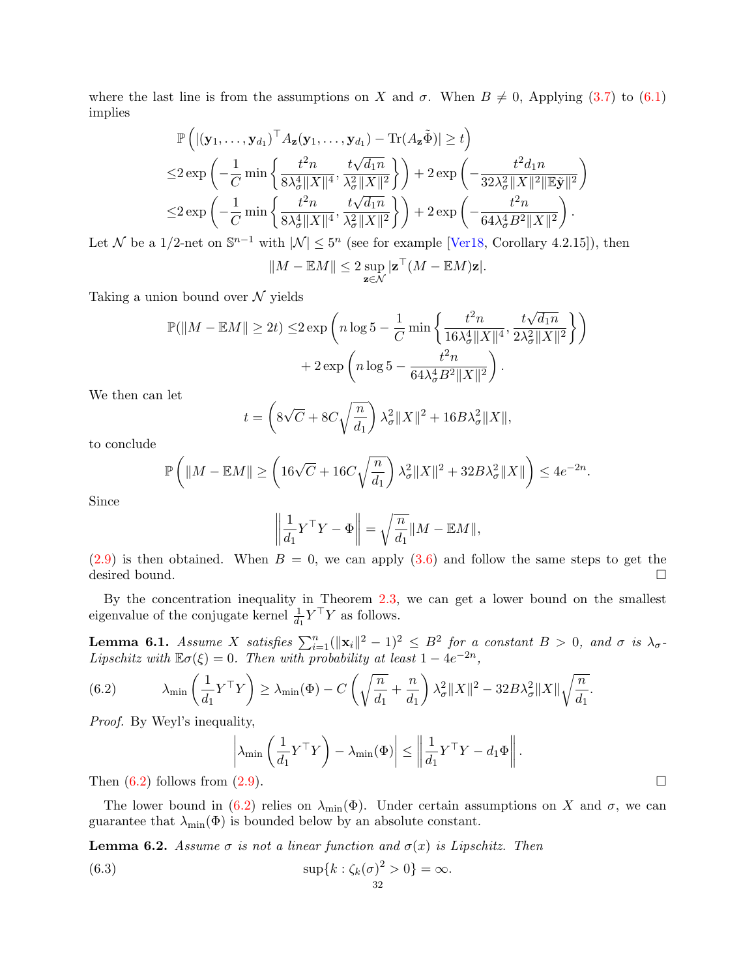where the last line is from the assumptions on X and  $\sigma$ . When  $B \neq 0$ , Applying [\(3.7\)](#page-15-3) to [\(6.1\)](#page-30-1) implies

$$
\mathbb{P}\left(\left|(\mathbf{y}_1,\ldots,\mathbf{y}_{d_1})^{\top} A_{\mathbf{z}}(\mathbf{y}_1,\ldots,\mathbf{y}_{d_1}) - \text{Tr}(A_{\mathbf{z}}\tilde{\Phi})\right| \geq t\right) \n\leq 2 \exp\left(-\frac{1}{C} \min\left\{\frac{t^2 n}{8\lambda_{\sigma}^4 \|X\|^4}, \frac{t\sqrt{d_1 n}}{\lambda_{\sigma}^2 \|X\|^2}\right\}\right) + 2 \exp\left(-\frac{t^2 d_1 n}{32\lambda_{\sigma}^2 \|X\|^2 \|\mathbb{E}\tilde{\mathbf{y}}\|^2}\right) \n\leq 2 \exp\left(-\frac{1}{C} \min\left\{\frac{t^2 n}{8\lambda_{\sigma}^4 \|X\|^4}, \frac{t\sqrt{d_1 n}}{\lambda_{\sigma}^2 \|X\|^2}\right\}\right) + 2 \exp\left(-\frac{t^2 n}{64\lambda_{\sigma}^4 B^2 \|X\|^2}\right).
$$

Let N be a 1/2-net on  $\mathbb{S}^{n-1}$  with  $|\mathcal{N}| \leq 5^n$  (see for example [\[Ver18,](#page-45-21) Corollary 4.2.15]), then

$$
||M - \mathbb{E}M|| \leq 2 \sup_{\mathbf{z} \in \mathcal{N}} |\mathbf{z}^{\top}(M - \mathbb{E}M)\mathbf{z}|.
$$

Taking a union bound over  $\mathcal N$  yields

$$
\begin{aligned} \mathbb{P}(\|M - \mathbb{E}M\| \ge 2t) \le & 2\exp\left(n\log 5 - \frac{1}{C}\min\left\{\frac{t^2n}{16\lambda_{\sigma}^4\|X\|^4}, \frac{t\sqrt{d_1n}}{2\lambda_{\sigma}^2\|X\|^2}\right\}\right) \\ & + 2\exp\left(n\log 5 - \frac{t^2n}{64\lambda_{\sigma}^4B^2\|X\|^2}\right). \end{aligned}
$$

We then can let

$$
t = \left(8\sqrt{C} + 8C\sqrt{\frac{n}{d_1}}\right)\lambda_\sigma^2 \|X\|^2 + 16B\lambda_\sigma^2 \|X\|,
$$

to conclude

$$
\mathbb{P}\left(\|M-\mathbb{E}M\|\geq \left(16\sqrt{C}+16C\sqrt{\frac{n}{d_1}}\right)\lambda_\sigma^2\|X\|^2+32B\lambda_\sigma^2\|X\|\right)\leq 4e^{-2n}.
$$

Since

$$
\left\| \frac{1}{d_1} Y^\top Y - \Phi \right\| = \sqrt{\frac{n}{d_1}} \|M - \mathbb{E}M\|,
$$

 $(2.9)$  is then obtained. When  $B = 0$ , we can apply  $(3.6)$  and follow the same steps to get the desired bound.  $\square$ 

By the concentration inequality in Theorem [2.3,](#page-8-2) we can get a lower bound on the smallest eigenvalue of the conjugate kernel  $\frac{1}{d_1} Y^{\top} Y$  as follows.

<span id="page-31-2"></span>**Lemma 6.1.** Assume X satisfies  $\sum_{i=1}^{n} (||\mathbf{x}_i||^2 - 1)^2 \leq B^2$  for a constant  $B > 0$ , and  $\sigma$  is  $\lambda_{\sigma}$ -Lipschitz with  $\mathbb{E}\sigma(\xi) = 0$ . Then with probability at least  $1 - 4e^{-2n}$ ,

<span id="page-31-0"></span>(6.2) 
$$
\lambda_{\min}\left(\frac{1}{d_1}Y^{\top}Y\right) \geq \lambda_{\min}(\Phi) - C\left(\sqrt{\frac{n}{d_1}} + \frac{n}{d_1}\right)\lambda_{\sigma}^2 \|X\|^2 - 32B\lambda_{\sigma}^2 \|X\| \sqrt{\frac{n}{d_1}}.
$$

Proof. By Weyl's inequality,

$$
\left|\lambda_{\min}\left(\frac{1}{d_1}Y^{\top}Y\right) - \lambda_{\min}(\Phi)\right| \le \left\|\frac{1}{d_1}Y^{\top}Y - d_1\Phi\right\|.
$$
\n(2.0)

Then  $(6.2)$  follows from  $(2.9)$ .

The lower bound in [\(6.2\)](#page-31-0) relies on  $\lambda_{\min}(\Phi)$ . Under certain assumptions on X and  $\sigma$ , we can guarantee that  $\lambda_{\min}(\Phi)$  is bounded below by an absolute constant.

**Lemma 6.2.** Assume  $\sigma$  is not a linear function and  $\sigma(x)$  is Lipschitz. Then

<span id="page-31-1"></span>(6.3) 
$$
\sup\{k:\zeta_k(\sigma)^2>0\}=\infty.
$$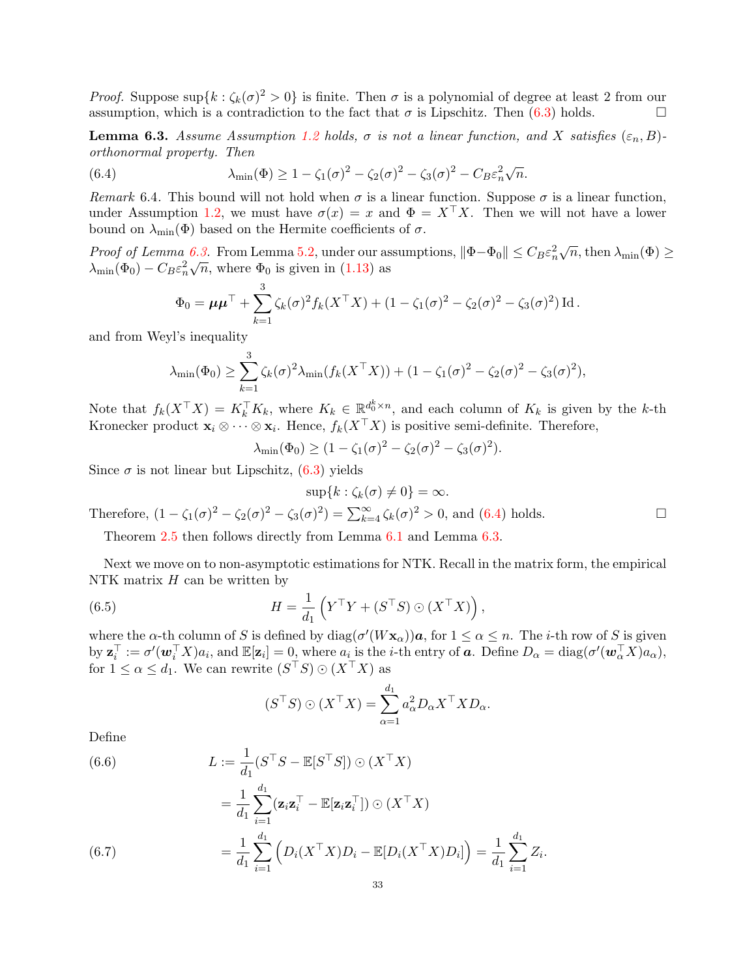*Proof.* Suppose  $\sup\{k : \zeta_k(\sigma)^2 > 0\}$  is finite. Then  $\sigma$  is a polynomial of degree at least 2 from our assumption, which is a contradiction to the fact that  $\sigma$  is Lipschitz. Then [\(6.3\)](#page-31-1) holds.

<span id="page-32-1"></span>**Lemma 6.3.** Assume Assumption [1.2](#page-5-1) holds,  $\sigma$  is not a linear function, and X satisfies  $(\varepsilon_n, B)$ orthonormal property. Then

<span id="page-32-2"></span>(6.4) 
$$
\lambda_{\min}(\Phi) \ge 1 - \zeta_1(\sigma)^2 - \zeta_2(\sigma)^2 - \zeta_3(\sigma)^2 - C_B \varepsilon_n^2 \sqrt{n}.
$$

Remark 6.4. This bound will not hold when  $\sigma$  is a linear function. Suppose  $\sigma$  is a linear function, under Assumption [1.2,](#page-5-1) we must have  $\sigma(x) = x$  and  $\Phi = X^{\top}X$ . Then we will not have a lower bound on  $\lambda_{\min}(\Phi)$  based on the Hermite coefficients of  $\sigma$ .

*Proof of Lemma* [6.3.](#page-32-1) From Lemma [5.2,](#page-24-1) under our assumptions,  $\|\Phi-\Phi_0\| \leq C_B \varepsilon_n^2$ 6.3. From Lemma 5.2, under our assumptions,  $\|\Phi - \Phi_0\| \leq C_B \varepsilon_n^2 \sqrt{n}$ , then  $\lambda_{\min}(\Phi) \geq$  $\lambda_{\min}(\Phi_0) - C_B \varepsilon_n^2 \sqrt{n}$ , where  $\Phi_0$  is given in [\(1.13\)](#page-6-0) as

$$
\Phi_0 = \mu \mu^{\top} + \sum_{k=1}^3 \zeta_k(\sigma)^2 f_k(X^{\top} X) + (1 - \zeta_1(\sigma)^2 - \zeta_2(\sigma)^2 - \zeta_3(\sigma)^2) \operatorname{Id}.
$$

and from Weyl's inequality

$$
\lambda_{\min}(\Phi_0) \ge \sum_{k=1}^3 \zeta_k(\sigma)^2 \lambda_{\min}(f_k(X^\top X)) + (1 - \zeta_1(\sigma)^2 - \zeta_2(\sigma)^2 - \zeta_3(\sigma)^2),
$$

Note that  $f_k(X^{\top}X) = K_k^{\top}K_k$ , where  $K_k \in \mathbb{R}^{d_0^k \times n}$ , and each column of  $K_k$  is given by the k-th Kronecker product  $\mathbf{x}_i \otimes \cdots \otimes \mathbf{x}_i$ . Hence,  $f_k(X^\top X)$  is positive semi-definite. Therefore,

$$
\lambda_{\min}(\Phi_0) \ge (1 - \zeta_1(\sigma)^2 - \zeta_2(\sigma)^2 - \zeta_3(\sigma)^2).
$$

Since  $\sigma$  is not linear but Lipschitz,  $(6.3)$  yields

$$
\sup\{k:\zeta_k(\sigma)\neq 0\}=\infty.
$$

Therefore,  $(1 - \zeta_1(\sigma)^2 - \zeta_2(\sigma)^2 - \zeta_3(\sigma)^2) = \sum_{k=4}^{\infty} \zeta_k(\sigma)^2 > 0$ , and [\(6.4\)](#page-32-2) holds.

Theorem [2.5](#page-9-2) then follows directly from Lemma [6.1](#page-31-2) and Lemma [6.3.](#page-32-1)

Next we move on to non-asymptotic estimations for NTK. Recall in the matrix form, the empirical NTK matrix  $H$  can be written by

<span id="page-32-0"></span>(6.5) 
$$
H = \frac{1}{d_1} \left( Y^\top Y + (S^\top S) \odot (X^\top X) \right),
$$

where the  $\alpha$ -th column of S is defined by  $\text{diag}(\sigma'(W\mathbf{x}_{\alpha}))\mathbf{a}$ , for  $1 \leq \alpha \leq n$ . The *i*-th row of S is given  $\mathrm{b} \mathrm{y} \ \mathbf{z}_i^{\top} := \sigma'(\mathbf{w}_i^{\top} X) a_i$ , and  $\mathbb{E}[\mathbf{z}_i] = 0$ , where  $a_i$  is the *i*-th entry of  $\mathbf{a}$ . Define  $D_{\alpha} = \mathrm{diag}(\sigma'(\mathbf{w}_{\alpha}^{\top} X) a_{\alpha})$ , for  $1 \leq \alpha \leq d_1$ . We can rewrite  $(S^{\top}S) \odot (X^{\top}X)$  as

$$
(S^{\top}S) \odot (X^{\top}X) = \sum_{\alpha=1}^{d_1} a_{\alpha}^2 D_{\alpha} X^{\top} X D_{\alpha}.
$$

Define

<span id="page-32-4"></span><span id="page-32-3"></span>(6.6)  
\n
$$
L := \frac{1}{d_1} (S^{\top} S - \mathbb{E}[S^{\top} S]) \odot (X^{\top} X)
$$
\n
$$
= \frac{1}{d_1} \sum_{i=1}^{d_1} (\mathbf{z}_i \mathbf{z}_i^{\top} - \mathbb{E}[\mathbf{z}_i \mathbf{z}_i^{\top}]) \odot (X^{\top} X)
$$
\n
$$
= \frac{1}{d_1} \sum_{i=1}^{d_1} \left( D_i (X^{\top} X) D_i - \mathbb{E}[D_i (X^{\top} X) D_i] \right) = \frac{1}{d_1} \sum_{i=1}^{d_1} Z_i.
$$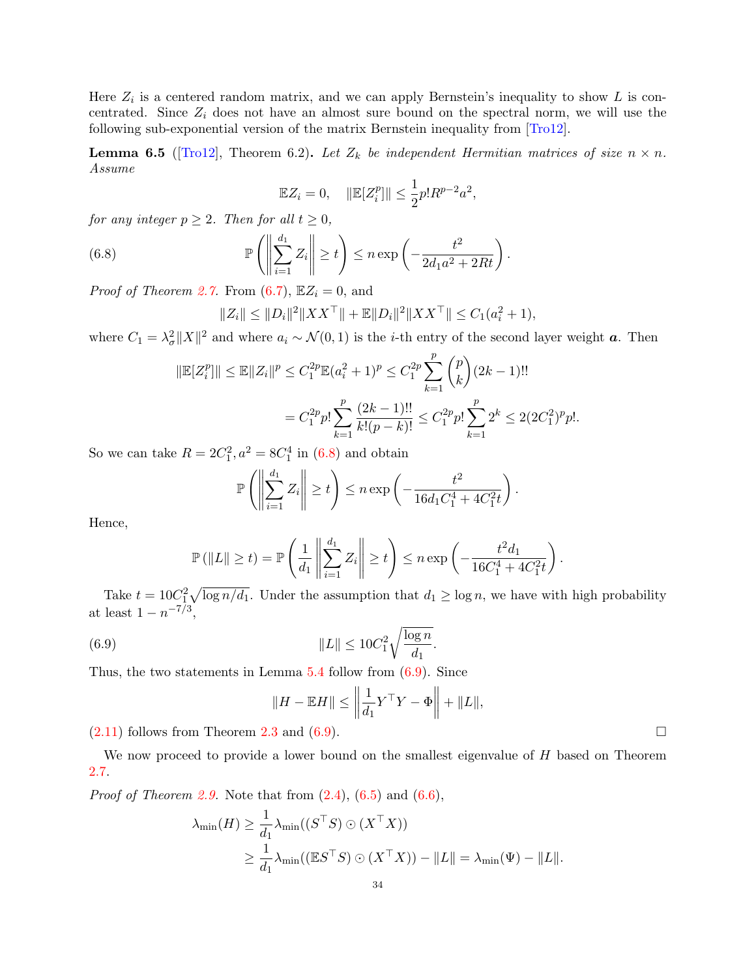Here  $Z_i$  is a centered random matrix, and we can apply Bernstein's inequality to show L is concentrated. Since  $Z_i$  does not have an almost sure bound on the spectral norm, we will use the following sub-exponential version of the matrix Bernstein inequality from [\[Tro12\]](#page-45-22).

**Lemma 6.5** ([\[Tro12\]](#page-45-22), Theorem 6.2). Let  $Z_k$  be independent Hermitian matrices of size  $n \times n$ . Assume

$$
\mathbb{E}Z_i = 0, \quad \|\mathbb{E}[Z_i^p]\| \le \frac{1}{2}p!R^{p-2}a^2,
$$

for any integer  $p \geq 2$ . Then for all  $t \geq 0$ ,

<span id="page-33-0"></span>(6.8) 
$$
\mathbb{P}\left(\left\|\sum_{i=1}^{d_1} Z_i\right\| \geq t\right) \leq n \exp\left(-\frac{t^2}{2d_1a^2 + 2Rt}\right).
$$

*Proof of Theorem [2.7.](#page-9-0)* From  $(6.7)$ ,  $\mathbb{E}Z_i = 0$ , and

$$
||Z_i|| \le ||D_i||^2 ||XX^{\top}|| + \mathbb{E}||D_i||^2 ||XX^{\top}|| \le C_1(a_i^2 + 1),
$$

where  $C_1 = \lambda_{\sigma}^2 ||X||^2$  and where  $a_i \sim \mathcal{N}(0, 1)$  is the *i*-th entry of the second layer weight **a**. Then

$$
\|\mathbb{E}[Z_i^p]\| \le \mathbb{E} \|Z_i\|^p \le C_1^{2p} \mathbb{E}(a_i^2 + 1)^p \le C_1^{2p} \sum_{k=1}^p {p \choose k} (2k - 1)!!
$$
  
=  $C_1^{2p} p! \sum_{k=1}^p \frac{(2k - 1)!!}{k!(p - k)!} \le C_1^{2p} p! \sum_{k=1}^p 2^k \le 2(2C_1^2)^p p!.$ 

So we can take  $R = 2C_1^2$ ,  $a^2 = 8C_1^4$  in [\(6.8\)](#page-33-0) and obtain

$$
\mathbb{P}\left(\left\|\sum_{i=1}^{d_1} Z_i\right\| \geq t\right) \leq n \exp\left(-\frac{t^2}{16d_1C_1^4 + 4C_1^2t}\right).
$$

Hence,

$$
\mathbb{P}\left(\|L\| \geq t\right) = \mathbb{P}\left(\frac{1}{d_1} \left\|\sum_{i=1}^{d_1} Z_i\right\| \geq t\right) \leq n \exp\left(-\frac{t^2 d_1}{16C_1^4 + 4C_1^2 t}\right).
$$

Take  $t = 10C_1^2 \sqrt{\log n/d_1}$ . Under the assumption that  $d_1 \ge \log n$ , we have with high probability at least  $1 - n^{-7/3}$ ,

<span id="page-33-1"></span>(6.9) 
$$
||L|| \le 10C_1^2 \sqrt{\frac{\log n}{d_1}}.
$$

Thus, the two statements in Lemma  $5.4$  follow from  $(6.9)$ . Since

$$
||H - \mathbb{E}H|| \le \left\| \frac{1}{d_1} Y^{\top} Y - \Phi \right\| + ||L||,
$$

 $(2.11)$  follows from Theorem [2.3](#page-8-2) and  $(6.9)$ .

We now proceed to provide a lower bound on the smallest eigenvalue of  $H$  based on Theorem [2.7.](#page-9-0)

*Proof of Theorem [2.9.](#page-10-1)* Note that from  $(2.4)$ ,  $(6.5)$  and  $(6.6)$ ,

$$
\lambda_{\min}(H) \ge \frac{1}{d_1} \lambda_{\min}((S^{\top}S) \odot (X^{\top}X))
$$
  
 
$$
\ge \frac{1}{d_1} \lambda_{\min}((\mathbb{E}S^{\top}S) \odot (X^{\top}X)) - ||L|| = \lambda_{\min}(\Psi) - ||L||.
$$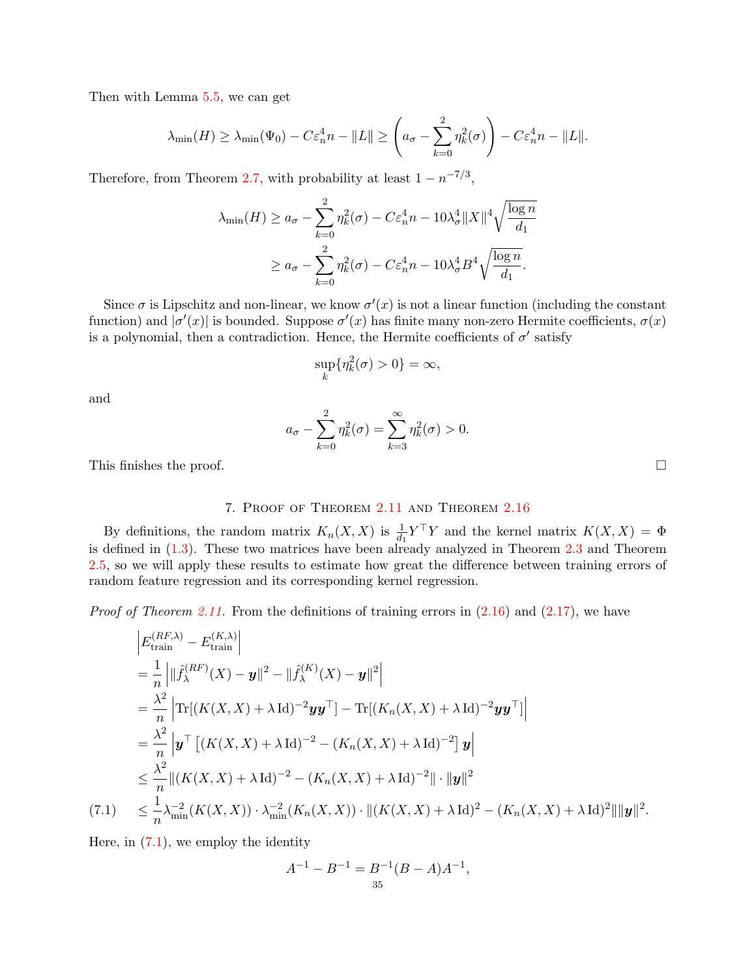Then with Lemma [5.5,](#page-28-1) we can get

$$
\lambda_{\min}(H) \ge \lambda_{\min}(\Psi_0) - C\varepsilon_n^4 n - \|L\| \ge \left(a_\sigma - \sum_{k=0}^2 \eta_k^2(\sigma)\right) - C\varepsilon_n^4 n - \|L\|.
$$

Therefore, from Theorem [2.7,](#page-9-0) with probability at least  $1 - n^{-7/3}$ ,

$$
\lambda_{\min}(H) \ge a_{\sigma} - \sum_{k=0}^{2} \eta_k^2(\sigma) - C \varepsilon_n^4 n - 10\lambda_{\sigma}^4 \|X\|^4 \sqrt{\frac{\log n}{d_1}}
$$
  

$$
\ge a_{\sigma} - \sum_{k=0}^{2} \eta_k^2(\sigma) - C \varepsilon_n^4 n - 10\lambda_{\sigma}^4 B^4 \sqrt{\frac{\log n}{d_1}}.
$$

Since  $\sigma$  is Lipschitz and non-linear, we know  $\sigma'(x)$  is not a linear function (including the constant function) and  $|\sigma'(x)|$  is bounded. Suppose  $\sigma'(x)$  has finite many non-zero Hermite coefficients,  $\sigma(x)$ is a polynomial, then a contradiction. Hence, the Hermite coefficients of  $\sigma'$  satisfy

$$
\sup_{k} \{\eta_k^2(\sigma) > 0\} = \infty,
$$

and

$$
a_{\sigma} - \sum_{k=0}^{2} \eta_k^2(\sigma) = \sum_{k=3}^{\infty} \eta_k^2(\sigma) > 0.
$$

This finishes the proof.  $\Box$ 

# 7. Proof of Theorem [2.11](#page-11-2) and Theorem [2.16](#page-12-1)

<span id="page-34-0"></span>By definitions, the random matrix  $K_n(X, X)$  is  $\frac{1}{d_1} Y^{\top} Y$  and the kernel matrix  $K(X, X) = \Phi$ is defined in [\(1.3\)](#page-3-2). These two matrices have been already analyzed in Theorem [2.3](#page-8-2) and Theorem [2.5,](#page-9-2) so we will apply these results to estimate how great the difference between training errors of random feature regression and its corresponding kernel regression.

*Proof of Theorem [2.11.](#page-11-2)* From the definitions of training errors in  $(2.16)$  and  $(2.17)$ , we have

$$
\begin{split}\n&\left|E_{\text{train}}^{(RF,\lambda)} - E_{\text{train}}^{(K,\lambda)}\right| \\
&= \frac{1}{n} \left| \|\hat{f}_{\lambda}^{(RF)}(X) - \mathbf{y}\|^{2} - \|\hat{f}_{\lambda}^{(K)}(X) - \mathbf{y}\|^{2} \right| \\
&= \frac{\lambda^{2}}{n} \left| \text{Tr}[(K(X,X) + \lambda \text{Id})^{-2} \mathbf{y}\mathbf{y}^{\top}] - \text{Tr}[(K_{n}(X,X) + \lambda \text{Id})^{-2} \mathbf{y}\mathbf{y}^{\top}]\right| \\
&= \frac{\lambda^{2}}{n} \left| \mathbf{y}^{\top} \left[ (K(X,X) + \lambda \text{Id})^{-2} - (K_{n}(X,X) + \lambda \text{Id})^{-2} \right] \mathbf{y} \right| \\
&\leq \frac{\lambda^{2}}{n} \|(K(X,X) + \lambda \text{Id})^{-2} - (K_{n}(X,X) + \lambda \text{Id})^{-2} \|\cdot\| \mathbf{y} \|^{2} \\
&\quad(7.1) \leq \frac{1}{n} \lambda_{\min}^{-2} (K(X,X)) \cdot \lambda_{\min}^{-2} (K_{n}(X,X)) \cdot \| (K(X,X) + \lambda \text{Id})^{2} - (K_{n}(X,X) + \lambda \text{Id})^{2} \| \|\mathbf{y} \|^{2}.\n\end{split}
$$

<span id="page-34-1"></span>Here, in  $(7.1)$ , we employ the identity

$$
A^{-1} - B^{-1} = B^{-1}(B - A)A^{-1},
$$
  
<sub>35</sub>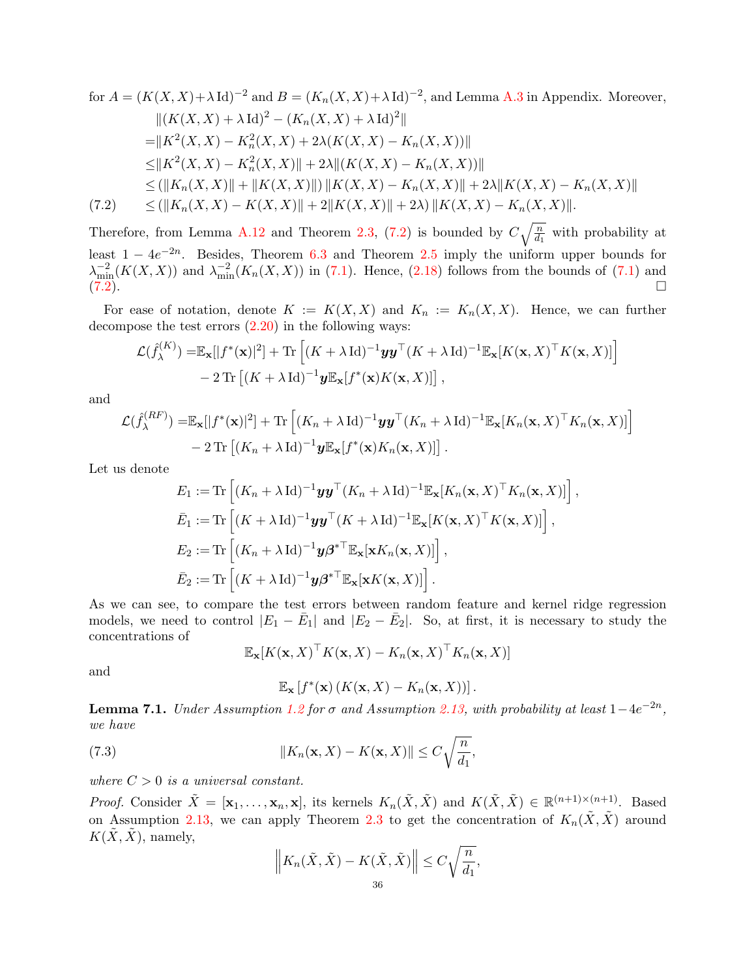for 
$$
A = (K(X, X) + \lambda \text{ Id})^{-2}
$$
 and  $B = (K_n(X, X) + \lambda \text{ Id})^{-2}$ , and Lemma A.3 in Appendix. Moreover,  
\n
$$
||(K(X, X) + \lambda \text{ Id})^2 - (K_n(X, X) + \lambda \text{ Id})^2||
$$
\n
$$
= ||K^2(X, X) - K_n^2(X, X) + 2\lambda(K(X, X) - K_n(X, X))||
$$
\n
$$
\leq ||K^2(X, X) - K_n^2(X, X)|| + 2\lambda ||(K(X, X) - K_n(X, X))||
$$
\n
$$
\leq (||K_n(X, X)|| + ||K(X, X)||) ||K(X, X) - K_n(X, X)|| + 2\lambda ||K(X, X) - K_n(X, X)||
$$
\n(7.2) 
$$
\leq (||K_n(X, X) - K(X, X)|| + 2||K(X, X)|| + 2\lambda) ||K(X, X) - K_n(X, X)||.
$$

<span id="page-35-0"></span>Therefore, from Lemma [A.12](#page-41-9) and Theorem [2.3,](#page-8-2) [\(7.2\)](#page-35-0) is bounded by  $C\sqrt{\frac{n}{d_1}}$  with probability at least  $1 - 4e^{-2n}$ . Besides, Theorem [6.3](#page-32-1) and Theorem [2.5](#page-9-2) imply the uniform upper bounds for  $\lambda_{\min}^{-2}(K(X,X))$  and  $\lambda_{\min}^{-2}(K_n(X,X))$  in [\(7.1\)](#page-34-1). Hence, [\(2.18\)](#page-11-5) follows from the bounds of (7.1) and  $(7.2)$ .

For ease of notation, denote  $K := K(X, X)$  and  $K_n := K_n(X, X)$ . Hence, we can further decompose the test errors  $(2.20)$  in the following ways:

$$
\mathcal{L}(\hat{f}_{\lambda}^{(K)}) = \mathbb{E}_{\mathbf{x}}[|f^*(\mathbf{x})|^2] + \text{Tr}\left[ (K + \lambda \operatorname{Id})^{-1} \mathbf{y} \mathbf{y}^\top (K + \lambda \operatorname{Id})^{-1} \mathbb{E}_{\mathbf{x}}[K(\mathbf{x}, X)^\top K(\mathbf{x}, X)] \right] - 2 \text{Tr}\left[ (K + \lambda \operatorname{Id})^{-1} \mathbf{y} \mathbb{E}_{\mathbf{x}}[f^*(\mathbf{x})K(\mathbf{x}, X)] \right],
$$

and

$$
\mathcal{L}(\hat{f}_{\lambda}^{(RF)}) = \mathbb{E}_{\mathbf{x}}[|f^*(\mathbf{x})|^2] + \text{Tr}\left[ (K_n + \lambda \operatorname{Id})^{-1} \mathbf{y} \mathbf{y}^\top (K_n + \lambda \operatorname{Id})^{-1} \mathbb{E}_{\mathbf{x}}[K_n(\mathbf{x}, X)^\top K_n(\mathbf{x}, X)] \right] - 2 \text{Tr}\left[ (K_n + \lambda \operatorname{Id})^{-1} \mathbf{y} \mathbb{E}_{\mathbf{x}}[f^*(\mathbf{x}) K_n(\mathbf{x}, X)] \right].
$$

Let us denote

$$
E_1 := \text{Tr}\left[ (K_n + \lambda \operatorname{Id})^{-1} \mathbf{y} \mathbf{y}^\top (K_n + \lambda \operatorname{Id})^{-1} \mathbb{E}_\mathbf{x} [K_n(\mathbf{x}, X)^\top K_n(\mathbf{x}, X)] \right],
$$
  
\n
$$
\bar{E}_1 := \text{Tr}\left[ (K + \lambda \operatorname{Id})^{-1} \mathbf{y} \mathbf{y}^\top (K + \lambda \operatorname{Id})^{-1} \mathbb{E}_\mathbf{x} [K(\mathbf{x}, X)^\top K(\mathbf{x}, X)] \right],
$$
  
\n
$$
E_2 := \text{Tr}\left[ (K_n + \lambda \operatorname{Id})^{-1} \mathbf{y} \boldsymbol{\beta}^{* \top} \mathbb{E}_\mathbf{x} [\mathbf{x} K_n(\mathbf{x}, X)] \right],
$$
  
\n
$$
\bar{E}_2 := \text{Tr}\left[ (K + \lambda \operatorname{Id})^{-1} \mathbf{y} \boldsymbol{\beta}^{* \top} \mathbb{E}_\mathbf{x} [\mathbf{x} K(\mathbf{x}, X)] \right].
$$

As we can see, to compare the test errors between random feature and kernel ridge regression models, we need to control  $|E_1 - \bar{E}_1|$  and  $|E_2 - \bar{E}_2|$ . So, at first, it is necessary to study the concentrations of

$$
\mathbb{E}_{\mathbf{x}}[K(\mathbf{x}, X)^\top K(\mathbf{x}, X) - K_n(\mathbf{x}, X)^\top K_n(\mathbf{x}, X)]
$$

and

$$
\mathbb{E}_{\mathbf{x}}\left[f^*(\mathbf{x})\left(K(\mathbf{x},X)-K_n(\mathbf{x},X)\right)\right].
$$

<span id="page-35-2"></span>**Lemma 7.1.** Under Assumption [1.2](#page-5-1) for  $\sigma$  and Assumption [2.13,](#page-11-0) with probability at least  $1-4e^{-2n}$ , we have

<span id="page-35-1"></span>(7.3) 
$$
||K_n(\mathbf{x}, X) - K(\mathbf{x}, X)|| \leq C \sqrt{\frac{n}{d_1}},
$$

where  $C > 0$  is a universal constant.

*Proof.* Consider  $\tilde{X} = [\mathbf{x}_1, \dots, \mathbf{x}_n, \mathbf{x}]$ , its kernels  $K_n(\tilde{X}, \tilde{X})$  and  $K(\tilde{X}, \tilde{X}) \in \mathbb{R}^{(n+1)\times(n+1)}$ . Based on Assumption [2.13,](#page-11-0) we can apply Theorem [2.3](#page-8-2) to get the concentration of  $K_n(\tilde{X}, \tilde{X})$  around  $K(X, \tilde{X})$ , namely,

$$
\left\| K_n(\tilde{X}, \tilde{X}) - K(\tilde{X}, \tilde{X}) \right\| \le C \sqrt{\frac{n}{d_1}},
$$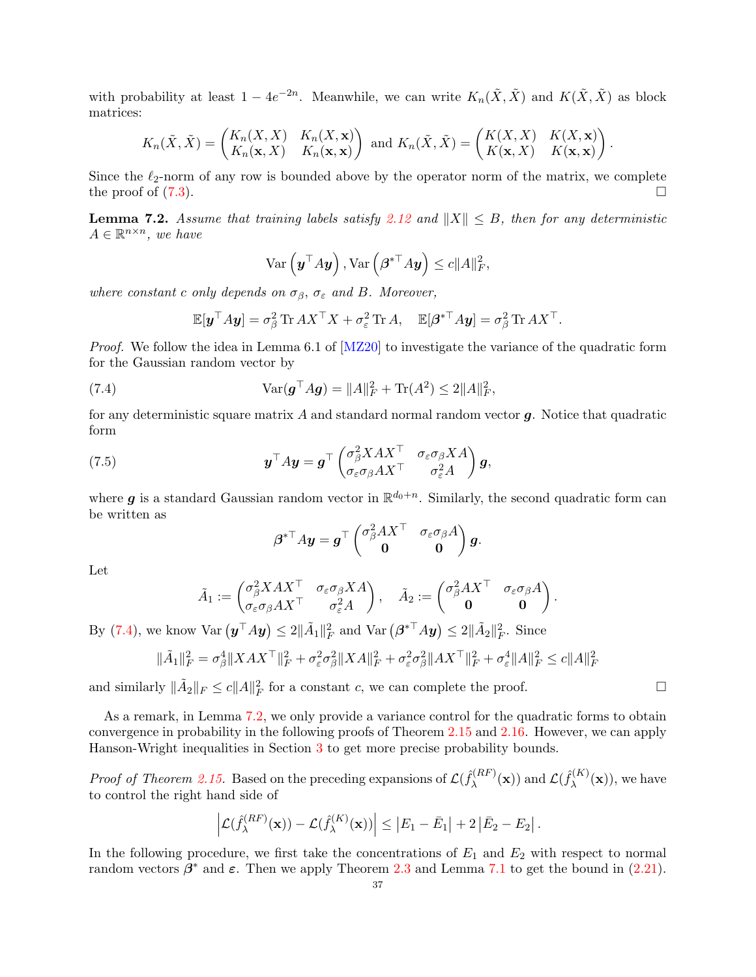with probability at least  $1-4e^{-2n}$ . Meanwhile, we can write  $K_n(\tilde{X}, \tilde{X})$  and  $K(\tilde{X}, \tilde{X})$  as block matrices:

$$
K_n(\tilde{X}, \tilde{X}) = \begin{pmatrix} K_n(X, X) & K_n(X, \mathbf{x}) \\ K_n(\mathbf{x}, X) & K_n(\mathbf{x}, \mathbf{x}) \end{pmatrix} \text{ and } K_n(\tilde{X}, \tilde{X}) = \begin{pmatrix} K(X, X) & K(X, \mathbf{x}) \\ K(\mathbf{x}, X) & K(\mathbf{x}, \mathbf{x}) \end{pmatrix}.
$$

Since the  $\ell_2$ -norm of any row is bounded above by the operator norm of the matrix, we complete the proof of  $(7.3)$ .

<span id="page-36-1"></span>**Lemma 7.2.** Assume that training labels satisfy [2.12](#page-11-1) and  $||X|| \leq B$ , then for any deterministic  $A \in \mathbb{R}^{n \times n}$ , we have

$$
\text{Var}\left(\boldsymbol{y}^{\top} A \boldsymbol{y}\right), \text{Var}\left(\boldsymbol{\beta}^{*\top} A \boldsymbol{y}\right) \leq c \|A\|_{F}^2,
$$

where constant c only depends on  $\sigma_{\beta}$ ,  $\sigma_{\varepsilon}$  and B. Moreover,

<span id="page-36-0"></span>
$$
\mathbb{E}[\boldsymbol{y}^\top A \boldsymbol{y}] = \sigma_\beta^2 \operatorname{Tr} A X^\top X + \sigma_\varepsilon^2 \operatorname{Tr} A, \quad \mathbb{E}[\boldsymbol{\beta}^{* \top} A \boldsymbol{y}] = \sigma_\beta^2 \operatorname{Tr} A X^\top.
$$

*Proof.* We follow the idea in Lemma 6.1 of [\[MZ20\]](#page-44-9) to investigate the variance of the quadratic form for the Gaussian random vector by

(7.4) 
$$
\text{Var}(\mathbf{g}^{\top} A \mathbf{g}) = ||A||_F^2 + \text{Tr}(A^2) \le 2||A||_F^2,
$$

for any deterministic square matrix  $A$  and standard normal random vector  $q$ . Notice that quadratic form

(7.5) 
$$
\mathbf{y}^\top A \mathbf{y} = \mathbf{g}^\top \begin{pmatrix} \sigma_\beta^2 X A X^\top & \sigma_\varepsilon \sigma_\beta X A \\ \sigma_\varepsilon \sigma_\beta A X^\top & \sigma_\varepsilon^2 A \end{pmatrix} \mathbf{g},
$$

where **g** is a standard Gaussian random vector in  $\mathbb{R}^{d_0+n}$ . Similarly, the second quadratic form can be written as

$$
\boldsymbol{\beta}^{*\top}A\boldsymbol{y} = \boldsymbol{g}^\top \begin{pmatrix} \sigma^2_{\beta} A X^\top & \sigma_{\varepsilon} \sigma_{\beta} A \\ \boldsymbol{0} & \boldsymbol{0} \end{pmatrix} \boldsymbol{g}.
$$

Let

$$
\tilde{A}_1 := \begin{pmatrix} \sigma_\beta^2 X A X^\top & \sigma_\varepsilon \sigma_\beta X A \\ \sigma_\varepsilon \sigma_\beta A X^\top & \sigma_\varepsilon^2 A \end{pmatrix}, \quad \tilde{A}_2 := \begin{pmatrix} \sigma_\beta^2 A X^\top & \sigma_\varepsilon \sigma_\beta A \\ \mathbf{0} & \mathbf{0} \end{pmatrix}.
$$

By [\(7.4\)](#page-36-0), we know  $\text{Var}(\boldsymbol{y}^\top A \boldsymbol{y}) \leq 2 \|\tilde{A}_1\|_F^2$  and  $\text{Var}(\boldsymbol{\beta}^{*\top} A \boldsymbol{y}) \leq 2 \|\tilde{A}_2\|_F^2$ . Since

$$
\|\tilde{A}_1\|_F^2 = \sigma_\beta^4 \|XAX^\top\|_F^2 + \sigma_\varepsilon^2 \sigma_\beta^2 \|XA\|_F^2 + \sigma_\varepsilon^2 \sigma_\beta^2 \|AX^\top\|_F^2 + \sigma_\varepsilon^4 \|A\|_F^2 \le c \|A\|_F^2
$$

and similarly  $\|\tilde{A}_2\|_F \le c \|A\|_F^2$  for a constant c, we can complete the proof.

As a remark, in Lemma [7.2,](#page-36-1) we only provide a variance control for the quadratic forms to obtain convergence in probability in the following proofs of Theorem [2.15](#page-12-0) and [2.16.](#page-12-1) However, we can apply Hanson-Wright inequalities in Section [3](#page-13-1) to get more precise probability bounds.

*Proof of Theorem [2.15.](#page-12-0)* Based on the preceding expansions of  $\mathcal{L}(\hat{f}_{\lambda}^{(RF)})$  $\mathcal{L}(\hat{f}_{\bm{\lambda}}^{(RF)}(\mathbf{x}))$  and  $\mathcal{L}(\hat{f}_{\bm{\lambda}}^{(K)})$  $\lambda^{(N)}(\mathbf{x})$ , we have to control the right hand side of

$$
\left|\mathcal{L}(\hat{f}_{\lambda}^{(RF)}(\mathbf{x})) - \mathcal{L}(\hat{f}_{\lambda}^{(K)}(\mathbf{x}))\right| \leq \left|E_1 - \bar{E}_1\right| + 2\left|\bar{E}_2 - E_2\right|.
$$

In the following procedure, we first take the concentrations of  $E_1$  and  $E_2$  with respect to normal random vectors  $\beta^*$  and  $\varepsilon$ . Then we apply Theorem [2.3](#page-8-2) and Lemma [7.1](#page-35-2) to get the bound in [\(2.21\)](#page-12-4).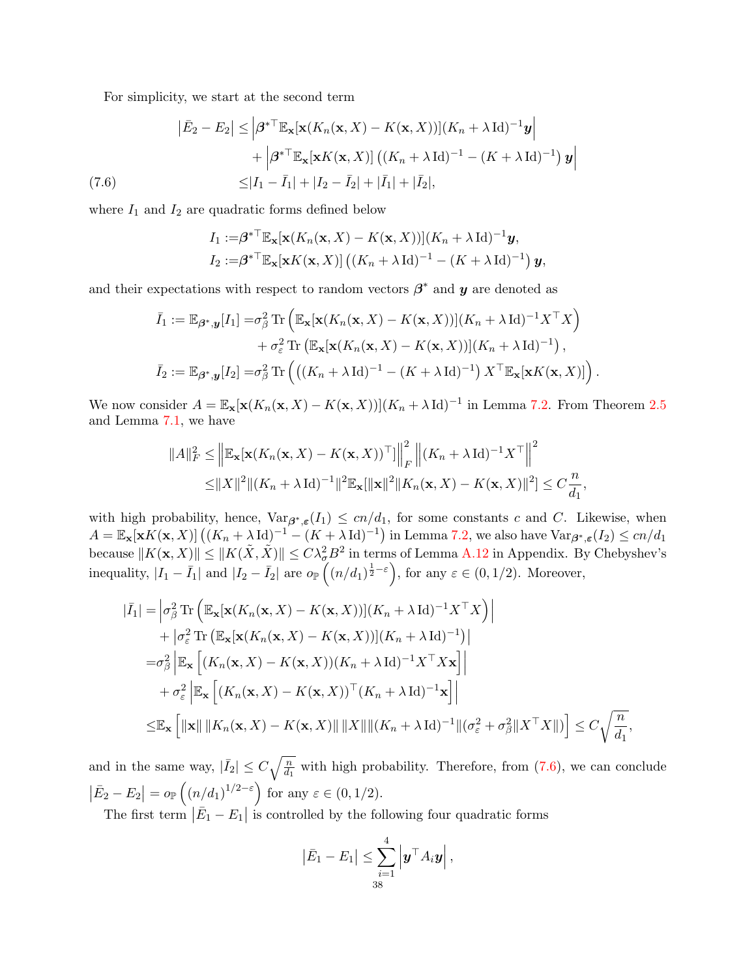For simplicity, we start at the second term

$$
\begin{aligned}\n|\bar{E}_2 - E_2| &\leq \left| \boldsymbol{\beta}^* \mathbb{T}_{\mathbb{E}_\mathbf{x}}[\mathbf{x}(K_n(\mathbf{x}, X) - K(\mathbf{x}, X))] (K_n + \lambda \operatorname{Id})^{-1} \mathbf{y} \right| \\
&\quad + \left| \boldsymbol{\beta}^* \mathbb{T}_{\mathbb{E}_\mathbf{x}}[\mathbf{x}K(\mathbf{x}, X)] \left( (K_n + \lambda \operatorname{Id})^{-1} - (K + \lambda \operatorname{Id})^{-1} \right) \mathbf{y} \right| \\
&\leq |I_1 - \bar{I}_1| + |I_2 - \bar{I}_2| + |\bar{I}_1| + |\bar{I}_2|,\n\end{aligned}
$$

<span id="page-37-0"></span>where  $I_1$  and  $I_2$  are quadratic forms defined below

$$
I_1 := \beta^{*T} \mathbb{E}_{\mathbf{x}}[\mathbf{x}(K_n(\mathbf{x}, X) - K(\mathbf{x}, X))](K_n + \lambda \operatorname{Id})^{-1} \mathbf{y},
$$
  
\n
$$
I_2 := \beta^{*T} \mathbb{E}_{\mathbf{x}}[\mathbf{x}K(\mathbf{x}, X)] ((K_n + \lambda \operatorname{Id})^{-1} - (K + \lambda \operatorname{Id})^{-1}) \mathbf{y},
$$

and their expectations with respect to random vectors  $\beta^*$  and  $y$  are denoted as

$$
\bar{I}_1 := \mathbb{E}_{\beta^*,\mathbf{y}}[I_1] = \sigma_{\beta}^2 \operatorname{Tr} \left( \mathbb{E}_{\mathbf{x}}[\mathbf{x}(K_n(\mathbf{x},X) - K(\mathbf{x},X))](K_n + \lambda \operatorname{Id})^{-1} X^\top X \right) \n+ \sigma_{\varepsilon}^2 \operatorname{Tr} \left( \mathbb{E}_{\mathbf{x}}[\mathbf{x}(K_n(\mathbf{x},X) - K(\mathbf{x},X))](K_n + \lambda \operatorname{Id})^{-1} \right), \n\bar{I}_2 := \mathbb{E}_{\beta^*,\mathbf{y}}[I_2] = \sigma_{\beta}^2 \operatorname{Tr} \left( \left( (K_n + \lambda \operatorname{Id})^{-1} - (K + \lambda \operatorname{Id})^{-1} \right) X^\top \mathbb{E}_{\mathbf{x}}[\mathbf{x}K(\mathbf{x},X)] \right).
$$

We now consider  $A = \mathbb{E}_{\mathbf{x}}[\mathbf{x}(K_n(\mathbf{x},X) - K(\mathbf{x},X))](K_n + \lambda \operatorname{Id})^{-1}$  in Lemma [7.2.](#page-36-1) From Theorem [2.5](#page-9-2) and Lemma [7.1,](#page-35-2) we have

$$
||A||_F^2 \le ||\mathbb{E}_{\mathbf{x}}[\mathbf{x}(K_n(\mathbf{x}, X) - K(\mathbf{x}, X))^{\top}]]\Big|_F^2 ||(K_n + \lambda \operatorname{Id})^{-1} X^{\top}||^2
$$
  
\n
$$
\le ||X||^2 ||(K_n + \lambda \operatorname{Id})^{-1}||^2 \mathbb{E}_{\mathbf{x}}[||\mathbf{x}||^2 || K_n(\mathbf{x}, X) - K(\mathbf{x}, X)||^2] \le C \frac{n}{d_1},
$$

with high probability, hence,  $\text{Var}_{\beta^*, \varepsilon}(I_1) \leq cn/d_1$ , for some constants c and C. Likewise, when  $A = \mathbb{E}_{\mathbf{x}}[\mathbf{x}K(\mathbf{x},X)]((K_n + \lambda \operatorname{Id})^{-1} - (K + \lambda \operatorname{Id})^{-1})$  in Lemma [7.2,](#page-36-1) we also have  $\text{Var}_{\boldsymbol{\beta}^*,\boldsymbol{\varepsilon}}(I_2) \le cn/d_1$ because  $||K(\mathbf{x}, X)|| \le ||K(\tilde{X}, \tilde{X})|| \le C\lambda_{\sigma}^2 B^2$  in terms of Lemma [A.12](#page-41-9) in Appendix. By Chebyshev's inequality,  $|I_1 - \bar{I}_1|$  and  $|I_2 - \bar{I}_2|$  are  $o_{\mathbb{P}}((n/d_1)^{\frac{1}{2}-\varepsilon})$ , for any  $\varepsilon \in (0,1/2)$ . Moreover,

$$
\begin{split}\n|\bar{I}_{1}| &= \left| \sigma_{\beta}^{2} \operatorname{Tr} \left( \mathbb{E}_{\mathbf{x}}[\mathbf{x}(K_{n}(\mathbf{x}, X) - K(\mathbf{x}, X))] (K_{n} + \lambda \operatorname{Id})^{-1} X^{\top} X \right) \right| \\
&+ \left| \sigma_{\varepsilon}^{2} \operatorname{Tr} \left( \mathbb{E}_{\mathbf{x}}[\mathbf{x}(K_{n}(\mathbf{x}, X) - K(\mathbf{x}, X))] (K_{n} + \lambda \operatorname{Id})^{-1}) \right| \\
&= \sigma_{\beta}^{2} \left| \mathbb{E}_{\mathbf{x}} \left[ (K_{n}(\mathbf{x}, X) - K(\mathbf{x}, X)) (K_{n} + \lambda \operatorname{Id})^{-1} X^{\top} X \mathbf{x} \right] \right| \\
&+ \sigma_{\varepsilon}^{2} \left| \mathbb{E}_{\mathbf{x}} \left[ (K_{n}(\mathbf{x}, X) - K(\mathbf{x}, X))^{\top} (K_{n} + \lambda \operatorname{Id})^{-1} \mathbf{x} \right] \right| \\
&\leq \mathbb{E}_{\mathbf{x}} \left[ \|\mathbf{x}\| \left\| K_{n}(\mathbf{x}, X) - K(\mathbf{x}, X) \right\| \left\| X \right\| \left\| (K_{n} + \lambda \operatorname{Id})^{-1} \left\| (\sigma_{\varepsilon}^{2} + \sigma_{\beta}^{2} \| X^{\top} X \|) \right\} \right] \leq C \sqrt{\frac{n}{d_{1}}},\n\end{split}
$$

and in the same way,  $|\bar{I}_2| \leq C \sqrt{\frac{n}{d_1}}$  with high probability. Therefore, from [\(7.6\)](#page-37-0), we can conclude  $|\bar{E}_2 - E_2| = o_{\mathbb{P}}\left((n/d_1)^{1/2-\varepsilon}\right)$  for any  $\varepsilon \in (0, 1/2)$ .

The first term  $|\bar{E}_1 - E_1|$  is controlled by the following four quadratic forms

$$
\left|\bar{E}_1 - E_1\right| \leq \sum_{\substack{i=1 \ 38}}^4 \left|\boldsymbol{y}^\top A_i \boldsymbol{y}\right|,
$$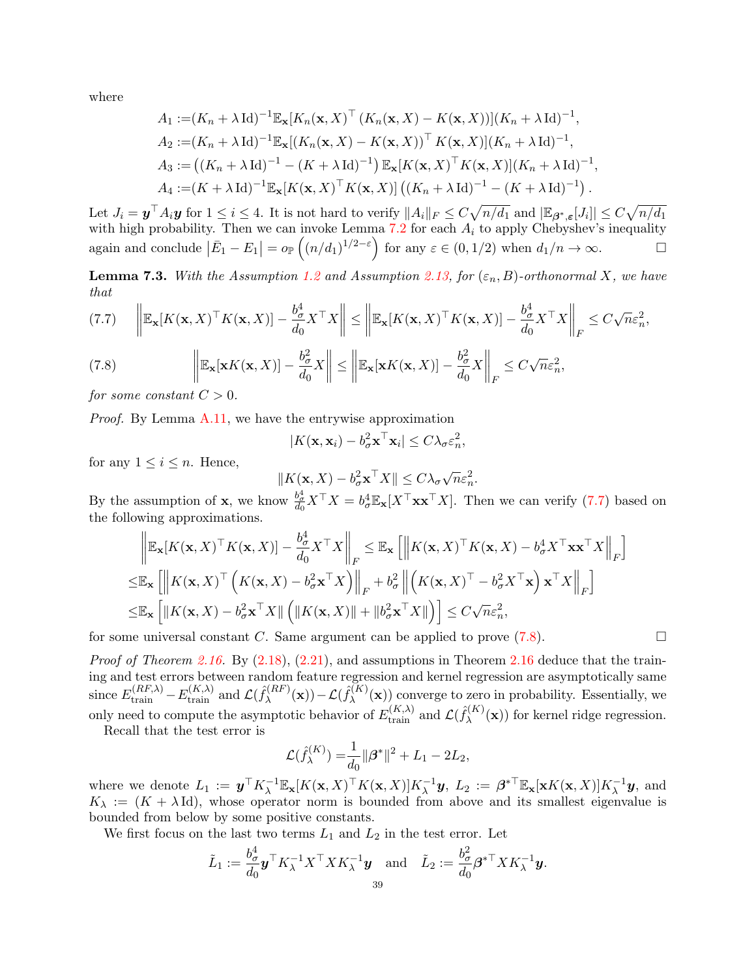where

$$
A_1 := (K_n + \lambda \operatorname{Id})^{-1} \mathbb{E}_{\mathbf{x}} [K_n(\mathbf{x}, X)^\top (K_n(\mathbf{x}, X) - K(\mathbf{x}, X))] (K_n + \lambda \operatorname{Id})^{-1},
$$
  
\n
$$
A_2 := (K_n + \lambda \operatorname{Id})^{-1} \mathbb{E}_{\mathbf{x}} [(K_n(\mathbf{x}, X) - K(\mathbf{x}, X))^\top K(\mathbf{x}, X)] (K_n + \lambda \operatorname{Id})^{-1},
$$
  
\n
$$
A_3 := ((K_n + \lambda \operatorname{Id})^{-1} - (K + \lambda \operatorname{Id})^{-1}) \mathbb{E}_{\mathbf{x}} [K(\mathbf{x}, X)^\top K(\mathbf{x}, X)] (K_n + \lambda \operatorname{Id})^{-1},
$$
  
\n
$$
A_4 := (K + \lambda \operatorname{Id})^{-1} \mathbb{E}_{\mathbf{x}} [K(\mathbf{x}, X)^\top K(\mathbf{x}, X)] ((K_n + \lambda \operatorname{Id})^{-1} - (K + \lambda \operatorname{Id})^{-1}).
$$

Let  $J_i = \boldsymbol{y}^\top A_i \boldsymbol{y}$  for  $1 \leq i \leq 4$ . It is not hard to verify  $||A_i||_F \leq C \sqrt{n/d_1}$  and  $|\mathbb{E}_{\boldsymbol{\beta}^*, \boldsymbol{\varepsilon}}[J_i]| \leq C \sqrt{n/d_1}$ with high probability. Then we can invoke Lemma [7.2](#page-36-1) for each  $A_i$  to apply Chebyshev's inequality again and conclude  $|\bar{E}_1 - E_1| = o_{\mathbb{P}}\left((n/d_1)^{1/2-\varepsilon}\right)$  for any  $\varepsilon \in (0, 1/2)$  when  $d_1/n \to \infty$ .

<span id="page-38-2"></span>**Lemma 7.3.** With the Assumption [1.2](#page-5-1) and Assumption [2.13,](#page-11-0) for  $(\varepsilon_n, B)$ -orthonormal X, we have that

<span id="page-38-0"></span>
$$
(7.7) \quad \left\| \mathbb{E}_{\mathbf{x}} [K(\mathbf{x}, X)^\top K(\mathbf{x}, X)] - \frac{b_\sigma^4}{d_0} X^\top X \right\| \le \left\| \mathbb{E}_{\mathbf{x}} [K(\mathbf{x}, X)^\top K(\mathbf{x}, X)] - \frac{b_\sigma^4}{d_0} X^\top X \right\|_F \le C\sqrt{n}\varepsilon_n^2,
$$

<span id="page-38-1"></span>(7.8) 
$$
\left\| \mathbb{E}_{\mathbf{x}}[\mathbf{x}K(\mathbf{x}, X)] - \frac{b_{\sigma}^2}{d_0} X \right\| \le \left\| \mathbb{E}_{\mathbf{x}}[\mathbf{x}K(\mathbf{x}, X)] - \frac{b_{\sigma}^2}{d_0} X \right\|_F \le C\sqrt{n}\varepsilon_n^2,
$$

for some constant  $C > 0$ .

Proof. By Lemma [A.11,](#page-41-10) we have the entrywise approximation

$$
|K(\mathbf{x}, \mathbf{x}_i) - b_{\sigma}^2 \mathbf{x}^\top \mathbf{x}_i| \le C \lambda_{\sigma} \varepsilon_n^2,
$$

for any  $1 \leq i \leq n$ . Hence,

$$
||K(\mathbf{x}, X) - b_{\sigma}^2 \mathbf{x}^\top X|| \le C\lambda_{\sigma}\sqrt{n}\varepsilon_n^2.
$$

By the assumption of **x**, we know  $\frac{b^4}{d_0} X^\top X = b^4_\sigma \mathbb{E}_\mathbf{x}[X^\top \mathbf{x} \mathbf{x}^\top X]$ . Then we can verify [\(7.7\)](#page-38-0) based on the following approximations.

$$
\left\| \mathbb{E}_{\mathbf{x}} [K(\mathbf{x}, X)^{\top} K(\mathbf{x}, X)] - \frac{b_{\sigma}^{4}}{d_{0}} X^{\top} X \right\|_{F} \leq \mathbb{E}_{\mathbf{x}} \left[ \left\| K(\mathbf{x}, X)^{\top} K(\mathbf{x}, X) - b_{\sigma}^{4} X^{\top} \mathbf{x} \mathbf{x}^{\top} X \right\|_{F} \right]
$$
  
\n
$$
\leq \mathbb{E}_{\mathbf{x}} \left[ \left\| K(\mathbf{x}, X)^{\top} \left( K(\mathbf{x}, X) - b_{\sigma}^{2} \mathbf{x}^{\top} X \right) \right\|_{F} + b_{\sigma}^{2} \left\| \left( K(\mathbf{x}, X)^{\top} - b_{\sigma}^{2} X^{\top} \mathbf{x} \right) \mathbf{x}^{\top} X \right\|_{F} \right]
$$
  
\n
$$
\leq \mathbb{E}_{\mathbf{x}} \left[ \left\| K(\mathbf{x}, X) - b_{\sigma}^{2} \mathbf{x}^{\top} X \right\| \left( \left\| K(\mathbf{x}, X) \right\| + \left\| b_{\sigma}^{2} \mathbf{x}^{\top} X \right\| \right) \right] \leq C \sqrt{n} \varepsilon_{n}^{2},
$$

for some universal constant C. Same argument can be applied to prove  $(7.8)$ .

*Proof of Theorem [2.16.](#page-12-1)* By  $(2.18)$ ,  $(2.21)$ , and assumptions in Theorem [2.16](#page-12-1) deduce that the training and test errors between random feature regression and kernel regression are asymptotically same since  $E_{\text{train}}^{(RF,\lambda)} - E_{\text{train}}^{(K,\lambda)}$  and  $\mathcal{L}(\hat{f}_{\lambda}^{(RF)})$  $\mathcal{L}^{(\textit{RF})}_{\lambda}(\mathbf{x}))\!-\!\mathcal{L}(\hat{f}^{(K)}_{\lambda})$  $\lambda^{(K)}(\mathbf{x})$  converge to zero in probability. Essentially, we only need to compute the asymptotic behavior of  $E_{\text{train}}^{(K,\lambda)}$  and  $\mathcal{L}(\hat{f}_{\lambda}^{(K)})$  $\lambda^{(N)}(\mathbf{x})$  for kernel ridge regression.

Recall that the test error is

$$
\mathcal{L}(\hat{f}_{\lambda}^{(K)}) = \frac{1}{d_0} ||\beta^*||^2 + L_1 - 2L_2,
$$

where we denote  $L_1 := \boldsymbol{y}^\top K_\lambda^{-1} \mathbb{E}_\mathbf{x} [K(\mathbf{x}, X)^\top K(\mathbf{x}, X)] K_\lambda^{-1} \boldsymbol{y}, L_2 := \boldsymbol{\beta}^{* \top} \mathbb{E}_\mathbf{x} [\mathbf{x} K(\mathbf{x}, X)] K_\lambda^{-1} \boldsymbol{y},$  and  $K_{\lambda} := (K + \lambda \text{Id})$ , whose operator norm is bounded from above and its smallest eigenvalue is bounded from below by some positive constants.

We first focus on the last two terms  $L_1$  and  $L_2$  in the test error. Let

$$
\tilde{L}_1:=\frac{b_{\sigma}^4}{d_0}\bm{y}^\top K_{\lambda}^{-1}X^\top X K_{\lambda}^{-1}\bm{y}\quad\text{and}\quad \tilde{L}_2:=\frac{b_{\sigma}^2}{d_0}\bm{\beta}^{*\top} X K_{\lambda}^{-1}\bm{y}.
$$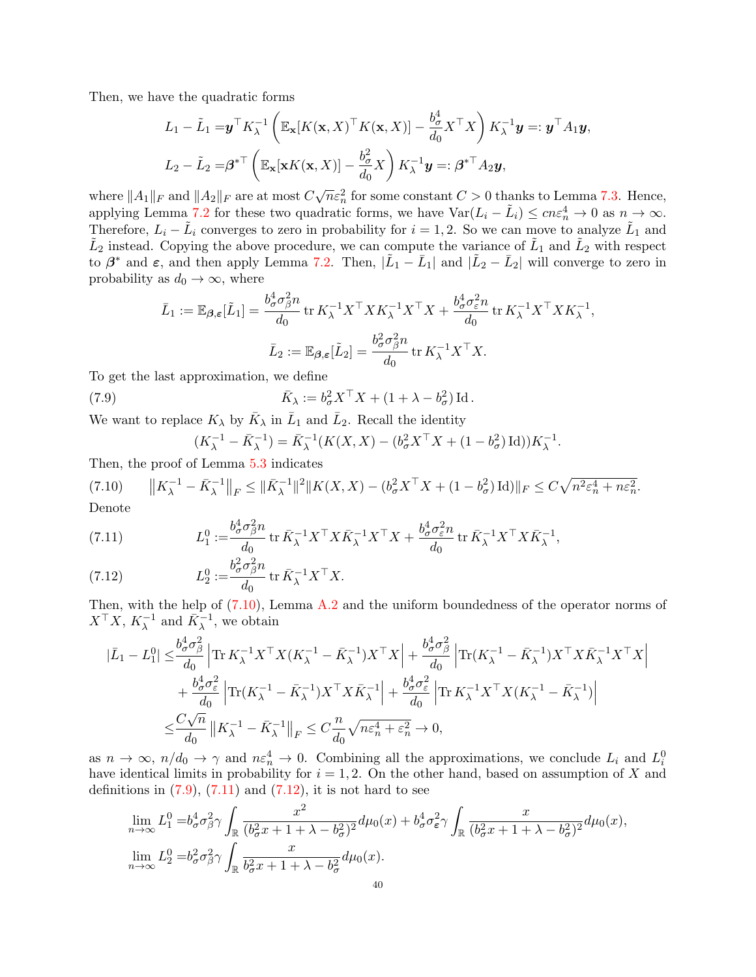Then, we have the quadratic forms

$$
L_1 - \tilde{L}_1 = \mathbf{y}^\top K_\lambda^{-1} \left( \mathbb{E}_{\mathbf{x}} [K(\mathbf{x}, X)^\top K(\mathbf{x}, X)] - \frac{b_\sigma^4}{d_0} X^\top X \right) K_\lambda^{-1} \mathbf{y} =: \mathbf{y}^\top A_1 \mathbf{y},
$$
  

$$
L_2 - \tilde{L}_2 = \boldsymbol{\beta}^{*\top} \left( \mathbb{E}_{\mathbf{x}} [\mathbf{x} K(\mathbf{x}, X)] - \frac{b_\sigma^2}{d_0} X \right) K_\lambda^{-1} \mathbf{y} =: \boldsymbol{\beta}^{*\top} A_2 \mathbf{y},
$$

where  $||A_1||_F$  and  $||A_2||_F$  are at most  $C\sqrt{n}\varepsilon_n^2$  for some constant  $C > 0$  thanks to Lemma [7.3.](#page-38-2) Hence, applying Lemma [7.2](#page-36-1) for these two quadratic forms, we have  $\text{Var}(L_i - \tilde{L}_i) \leq c n \varepsilon_n^4 \to 0$  as  $n \to \infty$ . Therefore,  $L_i - \tilde{L}_i$  converges to zero in probability for  $i = 1, 2$ . So we can move to analyze  $\tilde{L}_1$  and  $\tilde{L}_2$  instead. Copying the above procedure, we can compute the variance of  $\tilde{L}_1$  and  $\tilde{L}_2$  with respect to  $\beta^*$  and  $\varepsilon$ , and then apply Lemma [7.2.](#page-36-1) Then,  $|\tilde{L}_1 - \bar{L}_1|$  and  $|\tilde{L}_2 - \bar{L}_2|$  will converge to zero in probability as  $d_0 \to \infty$ , where

$$
\bar{L}_1 := \mathbb{E}_{\beta, \varepsilon} [\tilde{L}_1] = \frac{b_\sigma^4 \sigma_\beta^2 n}{d_0} \operatorname{tr} K_\lambda^{-1} X^\top X K_\lambda^{-1} X^\top X + \frac{b_\sigma^4 \sigma_\varepsilon^2 n}{d_0} \operatorname{tr} K_\lambda^{-1} X^\top X K_\lambda^{-1},
$$

$$
\bar{L}_2 := \mathbb{E}_{\beta, \varepsilon} [\tilde{L}_2] = \frac{b_\sigma^2 \sigma_\beta^2 n}{d_0} \operatorname{tr} K_\lambda^{-1} X^\top X.
$$

To get the last approximation, we define

(7.9) 
$$
\bar{K}_{\lambda} := b_{\sigma}^{2} X^{\top} X + (1 + \lambda - b_{\sigma}^{2}) \operatorname{Id}.
$$

We want to replace  $K_{\lambda}$  by  $\bar{K}_{\lambda}$  in  $\bar{L}_1$  and  $\bar{L}_2$ . Recall the identity

<span id="page-39-1"></span>
$$
(K_{\lambda}^{-1} - \bar{K}_{\lambda}^{-1}) = \bar{K}_{\lambda}^{-1}(K(X, X) - (b_{\sigma}^{2} X^{\top} X + (1 - b_{\sigma}^{2}) \operatorname{Id})) K_{\lambda}^{-1}.
$$

Then, the proof of Lemma [5.3](#page-27-2) indicates

<span id="page-39-0"></span>(7.10) 
$$
||K_{\lambda}^{-1} - \bar{K}_{\lambda}^{-1}||_F \le ||\bar{K}_{\lambda}^{-1}||^2 ||K(X, X) - (b_{\sigma}^2 X^\top X + (1 - b_{\sigma}^2) \operatorname{Id})||_F \le C\sqrt{n^2 \varepsilon_n^4 + n\varepsilon_n^2}.
$$
  
Denote

<span id="page-39-2"></span>(7.11) 
$$
L_1^0 := \frac{b_\sigma^4 \sigma_\beta^2 n}{d_0} \operatorname{tr} \bar{K}_\lambda^{-1} X^\top X \bar{K}_\lambda^{-1} X^\top X + \frac{b_\sigma^4 \sigma_\varepsilon^2 n}{d_0} \operatorname{tr} \bar{K}_\lambda^{-1} X^\top X \bar{K}_\lambda^{-1},
$$

<span id="page-39-3"></span>(7.12) 
$$
L_2^0 := \frac{b_\sigma^2 \sigma_\beta^2 n}{d_0} \operatorname{tr} \bar{K}_\lambda^{-1} X^\top X.
$$

Then, with the help of  $(7.10)$ , Lemma [A.2](#page-40-1) and the uniform boundedness of the operator norms of  $X^{\top}X$ ,  $K_{\lambda}^{-1}$  and  $\bar{K}_{\lambda}^{-1}$ , we obtain

$$
\begin{split} |\bar{L}_1-L_1^0| \leq & \frac{b_\sigma^4 \sigma_\beta^2}{d_0} \left|\text{Tr}\, K_\lambda^{-1} X^\top X (K_\lambda^{-1}-\bar{K}_\lambda^{-1}) X^\top X\right| + \frac{b_\sigma^4 \sigma_\beta^2}{d_0} \left|\text{Tr}(K_\lambda^{-1}-\bar{K}_\lambda^{-1}) X^\top X \bar{K}_\lambda^{-1} X^\top X\right| \\ & \quad + \frac{b_\sigma^4 \sigma_\varepsilon^2}{d_0} \left|\text{Tr}(K_\lambda^{-1}-K_\lambda^{-1}) X^\top X \bar{K}_\lambda^{-1}\right| + \frac{b_\sigma^4 \sigma_\varepsilon^2}{d_0} \left|\text{Tr}\, K_\lambda^{-1} X^\top X (K_\lambda^{-1}-\bar{K}_\lambda^{-1})\right| \\ \leq & \frac{C\sqrt{n}}{d_0} \left|\left|K_\lambda^{-1}-\bar{K}_\lambda^{-1}\right|\right|_F \leq C\frac{n}{d_0} \sqrt{n \varepsilon_n^4 + \varepsilon_n^2} \to 0, \end{split}
$$

as  $n \to \infty$ ,  $n/d_0 \to \gamma$  and  $n \varepsilon_n^4 \to 0$ . Combining all the approximations, we conclude  $L_i$  and  $L_i^0$ have identical limits in probability for  $i = 1, 2$ . On the other hand, based on assumption of X and definitions in  $(7.9)$ ,  $(7.11)$  and  $(7.12)$ , it is not hard to see

$$
\lim_{n \to \infty} L_1^0 = b_\sigma^4 \sigma_\beta^2 \gamma \int_{\mathbb{R}} \frac{x^2}{(b_\sigma^2 x + 1 + \lambda - b_\sigma^2)^2} d\mu_0(x) + b_\sigma^4 \sigma_\epsilon^2 \gamma \int_{\mathbb{R}} \frac{x}{(b_\sigma^2 x + 1 + \lambda - b_\sigma^2)^2} d\mu_0(x),
$$
  

$$
\lim_{n \to \infty} L_2^0 = b_\sigma^2 \sigma_\beta^2 \gamma \int_{\mathbb{R}} \frac{x}{b_\sigma^2 x + 1 + \lambda - b_\sigma^2} d\mu_0(x).
$$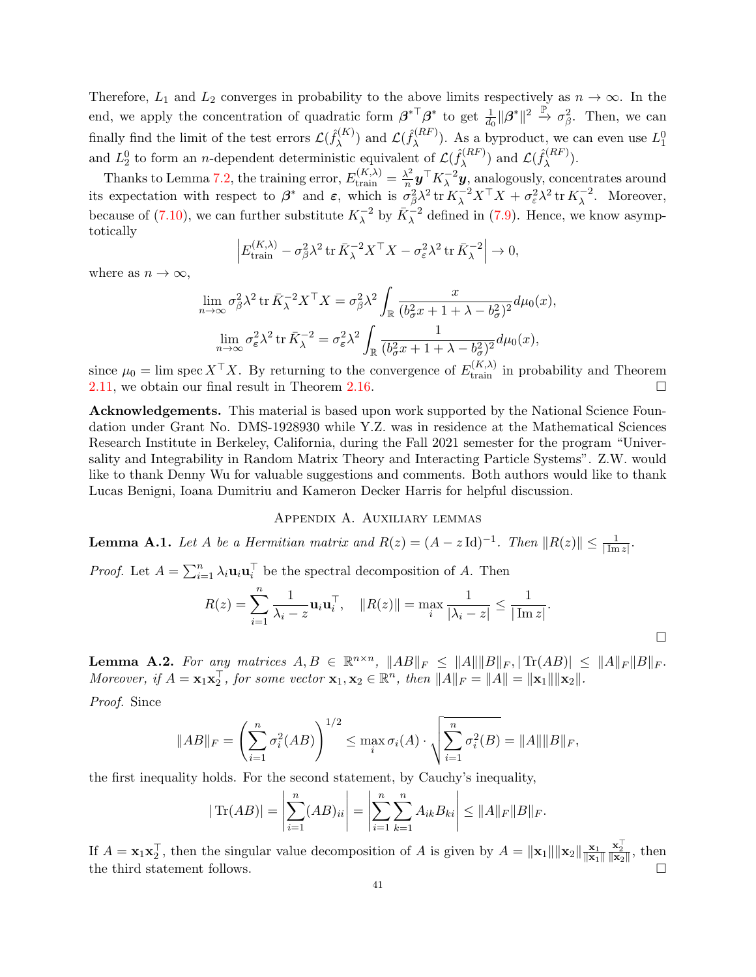Therefore,  $L_1$  and  $L_2$  converges in probability to the above limits respectively as  $n \to \infty$ . In the end, we apply the concentration of quadratic form  $\beta^{*T}\beta^*$  to get  $\frac{1}{d_0} \|\beta^*\|^2 \stackrel{\mathbb{P}}{\rightarrow} \sigma_\beta^2$ . Then, we can finally find the limit of the test errors  $\mathcal{L}(\hat{f}_{\lambda}^{(K)})$  $\mathcal{L}(\hat{f}_{\lambda}^{(RF)})$  and  $\mathcal{L}(\hat{f}_{\lambda}^{(RF)})$  $\lambda^{(RF)}$ ). As a byproduct, we can even use  $L_1^0$ and  $L_2^0$  to form an *n*-dependent deterministic equivalent of  $\mathcal{L}(\hat{f}_\lambda^{(RF)}$  $(\lambda^{(RF)}_{\lambda})$  and  $\mathcal{L}(\hat{f}_{\lambda}^{(RF)})$  $\lambda^{(RF)}$ ).

Thanks to Lemma [7.2,](#page-36-1) the training error,  $E_{\text{train}}^{(K,\lambda)} = \frac{\lambda^2}{n}$  $\frac{\lambda^2}{n}$ **y**<sup>T</sup> $K_{\lambda}^{-2}$ **y**<sub>2</sub>, analogously, concentrates around its expectation with respect to  $\beta^*$  and  $\varepsilon$ , which is  $\sigma_\beta^2 \lambda^2 \operatorname{tr} K_\lambda^{-2} X^\top X + \sigma_\varepsilon^2 \lambda^2 \operatorname{tr} K_\lambda^{-2}$ . Moreover, because of [\(7.10\)](#page-39-0), we can further substitute  $K_{\lambda}^{-2}$  by  $\bar{K}_{\lambda}^{-2}$  defined in [\(7.9\)](#page-39-1). Hence, we know asymptotically

$$
\left| E_{\text{train}}^{(K,\lambda)} - \sigma_\beta^2 \lambda^2 \operatorname{tr} \bar{K}_\lambda^{-2} X^\top X - \sigma_\varepsilon^2 \lambda^2 \operatorname{tr} \bar{K}_\lambda^{-2} \right| \to 0,
$$

where as  $n \to \infty$ ,

$$
\lim_{n \to \infty} \sigma_{\beta}^{2} \lambda^{2} \operatorname{tr} \bar{K}_{\lambda}^{-2} X^{\top} X = \sigma_{\beta}^{2} \lambda^{2} \int_{\mathbb{R}} \frac{x}{(b_{\sigma}^{2} x + 1 + \lambda - b_{\sigma}^{2})^{2}} d\mu_{0}(x),
$$

$$
\lim_{n \to \infty} \sigma_{\varepsilon}^{2} \lambda^{2} \operatorname{tr} \bar{K}_{\lambda}^{-2} = \sigma_{\varepsilon}^{2} \lambda^{2} \int_{\mathbb{R}} \frac{1}{(b_{\sigma}^{2} x + 1 + \lambda - b_{\sigma}^{2})^{2}} d\mu_{0}(x),
$$

since  $\mu_0 = \lim \text{spec } X^\top X$ . By returning to the convergence of  $E_{\text{train}}^{(K,\lambda)}$  in probability and Theorem [2.11,](#page-11-2) we obtain our final result in Theorem [2.16.](#page-12-1)

Acknowledgements. This material is based upon work supported by the National Science Foundation under Grant No. DMS-1928930 while Y.Z. was in residence at the Mathematical Sciences Research Institute in Berkeley, California, during the Fall 2021 semester for the program "Universality and Integrability in Random Matrix Theory and Interacting Particle Systems". Z.W. would like to thank Denny Wu for valuable suggestions and comments. Both authors would like to thank Lucas Benigni, Ioana Dumitriu and Kameron Decker Harris for helpful discussion.

# Appendix A. Auxiliary lemmas

<span id="page-40-0"></span>**Lemma A.1.** Let A be a Hermitian matrix and  $R(z) = (A - z \text{ Id})^{-1}$ . Then  $||R(z)|| \le \frac{1}{|\text{Im } z|}$ .

*Proof.* Let  $A = \sum_{i=1}^{n} \lambda_i \mathbf{u}_i \mathbf{u}_i^{\top}$  be the spectral decomposition of A. Then

$$
R(z) = \sum_{i=1}^{n} \frac{1}{\lambda_i - z} \mathbf{u}_i \mathbf{u}_i^{\top}, \quad ||R(z)|| = \max_{i} \frac{1}{|\lambda_i - z|} \le \frac{1}{|\operatorname{Im} z|}.
$$

<span id="page-40-1"></span>**Lemma A.2.** For any matrices  $A, B \in \mathbb{R}^{n \times n}$ ,  $||AB||_F \le ||A|| ||B||_F$ ,  $|\text{Tr}(AB)| \le ||A||_F ||B||_F$ . Moreover, if  $A = \mathbf{x}_1 \mathbf{x}_2^\top$ , for some vector  $\mathbf{x}_1, \mathbf{x}_2 \in \mathbb{R}^n$ , then  $||A||_F = ||A|| = ||\mathbf{x}_1|| ||\mathbf{x}_2||$ .

Proof. Since

$$
||AB||_F = \left(\sum_{i=1}^n \sigma_i^2(AB)\right)^{1/2} \le \max_i \sigma_i(A) \cdot \sqrt{\sum_{i=1}^n \sigma_i^2(B)} = ||A|| ||B||_F,
$$

the first inequality holds. For the second statement, by Cauchy's inequality,

$$
|\text{Tr}(AB)| = \left| \sum_{i=1}^{n} (AB)_{ii} \right| = \left| \sum_{i=1}^{n} \sum_{k=1}^{n} A_{ik} B_{ki} \right| \le ||A||_F ||B||_F.
$$

If  $A = \mathbf{x}_1 \mathbf{x}_2^\top$ , then the singular value decomposition of A is given by  $A = ||\mathbf{x}_1|| ||\mathbf{x}_2|| \frac{\mathbf{x}_1}{||\mathbf{x}_1||}$  $\|\mathbf{x}_1\|$  $\frac{\mathbf{x}_2^{\top}}{\|\mathbf{x}_2\|}$ , then the third statement follows.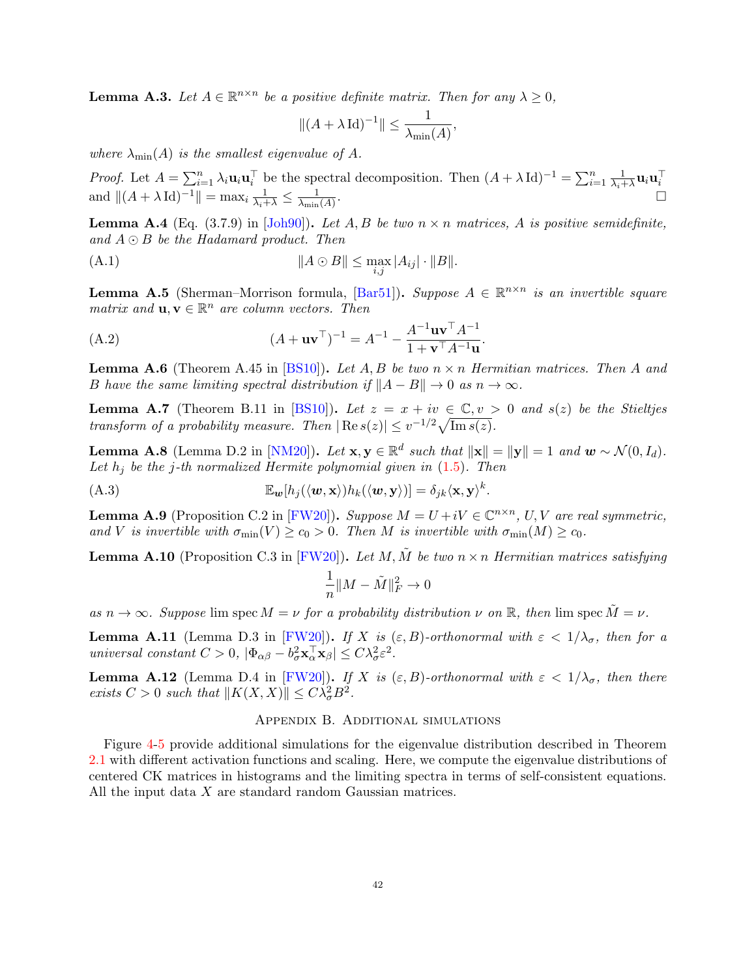<span id="page-41-8"></span>**Lemma A.3.** Let  $A \in \mathbb{R}^{n \times n}$  be a positive definite matrix. Then for any  $\lambda \geq 0$ ,

$$
\|(A + \lambda \operatorname{Id})^{-1}\| \le \frac{1}{\lambda_{\min}(A)},
$$

where  $\lambda_{\min}(A)$  is the smallest eigenvalue of A.

*Proof.* Let  $A = \sum_{i=1}^n \lambda_i \mathbf{u}_i \mathbf{u}_i^\top$  be the spectral decomposition. Then  $(A + \lambda \operatorname{Id})^{-1} = \sum_{i=1}^n \frac{1}{\lambda_i + \lambda_i}$ ral decomposition. Then  $(A + \lambda \operatorname{Id})^{-1} = \sum_{i=1}^{n} \frac{1}{\lambda_i + \lambda} \mathbf{u}_i \mathbf{u}_i^{\top}$ . and  $||(A + \lambda \operatorname{Id})^{-1}|| = \max_i \frac{1}{\lambda_i + \lambda} \leq \frac{1}{\lambda_{\min}}$  $\lambda_{\min}(A)$ 

<span id="page-41-5"></span>**Lemma A.4** (Eq. (3.7.9) in [\[Joh90\]](#page-44-22)). Let A, B be two  $n \times n$  matrices, A is positive semidefinite, and  $A \odot B$  be the Hadamard product. Then

$$
||A \odot B|| \le \max_{i,j} |A_{ij}| \cdot ||B||.
$$

<span id="page-41-1"></span>**Lemma A.5** (Sherman–Morrison formula, [\[Bar51\]](#page-43-25)). Suppose  $A \in \mathbb{R}^{n \times n}$  is an invertible square matrix and  $\mathbf{u}, \mathbf{v} \in \mathbb{R}^n$  are column vectors. Then

(A.2) 
$$
(A + uv^{\top})^{-1} = A^{-1} - \frac{A^{-1}uv^{\top}A^{-1}}{1 + v^{\top}A^{-1}u}.
$$

<span id="page-41-7"></span>**Lemma A.6** (Theorem A.45 in [\[BS10\]](#page-43-24)). Let A, B be two  $n \times n$  Hermitian matrices. Then A and B have the same limiting spectral distribution if  $||A - B|| \to 0$  as  $n \to \infty$ .

<span id="page-41-2"></span>**Lemma A.7** (Theorem B.11 in [\[BS10\]](#page-43-24)). Let  $z = x + iv \in \mathbb{C}, v > 0$  and  $s(z)$  be the Stieltjes transform of a probability measure. Then  $|\text{Re } s(z)| \leq v^{-1/2} \sqrt{\text{Im } s(z)}$ .

<span id="page-41-4"></span>**Lemma A.8** (Lemma D.2 in [\[NM20\]](#page-45-6)). Let  $\mathbf{x}, \mathbf{y} \in \mathbb{R}^d$  such that  $\|\mathbf{x}\| = \|\mathbf{y}\| = 1$  and  $\mathbf{w} \sim \mathcal{N}(0, I_d)$ . Let  $h_j$  be the j-th normalized Hermite polynomial given in  $(1.5)$ . Then

(A.3) 
$$
\mathbb{E}_{\mathbf{w}}[h_j(\langle \mathbf{w}, \mathbf{x} \rangle)h_k(\langle \mathbf{w}, \mathbf{y} \rangle)] = \delta_{jk}\langle \mathbf{x}, \mathbf{y} \rangle^k.
$$

<span id="page-41-3"></span>**Lemma A.9** (Proposition C.2 in [\[FW20\]](#page-43-4)). Suppose  $M = U + iV \in \mathbb{C}^{n \times n}$ , U, V are real symmetric, and V is invertible with  $\sigma_{\min}(V) \ge c_0 > 0$ . Then M is invertible with  $\sigma_{\min}(M) \ge c_0$ .

<span id="page-41-6"></span>**Lemma A.10** (Proposition C.3 in [\[FW20\]](#page-43-4)). Let M,  $\tilde{M}$  be two  $n \times n$  Hermitian matrices satisfying

$$
\frac{1}{n}\|M-\tilde{M}\|_F^2\to 0
$$

as  $n \to \infty$ . Suppose lim spec  $M = \nu$  for a probability distribution  $\nu$  on  $\mathbb{R}$ , then lim spec  $\tilde{M} = \nu$ .

<span id="page-41-10"></span>**Lemma A.11** (Lemma D.3 in [\[FW20\]](#page-43-4)). If X is  $(\varepsilon, B)$ -orthonormal with  $\varepsilon < 1/\lambda_{\sigma}$ , then for a universal constant  $C > 0$ ,  $|\Phi_{\alpha\beta} - b_{\sigma}^2 \mathbf{x}_{\alpha}^{\top} \mathbf{x}_{\beta}| \leq C \lambda_{\sigma}^2 \varepsilon^2$ .

<span id="page-41-9"></span>**Lemma A.12** (Lemma D.4 in [\[FW20\]](#page-43-4)). If X is  $(\varepsilon, B)$ -orthonormal with  $\varepsilon < 1/\lambda_{\sigma}$ , then there exists  $C > 0$  such that  $||K(X, X)|| \leq C \lambda_{\sigma}^2 B^2$ .

# Appendix B. Additional simulations

<span id="page-41-0"></span>Figure [4](#page-42-5)[-5](#page-42-6) provide additional simulations for the eigenvalue distribution described in Theorem [2.1](#page-7-1) with different activation functions and scaling. Here, we compute the eigenvalue distributions of centered CK matrices in histograms and the limiting spectra in terms of self-consistent equations. All the input data X are standard random Gaussian matrices.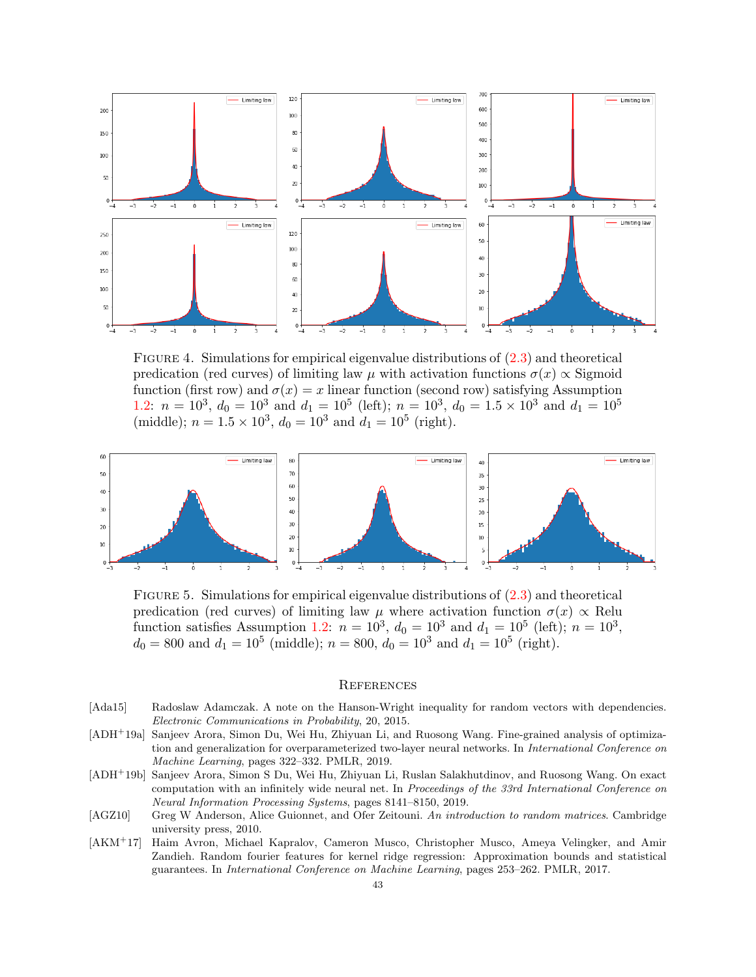

<span id="page-42-5"></span>FIGURE 4. Simulations for empirical eigenvalue distributions of  $(2.3)$  and theoretical predication (red curves) of limiting law  $\mu$  with activation functions  $\sigma(x) \propto$  Sigmoid function (first row) and  $\sigma(x) = x$  linear function (second row) satisfying Assumption [1.2:](#page-5-1)  $n = 10^3$ ,  $d_0 = 10^3$  and  $d_1 = 10^5$  (left);  $n = 10^3$ ,  $d_0 = 1.5 \times 10^3$  and  $d_1 = 10^5$ (middle);  $n = 1.5 \times 10^3$ ,  $d_0 = 10^3$  and  $d_1 = 10^5$  (right).



<span id="page-42-6"></span>FIGURE 5. Simulations for empirical eigenvalue distributions of  $(2.3)$  and theoretical predication (red curves) of limiting law  $\mu$  where activation function  $\sigma(x) \propto \text{Relu}$ function satisfies Assumption [1.2:](#page-5-1)  $n = 10^3$ ,  $d_0 = 10^3$  and  $d_1 = 10^5$  (left);  $n = 10^3$ ,  $d_0 = 800$  and  $d_1 = 10^5$  (middle);  $n = 800$ ,  $d_0 = 10^3$  and  $d_1 = 10^5$  (right).

### **REFERENCES**

- <span id="page-42-4"></span>[Ada15] Radoslaw Adamczak. A note on the Hanson-Wright inequality for random vectors with dependencies. Electronic Communications in Probability, 20, 2015.
- <span id="page-42-3"></span>[ADH<sup>+</sup>19a] Sanjeev Arora, Simon Du, Wei Hu, Zhiyuan Li, and Ruosong Wang. Fine-grained analysis of optimization and generalization for overparameterized two-layer neural networks. In *International Conference on* Machine Learning, pages 322–332. PMLR, 2019.
- <span id="page-42-0"></span>[ADH<sup>+</sup>19b] Sanjeev Arora, Simon S Du, Wei Hu, Zhiyuan Li, Ruslan Salakhutdinov, and Ruosong Wang. On exact computation with an infinitely wide neural net. In Proceedings of the 33rd International Conference on Neural Information Processing Systems, pages 8141–8150, 2019.
- <span id="page-42-1"></span>[AGZ10] Greg W Anderson, Alice Guionnet, and Ofer Zeitouni. An introduction to random matrices. Cambridge university press, 2010.
- <span id="page-42-2"></span>[AKM<sup>+</sup>17] Haim Avron, Michael Kapralov, Cameron Musco, Christopher Musco, Ameya Velingker, and Amir Zandieh. Random fourier features for kernel ridge regression: Approximation bounds and statistical guarantees. In International Conference on Machine Learning, pages 253–262. PMLR, 2017.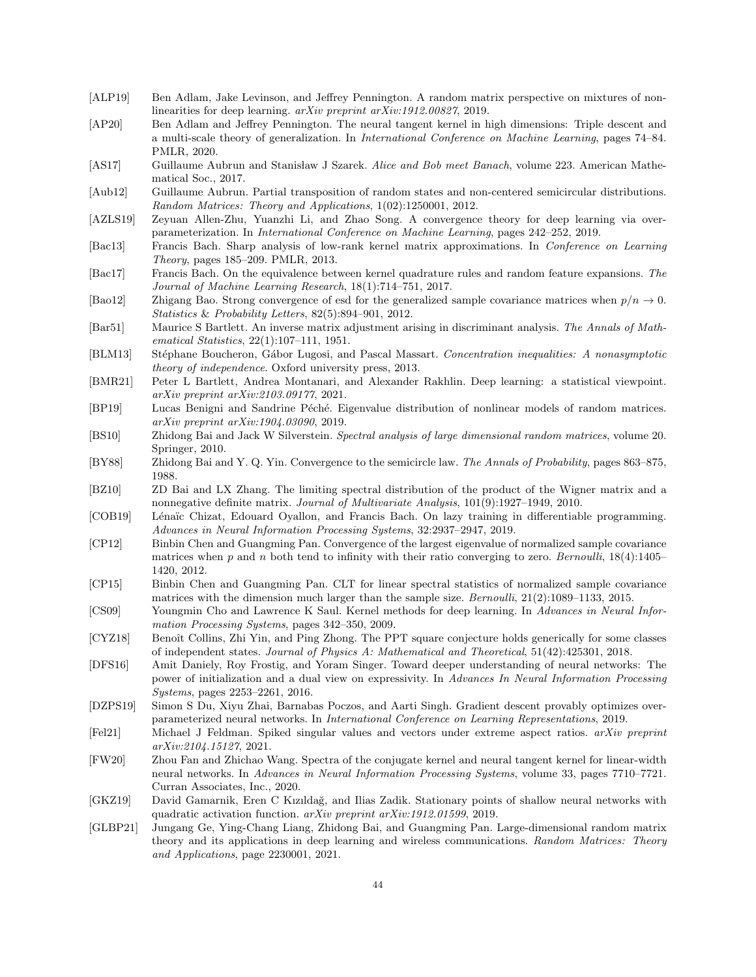- <span id="page-43-6"></span>[ALP19] Ben Adlam, Jake Levinson, and Jeffrey Pennington. A random matrix perspective on mixtures of nonlinearities for deep learning. arXiv preprint arXiv:1912.00827, 2019.
- <span id="page-43-7"></span>[AP20] Ben Adlam and Jeffrey Pennington. The neural tangent kernel in high dimensions: Triple descent and a multi-scale theory of generalization. In International Conference on Machine Learning, pages 74–84. PMLR, 2020.
- <span id="page-43-11"></span>[AS17] Guillaume Aubrun and Stanisław J Szarek. Alice and Bob meet Banach, volume 223. American Mathematical Soc., 2017.
- <span id="page-43-10"></span>[Aub12] Guillaume Aubrun. Partial transposition of random states and non-centered semicircular distributions. Random Matrices: Theory and Applications, 1(02):1250001, 2012.
- <span id="page-43-3"></span>[AZLS19] Zeyuan Allen-Zhu, Yuanzhi Li, and Zhao Song. A convergence theory for deep learning via overparameterization. In International Conference on Machine Learning, pages 242–252, 2019.
- <span id="page-43-20"></span>[Bac13] Francis Bach. Sharp analysis of low-rank kernel matrix approximations. In Conference on Learning Theory, pages 185–209. PMLR, 2013.
- <span id="page-43-21"></span>[Bac17] Francis Bach. On the equivalence between kernel quadrature rules and random feature expansions. The Journal of Machine Learning Research, 18(1):714–751, 2017.
- <span id="page-43-17"></span>[Bao12] Zhigang Bao. Strong convergence of esd for the generalized sample covariance matrices when  $p/n \to 0$ . Statistics & Probability Letters, 82(5):894–901, 2012.
- <span id="page-43-25"></span>[Bar51] Maurice S Bartlett. An inverse matrix adjustment arising in discriminant analysis. The Annals of Mathematical Statistics, 22(1):107–111, 1951.
- <span id="page-43-23"></span>[BLM13] Stéphane Boucheron, Gábor Lugosi, and Pascal Massart. Concentration inequalities: A nonasymptotic theory of independence. Oxford university press, 2013.
- <span id="page-43-22"></span>[BMR21] Peter L Bartlett, Andrea Montanari, and Alexander Rakhlin. Deep learning: a statistical viewpoint. arXiv preprint arXiv:2103.09177, 2021.
- <span id="page-43-5"></span>[BP19] Lucas Benigni and Sandrine Péché. Eigenvalue distribution of nonlinear models of random matrices. arXiv preprint arXiv:1904.03090, 2019.
- <span id="page-43-24"></span>[BS10] Zhidong Bai and Jack W Silverstein. Spectral analysis of large dimensional random matrices, volume 20. Springer, 2010.
- <span id="page-43-9"></span>[BY88] Zhidong Bai and Y. Q. Yin. Convergence to the semicircle law. The Annals of Probability, pages 863–875, 1988.
- <span id="page-43-18"></span>[BZ10] ZD Bai and LX Zhang. The limiting spectral distribution of the product of the Wigner matrix and a nonnegative definite matrix. Journal of Multivariate Analysis, 101(9):1927–1949, 2010.
- <span id="page-43-19"></span>[COB19] Lénaïc Chizat, Edouard Oyallon, and Francis Bach. On lazy training in differentiable programming. Advances in Neural Information Processing Systems, 32:2937–2947, 2019.
- <span id="page-43-13"></span>[CP12] Binbin Chen and Guangming Pan. Convergence of the largest eigenvalue of normalized sample covariance matrices when p and n both tend to infinity with their ratio converging to zero. Bernoulli,  $18(4):1405-$ 1420, 2012.
- <span id="page-43-14"></span>[CP15] Binbin Chen and Guangming Pan. CLT for linear spectral statistics of normalized sample covariance matrices with the dimension much larger than the sample size. Bernoulli, 21(2):1089–1133, 2015.
- <span id="page-43-0"></span>[CS09] Youngmin Cho and Lawrence K Saul. Kernel methods for deep learning. In Advances in Neural Information Processing Systems, pages 342–350, 2009.
- <span id="page-43-12"></span>[CYZ18] Benoît Collins, Zhi Yin, and Ping Zhong. The PPT square conjecture holds generically for some classes of independent states. Journal of Physics A: Mathematical and Theoretical, 51(42):425301, 2018.
- <span id="page-43-1"></span>[DFS16] Amit Daniely, Roy Frostig, and Yoram Singer. Toward deeper understanding of neural networks: The power of initialization and a dual view on expressivity. In Advances In Neural Information Processing Systems, pages 2253–2261, 2016.
- <span id="page-43-2"></span>[DZPS19] Simon S Du, Xiyu Zhai, Barnabas Poczos, and Aarti Singh. Gradient descent provably optimizes overparameterized neural networks. In International Conference on Learning Representations, 2019.
- <span id="page-43-15"></span>[Fel21] Michael J Feldman. Spiked singular values and vectors under extreme aspect ratios. arXiv preprint arXiv:2104.15127, 2021.
- <span id="page-43-4"></span>[FW20] Zhou Fan and Zhichao Wang. Spectra of the conjugate kernel and neural tangent kernel for linear-width neural networks. In Advances in Neural Information Processing Systems, volume 33, pages 7710–7721. Curran Associates, Inc., 2020.
- <span id="page-43-16"></span>[GKZ19] David Gamarnik, Eren C Kızıldağ, and Ilias Zadik. Stationary points of shallow neural networks with quadratic activation function. arXiv preprint arXiv:1912.01599, 2019.
- <span id="page-43-8"></span>[GLBP21] Jungang Ge, Ying-Chang Liang, Zhidong Bai, and Guangming Pan. Large-dimensional random matrix theory and its applications in deep learning and wireless communications. Random Matrices: Theory and Applications, page 2230001, 2021.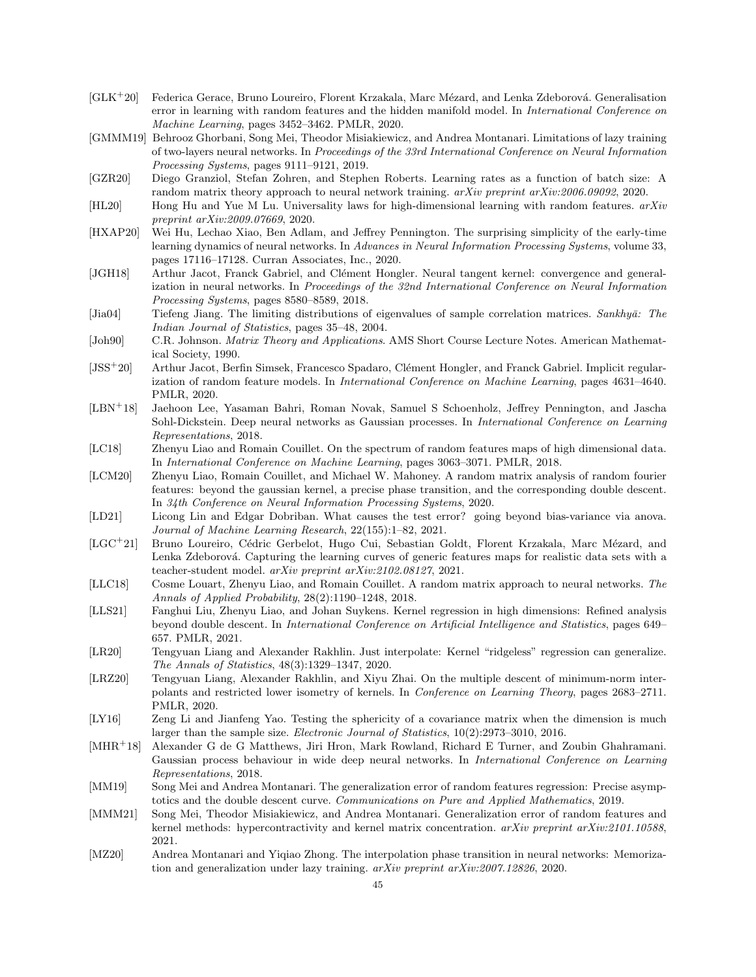- <span id="page-44-12"></span> $[GLK^+20]$  Federica Gerace, Bruno Loureiro, Florent Krzakala, Marc Mézard, and Lenka Zdeborová. Generalisation error in learning with random features and the hidden manifold model. In International Conference on Machine Learning, pages 3452–3462. PMLR, 2020.
- <span id="page-44-21"></span>[GMMM19] Behrooz Ghorbani, Song Mei, Theodor Misiakiewicz, and Andrea Montanari. Limitations of lazy training of two-layers neural networks. In Proceedings of the 33rd International Conference on Neural Information Processing Systems, pages 9111–9121, 2019.
- <span id="page-44-7"></span>[GZR20] Diego Granziol, Stefan Zohren, and Stephen Roberts. Learning rates as a function of batch size: A random matrix theory approach to neural network training. *arXiv preprint arXiv:2006.09092*, 2020.
- <span id="page-44-13"></span>[HL20] Hong Hu and Yue M Lu. Universality laws for high-dimensional learning with random features. arXiv preprint arXiv:2009.07669, 2020.
- <span id="page-44-10"></span>[HXAP20] Wei Hu, Lechao Xiao, Ben Adlam, and Jeffrey Pennington. The surprising simplicity of the early-time learning dynamics of neural networks. In Advances in Neural Information Processing Systems, volume 33, pages 17116–17128. Curran Associates, Inc., 2020.
- <span id="page-44-2"></span>[JGH18] Arthur Jacot, Franck Gabriel, and Clément Hongler. Neural tangent kernel: convergence and generalization in neural networks. In Proceedings of the 32nd International Conference on Neural Information Processing Systems, pages 8580–8589, 2018.
- <span id="page-44-6"></span>[Jia04] Tiefeng Jiang. The limiting distributions of eigenvalues of sample correlation matrices. Sankhyā: The Indian Journal of Statistics, pages 35–48, 2004.
- <span id="page-44-22"></span>[Joh90] C.R. Johnson. Matrix Theory and Applications. AMS Short Course Lecture Notes. American Mathematical Society, 1990.
- <span id="page-44-17"></span>[JSS<sup>+</sup>20] Arthur Jacot, Berfin Simsek, Francesco Spadaro, Clément Hongler, and Franck Gabriel. Implicit regularization of random feature models. In International Conference on Machine Learning, pages 4631–4640. PMLR, 2020.
- <span id="page-44-0"></span>[LBN<sup>+</sup>18] Jaehoon Lee, Yasaman Bahri, Roman Novak, Samuel S Schoenholz, Jeffrey Pennington, and Jascha Sohl-Dickstein. Deep neural networks as Gaussian processes. In International Conference on Learning Representations, 2018.
- <span id="page-44-20"></span>[LC18] Zhenyu Liao and Romain Couillet. On the spectrum of random features maps of high dimensional data. In International Conference on Machine Learning, pages 3063–3071. PMLR, 2018.
- <span id="page-44-4"></span>[LCM20] Zhenyu Liao, Romain Couillet, and Michael W. Mahoney. A random matrix analysis of random fourier features: beyond the gaussian kernel, a precise phase transition, and the corresponding double descent. In 34th Conference on Neural Information Processing Systems, 2020.
- <span id="page-44-14"></span>[LD21] Licong Lin and Edgar Dobriban. What causes the test error? going beyond bias-variance via anova. Journal of Machine Learning Research, 22(155):1–82, 2021.
- <span id="page-44-16"></span>[LGC<sup>+</sup>21] Bruno Loureiro, Cédric Gerbelot, Hugo Cui, Sebastian Goldt, Florent Krzakala, Marc Mézard, and Lenka Zdeborová. Capturing the learning curves of generic features maps for realistic data sets with a teacher-student model. arXiv preprint arXiv:2102.08127, 2021.
- <span id="page-44-3"></span>[LLC18] Cosme Louart, Zhenyu Liao, and Romain Couillet. A random matrix approach to neural networks. The Annals of Applied Probability, 28(2):1190–1248, 2018.
- <span id="page-44-19"></span>[LLS21] Fanghui Liu, Zhenyu Liao, and Johan Suykens. Kernel regression in high dimensions: Refined analysis beyond double descent. In International Conference on Artificial Intelligence and Statistics, pages 649– 657. PMLR, 2021.
- <span id="page-44-18"></span>[LR20] Tengyuan Liang and Alexander Rakhlin. Just interpolate: Kernel "ridgeless" regression can generalize. The Annals of Statistics, 48(3):1329–1347, 2020.
- <span id="page-44-8"></span>[LRZ20] Tengyuan Liang, Alexander Rakhlin, and Xiyu Zhai. On the multiple descent of minimum-norm interpolants and restricted lower isometry of kernels. In Conference on Learning Theory, pages 2683–2711. PMLR, 2020.
- <span id="page-44-5"></span>[LY16] Zeng Li and Jianfeng Yao. Testing the sphericity of a covariance matrix when the dimension is much larger than the sample size. Electronic Journal of Statistics, 10(2):2973–3010, 2016.
- <span id="page-44-1"></span>[MHR<sup>+</sup>18] Alexander G de G Matthews, Jiri Hron, Mark Rowland, Richard E Turner, and Zoubin Ghahramani. Gaussian process behaviour in wide deep neural networks. In International Conference on Learning Representations, 2018.
- <span id="page-44-11"></span>[MM19] Song Mei and Andrea Montanari. The generalization error of random features regression: Precise asymptotics and the double descent curve. Communications on Pure and Applied Mathematics, 2019.
- <span id="page-44-15"></span>[MMM21] Song Mei, Theodor Misiakiewicz, and Andrea Montanari. Generalization error of random features and kernel methods: hypercontractivity and kernel matrix concentration. arXiv preprint arXiv:2101.10588, 2021.
- <span id="page-44-9"></span>[MZ20] Andrea Montanari and Yiqiao Zhong. The interpolation phase transition in neural networks: Memorization and generalization under lazy training. arXiv preprint arXiv:2007.12826, 2020.